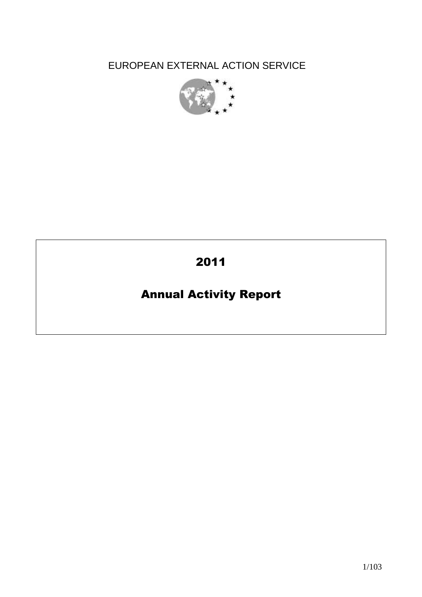EUROPEAN EXTERNAL ACTION SERVICE



# 2011

# Annual Activity Report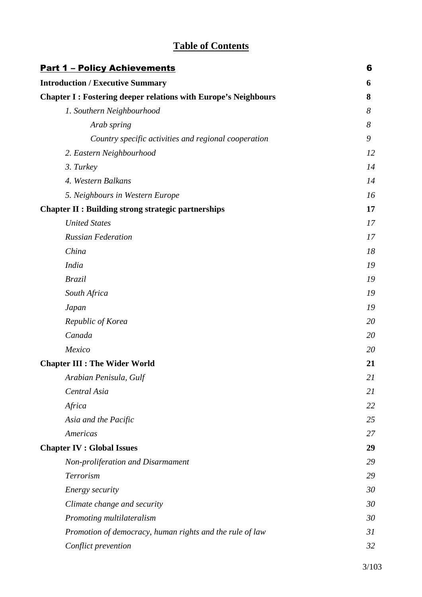# **Table of Contents**

| <b>Part 1 - Policy Achievements</b>                                   | 6  |
|-----------------------------------------------------------------------|----|
| <b>Introduction / Executive Summary</b>                               | 6  |
| <b>Chapter I: Fostering deeper relations with Europe's Neighbours</b> | 8  |
| 1. Southern Neighbourhood                                             | 8  |
| Arab spring                                                           | 8  |
| Country specific activities and regional cooperation                  | 9  |
| 2. Eastern Neighbourhood                                              | 12 |
| 3. Turkey                                                             | 14 |
| 4. Western Balkans                                                    | 14 |
| 5. Neighbours in Western Europe                                       | 16 |
| <b>Chapter II : Building strong strategic partnerships</b>            | 17 |
| <b>United States</b>                                                  | 17 |
| <b>Russian Federation</b>                                             | 17 |
| China                                                                 | 18 |
| <b>India</b>                                                          | 19 |
| <b>Brazil</b>                                                         | 19 |
| South Africa                                                          | 19 |
| Japan                                                                 | 19 |
| Republic of Korea                                                     | 20 |
| Canada                                                                | 20 |
| Mexico                                                                | 20 |
| <b>Chapter III : The Wider World</b>                                  | 21 |
| Arabian Penisula, Gulf                                                | 21 |
| Central Asia                                                          | 21 |
| Africa                                                                | 22 |
| Asia and the Pacific                                                  | 25 |
| Americas                                                              | 27 |
| <b>Chapter IV : Global Issues</b>                                     | 29 |
| Non-proliferation and Disarmament                                     | 29 |
| Terrorism                                                             | 29 |
| Energy security                                                       | 30 |
| Climate change and security                                           | 30 |
| Promoting multilateralism                                             | 30 |
| Promotion of democracy, human rights and the rule of law              | 31 |
| Conflict prevention                                                   | 32 |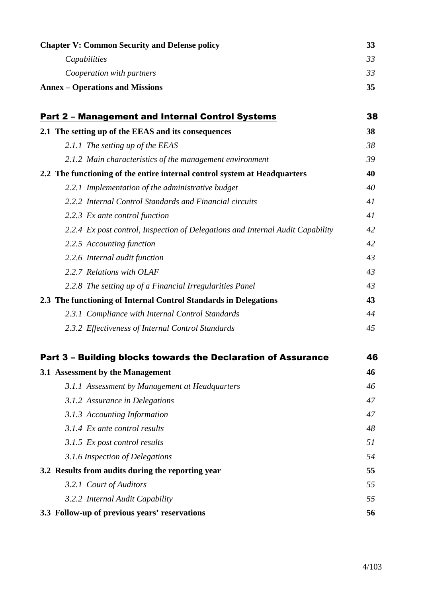| <b>Chapter V: Common Security and Defense policy</b>                           | 33 |
|--------------------------------------------------------------------------------|----|
| Capabilities                                                                   | 33 |
| Cooperation with partners                                                      | 33 |
| <b>Annex – Operations and Missions</b>                                         | 35 |
|                                                                                |    |
| <b>Part 2 - Management and Internal Control Systems</b>                        | 38 |
| 2.1 The setting up of the EEAS and its consequences                            | 38 |
| 2.1.1 The setting up of the EEAS                                               | 38 |
| 2.1.2 Main characteristics of the management environment                       | 39 |
| 2.2 The functioning of the entire internal control system at Headquarters      | 40 |
| 2.2.1 Implementation of the administrative budget                              | 40 |
| 2.2.2 Internal Control Standards and Financial circuits                        | 41 |
| 2.2.3 Ex ante control function                                                 | 41 |
| 2.2.4 Ex post control, Inspection of Delegations and Internal Audit Capability | 42 |
| 2.2.5 Accounting function                                                      | 42 |
| 2.2.6 Internal audit function                                                  | 43 |
| 2.2.7 Relations with OLAF                                                      | 43 |
| 2.2.8 The setting up of a Financial Irregularities Panel                       | 43 |
| 2.3 The functioning of Internal Control Standards in Delegations               | 43 |
| 2.3.1 Compliance with Internal Control Standards                               | 44 |
| 2.3.2 Effectiveness of Internal Control Standards                              | 45 |
| Part 3 - Building blocks towards the Declaration of Assurance                  | 46 |
| 3.1 Assessment by the Management                                               | 46 |
| 3.1.1 Assessment by Management at Headquarters                                 | 46 |
| 3.1.2 Assurance in Delegations                                                 | 47 |
| 3.1.3 Accounting Information                                                   | 47 |
| 3.1.4 Ex ante control results                                                  | 48 |
| 3.1.5 Ex post control results                                                  | 51 |
| 3.1.6 Inspection of Delegations                                                | 54 |
| 3.2 Results from audits during the reporting year                              | 55 |
| 3.2.1 Court of Auditors                                                        | 55 |
| 3.2.2 Internal Audit Capability                                                | 55 |
| 3.3 Follow-up of previous years' reservations                                  | 56 |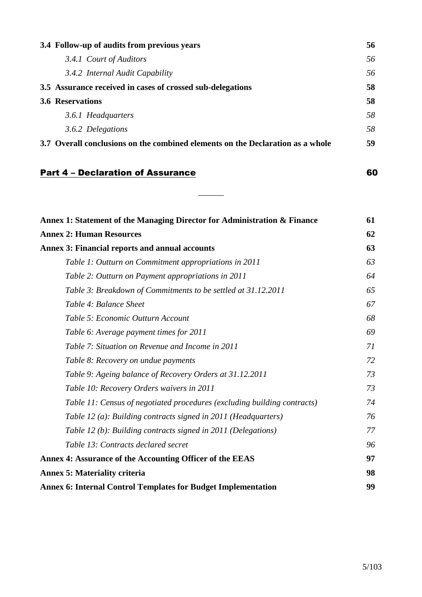| 3.4 Follow-up of audits from previous years                                    | 56  |
|--------------------------------------------------------------------------------|-----|
| 3.4.1 Court of Auditors                                                        | 56. |
| 3.4.2 Internal Audit Capability                                                | 56  |
| 3.5 Assurance received in cases of crossed sub-delegations                     | 58  |
| <b>3.6 Reservations</b>                                                        | 58  |
| 3.6.1 Headquarters                                                             | 58  |
| 3.6.2 Delegations                                                              | 58  |
| 3.7 Overall conclusions on the combined elements on the Declaration as a whole | 59  |

 $\overline{\phantom{a}}$ 

# **Part 4 – Declaration of Assurance** 60

| Annex 1: Statement of the Managing Director for Administration & Finance | 61 |
|--------------------------------------------------------------------------|----|
| <b>Annex 2: Human Resources</b>                                          | 62 |
| <b>Annex 3: Financial reports and annual accounts</b>                    |    |
| Table 1: Outturn on Commitment appropriations in 2011                    | 63 |
| Table 2: Outturn on Payment appropriations in 2011                       | 64 |
| Table 3: Breakdown of Commitments to be settled at 31.12.2011            | 65 |
| Table 4: Balance Sheet                                                   | 67 |
| Table 5: Economic Outturn Account                                        | 68 |
| Table 6: Average payment times for 2011                                  | 69 |
| Table 7: Situation on Revenue and Income in 2011                         | 71 |
| Table 8: Recovery on undue payments                                      | 72 |
| Table 9: Ageing balance of Recovery Orders at 31.12.2011                 | 73 |
| Table 10: Recovery Orders waivers in 2011                                | 73 |
| Table 11: Census of negotiated procedures (excluding building contracts) | 74 |
| Table 12 (a): Building contracts signed in 2011 (Headquarters)           | 76 |
| Table 12 (b): Building contracts signed in 2011 (Delegations)            | 77 |
| Table 13: Contracts declared secret                                      | 96 |
| Annex 4: Assurance of the Accounting Officer of the EEAS                 | 97 |
| <b>Annex 5: Materiality criteria</b>                                     | 98 |
| <b>Annex 6: Internal Control Templates for Budget Implementation</b>     | 99 |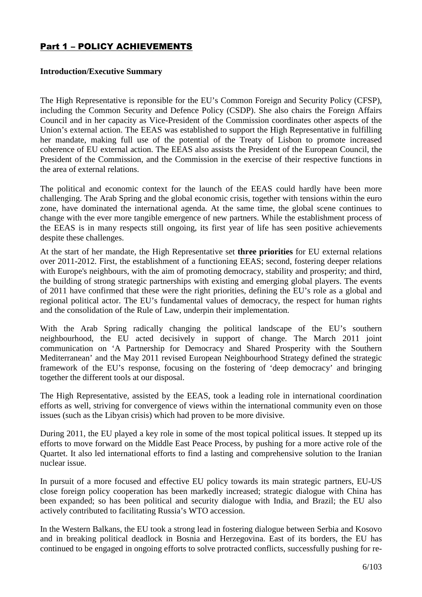# Part 1 – POLICY ACHIEVEMENTS

# **Introduction/Executive Summary**

The High Representative is reponsible for the EU's Common Foreign and Security Policy (CFSP), including the Common Security and Defence Policy (CSDP). She also chairs the Foreign Affairs Council and in her capacity as Vice-President of the Commission coordinates other aspects of the Union's external action. The EEAS was established to support the High Representative in fulfilling her mandate, making full use of the potential of the Treaty of Lisbon to promote increased coherence of EU external action. The EEAS also assists the President of the European Council, the President of the Commission, and the Commission in the exercise of their respective functions in the area of external relations.

The political and economic context for the launch of the EEAS could hardly have been more challenging. The Arab Spring and the global economic crisis, together with tensions within the euro zone, have dominated the international agenda. At the same time, the global scene continues to change with the ever more tangible emergence of new partners. While the establishment process of the EEAS is in many respects still ongoing, its first year of life has seen positive achievements despite these challenges.

At the start of her mandate, the High Representative set **three priorities** for EU external relations over 2011-2012. First, the establishment of a functioning EEAS; second, fostering deeper relations with Europe's neighbours, with the aim of promoting democracy, stability and prosperity; and third, the building of strong strategic partnerships with existing and emerging global players. The events of 2011 have confirmed that these were the right priorities, defining the EU's role as a global and regional political actor. The EU's fundamental values of democracy, the respect for human rights and the consolidation of the Rule of Law, underpin their implementation.

With the Arab Spring radically changing the political landscape of the EU's southern neighbourhood, the EU acted decisively in support of change. The March 2011 joint communication on 'A Partnership for Democracy and Shared Prosperity with the Southern Mediterranean' and the May 2011 revised European Neighbourhood Strategy defined the strategic framework of the EU's response, focusing on the fostering of 'deep democracy' and bringing together the different tools at our disposal.

The High Representative, assisted by the EEAS, took a leading role in international coordination efforts as well, striving for convergence of views within the international community even on those issues (such as the Libyan crisis) which had proven to be more divisive.

During 2011, the EU played a key role in some of the most topical political issues. It stepped up its efforts to move forward on the Middle East Peace Process, by pushing for a more active role of the Quartet. It also led international efforts to find a lasting and comprehensive solution to the Iranian nuclear issue.

In pursuit of a more focused and effective EU policy towards its main strategic partners, EU-US close foreign policy cooperation has been markedly increased; strategic dialogue with China has been expanded; so has been political and security dialogue with India, and Brazil; the EU also actively contributed to facilitating Russia's WTO accession.

In the Western Balkans, the EU took a strong lead in fostering dialogue between Serbia and Kosovo and in breaking political deadlock in Bosnia and Herzegovina. East of its borders, the EU has continued to be engaged in ongoing efforts to solve protracted conflicts, successfully pushing for re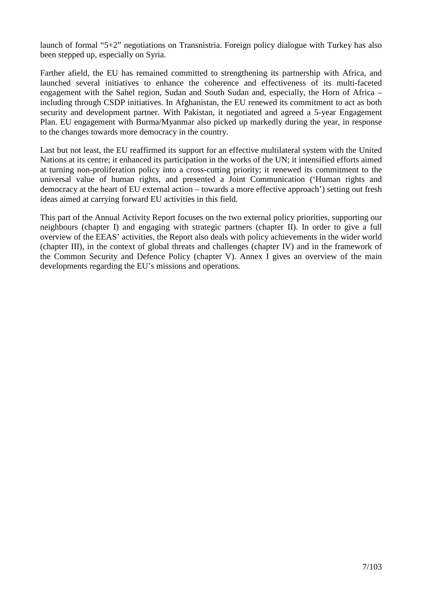launch of formal "5+2" negotiations on Transnistria. Foreign policy dialogue with Turkey has also been stepped up, especially on Syria.

Farther afield, the EU has remained committed to strengthening its partnership with Africa, and launched several initiatives to enhance the coherence and effectiveness of its multi-faceted engagement with the Sahel region, Sudan and South Sudan and, especially, the Horn of Africa – including through CSDP initiatives. In Afghanistan, the EU renewed its commitment to act as both security and development partner. With Pakistan, it negotiated and agreed a 5-year Engagement Plan. EU engagement with Burma/Myanmar also picked up markedly during the year, in response to the changes towards more democracy in the country.

Last but not least, the EU reaffirmed its support for an effective multilateral system with the United Nations at its centre; it enhanced its participation in the works of the UN; it intensified efforts aimed at turning non-proliferation policy into a cross-cutting priority; it renewed its commitment to the universal value of human rights, and presented a Joint Communication ('Human rights and democracy at the heart of EU external action – towards a more effective approach') setting out fresh ideas aimed at carrying forward EU activities in this field.

This part of the Annual Activity Report focuses on the two external policy priorities, supporting our neighbours (chapter I) and engaging with strategic partners (chapter II). In order to give a full overview of the EEAS' activities, the Report also deals with policy achievements in the wider world (chapter III), in the context of global threats and challenges (chapter IV) and in the framework of the Common Security and Defence Policy (chapter V). Annex I gives an overview of the main developments regarding the EU's missions and operations.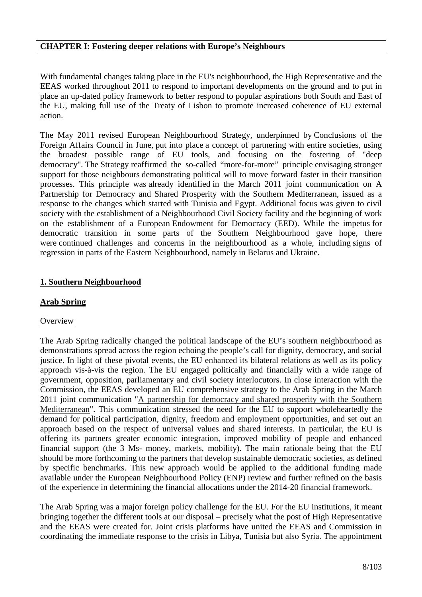#### **CHAPTER I: Fostering deeper relations with Europe's Neighbours**

With fundamental changes taking place in the EU's neighbourhood, the High Representative and the EEAS worked throughout 2011 to respond to important developments on the ground and to put in place an up-dated policy framework to better respond to popular aspirations both South and East of the EU, making full use of the Treaty of Lisbon to promote increased coherence of EU external action.

The May 2011 revised European Neighbourhood Strategy, underpinned by Conclusions of the Foreign Affairs Council in June, put into place a concept of partnering with entire societies, using the broadest possible range of EU tools, and focusing on the fostering of "deep democracy". The Strategy reaffirmed the so-called "more-for-more" principle envisaging stronger support for those neighbours demonstrating political will to move forward faster in their transition processes. This principle was already identified in the March 2011 joint communication on A Partnership for Democracy and Shared Prosperity with the Southern Mediterranean, issued as a response to the changes which started with Tunisia and Egypt. Additional focus was given to civil society with the establishment of a Neighbourhood Civil Society facility and the beginning of work on the establishment of a European Endowment for Democracy (EED). While the impetus for democratic transition in some parts of the Southern Neighbourhood gave hope, there were continued challenges and concerns in the neighbourhood as a whole, including signs of regression in parts of the Eastern Neighbourhood, namely in Belarus and Ukraine.

# **1. Southern Neighbourhood**

# **Arab Spring**

# **Overview**

The Arab Spring radically changed the political landscape of the EU's southern neighbourhood as demonstrations spread across the region echoing the people's call for dignity, democracy, and social justice. In light of these pivotal events, the EU enhanced its bilateral relations as well as its policy approach vis-à-vis the region. The EU engaged politically and financially with a wide range of government, opposition, parliamentary and civil society interlocutors. In close interaction with the Commission, the EEAS developed an EU comprehensive strategy to the Arab Spring in the March 2011 joint communication "A partnership for democracy and shared prosperity with the Southern Mediterranean". This communication stressed the need for the EU to support wholeheartedly the demand for political participation, dignity, freedom and employment opportunities, and set out an approach based on the respect of universal values and shared interests. In particular, the EU is offering its partners greater economic integration, improved mobility of people and enhanced financial support (the 3 Ms- money, markets, mobility). The main rationale being that the EU should be more forthcoming to the partners that develop sustainable democratic societies, as defined by specific benchmarks. This new approach would be applied to the additional funding made available under the European Neighbourhood Policy (ENP) review and further refined on the basis of the experience in determining the financial allocations under the 2014-20 financial framework.

The Arab Spring was a major foreign policy challenge for the EU. For the EU institutions, it meant bringing together the different tools at our disposal – precisely what the post of High Representative and the EEAS were created for. Joint crisis platforms have united the EEAS and Commission in coordinating the immediate response to the crisis in Libya, Tunisia but also Syria. The appointment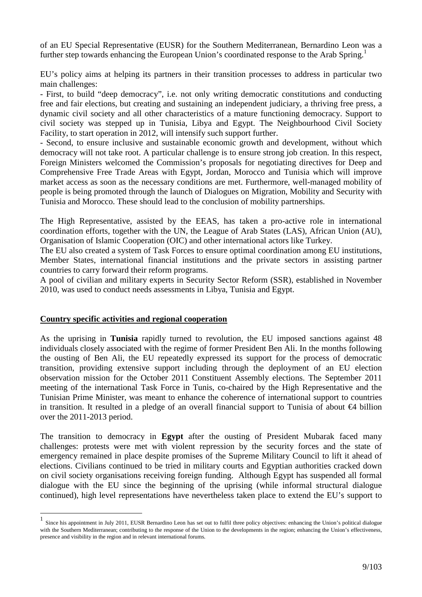of an EU Special Representative (EUSR) for the Southern Mediterranean, Bernardino Leon was a further step towards enhancing the European Union's coordinated response to the Arab Spring.<sup>1</sup>

EU's policy aims at helping its partners in their transition processes to address in particular two main challenges:

- First, to build "deep democracy", i.e. not only writing democratic constitutions and conducting free and fair elections, but creating and sustaining an independent judiciary, a thriving free press, a dynamic civil society and all other characteristics of a mature functioning democracy. Support to civil society was stepped up in Tunisia, Libya and Egypt. The Neighbourhood Civil Society Facility, to start operation in 2012, will intensify such support further.

- Second, to ensure inclusive and sustainable economic growth and development, without which democracy will not take root. A particular challenge is to ensure strong job creation. In this respect, Foreign Ministers welcomed the Commission's proposals for negotiating directives for Deep and Comprehensive Free Trade Areas with Egypt, Jordan, Morocco and Tunisia which will improve market access as soon as the necessary conditions are met. Furthermore, well-managed mobility of people is being promoted through the launch of Dialogues on Migration, Mobility and Security with Tunisia and Morocco. These should lead to the conclusion of mobility partnerships.

The High Representative, assisted by the EEAS, has taken a pro-active role in international coordination efforts, together with the UN, the League of Arab States (LAS), African Union (AU), Organisation of Islamic Cooperation (OIC) and other international actors like Turkey.

The EU also created a system of Task Forces to ensure optimal coordination among EU institutions, Member States, international financial institutions and the private sectors in assisting partner countries to carry forward their reform programs.

A pool of civilian and military experts in Security Sector Reform (SSR), established in November 2010, was used to conduct needs assessments in Libya, Tunisia and Egypt.

#### **Country specific activities and regional cooperation**

 $\overline{a}$ 

As the uprising in **Tunisia** rapidly turned to revolution, the EU imposed sanctions against 48 individuals closely associated with the regime of former President Ben Ali. In the months following the ousting of Ben Ali, the EU repeatedly expressed its support for the process of democratic transition, providing extensive support including through the deployment of an EU election observation mission for the October 2011 Constituent Assembly elections. The September 2011 meeting of the international Task Force in Tunis, co-chaired by the High Representative and the Tunisian Prime Minister, was meant to enhance the coherence of international support to countries in transition. It resulted in a pledge of an overall financial support to Tunisia of about €4 billion over the 2011-2013 period.

The transition to democracy in **Egypt** after the ousting of President Mubarak faced many challenges: protests were met with violent repression by the security forces and the state of emergency remained in place despite promises of the Supreme Military Council to lift it ahead of elections. Civilians continued to be tried in military courts and Egyptian authorities cracked down on civil society organisations receiving foreign funding. Although Egypt has suspended all formal dialogue with the EU since the beginning of the uprising (while informal structural dialogue continued), high level representations have nevertheless taken place to extend the EU's support to

<sup>1</sup> Since his appointment in July 2011, EUSR Bernardino Leon has set out to fulfil three policy objectives: enhancing the Union's political dialogue with the Southern Mediterranean; contributing to the response of the Union to the developments in the region; enhancing the Union's effectiveness, presence and visibility in the region and in relevant international forums.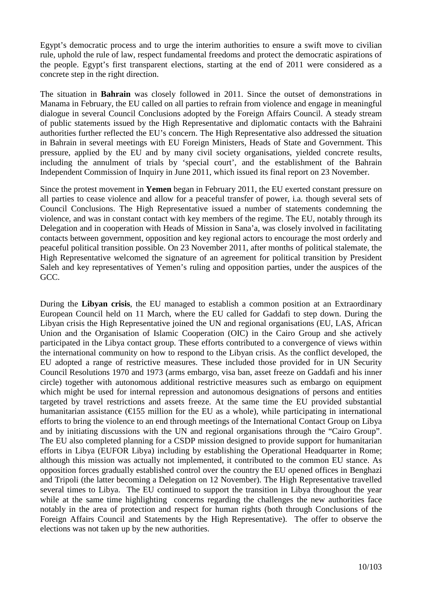Egypt's democratic process and to urge the interim authorities to ensure a swift move to civilian rule, uphold the rule of law, respect fundamental freedoms and protect the democratic aspirations of the people. Egypt's first transparent elections, starting at the end of 2011 were considered as a concrete step in the right direction.

The situation in **Bahrain** was closely followed in 2011. Since the outset of demonstrations in Manama in February, the EU called on all parties to refrain from violence and engage in meaningful dialogue in several Council Conclusions adopted by the Foreign Affairs Council. A steady stream of public statements issued by the High Representative and diplomatic contacts with the Bahraini authorities further reflected the EU's concern. The High Representative also addressed the situation in Bahrain in several meetings with EU Foreign Ministers, Heads of State and Government. This pressure, applied by the EU and by many civil society organisations, yielded concrete results, including the annulment of trials by 'special court', and the establishment of the Bahrain Independent Commission of Inquiry in June 2011, which issued its final report on 23 November.

Since the protest movement in **Yemen** began in February 2011, the EU exerted constant pressure on all parties to cease violence and allow for a peaceful transfer of power, i.a. though several sets of Council Conclusions. The High Representative issued a number of statements condemning the violence, and was in constant contact with key members of the regime. The EU, notably through its Delegation and in cooperation with Heads of Mission in Sana'a, was closely involved in facilitating contacts between government, opposition and key regional actors to encourage the most orderly and peaceful political transition possible. On 23 November 2011, after months of political stalemate, the High Representative welcomed the signature of an agreement for political transition by President Saleh and key representatives of Yemen's ruling and opposition parties, under the auspices of the GCC.

During the **Libyan crisis**, the EU managed to establish a common position at an Extraordinary European Council held on 11 March, where the EU called for Gaddafi to step down. During the Libyan crisis the High Representative joined the UN and regional organisations (EU, LAS, African Union and the Organisation of Islamic Cooperation (OIC) in the Cairo Group and she actively participated in the Libya contact group. These efforts contributed to a convergence of views within the international community on how to respond to the Libyan crisis. As the conflict developed, the EU adopted a range of restrictive measures. These included those provided for in UN Security Council Resolutions 1970 and 1973 (arms embargo, visa ban, asset freeze on Gaddafi and his inner circle) together with autonomous additional restrictive measures such as embargo on equipment which might be used for internal repression and autonomous designations of persons and entities targeted by travel restrictions and assets freeze. At the same time the EU provided substantial humanitarian assistance ( $\epsilon$ 155 million for the EU as a whole), while participating in international efforts to bring the violence to an end through meetings of the International Contact Group on Libya and by initiating discussions with the UN and regional organisations through the "Cairo Group". The EU also completed planning for a CSDP mission designed to provide support for humanitarian efforts in Libya (EUFOR Libya) including by establishing the Operational Headquarter in Rome; although this mission was actually not implemented, it contributed to the common EU stance. As opposition forces gradually established control over the country the EU opened offices in Benghazi and Tripoli (the latter becoming a Delegation on 12 November). The High Representative travelled several times to Libya. The EU continued to support the transition in Libya throughout the year while at the same time highlighting concerns regarding the challenges the new authorities face notably in the area of protection and respect for human rights (both through Conclusions of the Foreign Affairs Council and Statements by the High Representative). The offer to observe the elections was not taken up by the new authorities.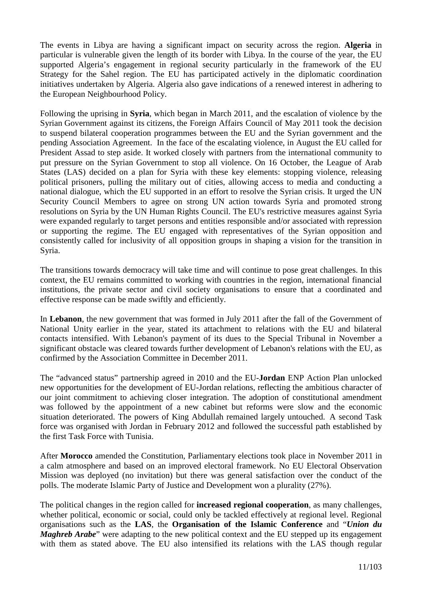The events in Libya are having a significant impact on security across the region. **Algeria** in particular is vulnerable given the length of its border with Libya. In the course of the year, the EU supported Algeria's engagement in regional security particularly in the framework of the EU Strategy for the Sahel region. The EU has participated actively in the diplomatic coordination initiatives undertaken by Algeria. Algeria also gave indications of a renewed interest in adhering to the European Neighbourhood Policy.

Following the uprising in **Syria**, which began in March 2011, and the escalation of violence by the Syrian Government against its citizens, the Foreign Affairs Council of May 2011 took the decision to suspend bilateral cooperation programmes between the EU and the Syrian government and the pending Association Agreement. In the face of the escalating violence, in August the EU called for President Assad to step aside. It worked closely with partners from the international community to put pressure on the Syrian Government to stop all violence. On 16 October, the League of Arab States (LAS) decided on a plan for Syria with these key elements: stopping violence, releasing political prisoners, pulling the military out of cities, allowing access to media and conducting a national dialogue, which the EU supported in an effort to resolve the Syrian crisis. It urged the UN Security Council Members to agree on strong UN action towards Syria and promoted strong resolutions on Syria by the UN Human Rights Council. The EU's restrictive measures against Syria were expanded regularly to target persons and entities responsible and/or associated with repression or supporting the regime. The EU engaged with representatives of the Syrian opposition and consistently called for inclusivity of all opposition groups in shaping a vision for the transition in Syria.

The transitions towards democracy will take time and will continue to pose great challenges. In this context, the EU remains committed to working with countries in the region, international financial institutions, the private sector and civil society organisations to ensure that a coordinated and effective response can be made swiftly and efficiently.

In **Lebanon**, the new government that was formed in July 2011 after the fall of the Government of National Unity earlier in the year, stated its attachment to relations with the EU and bilateral contacts intensified. With Lebanon's payment of its dues to the Special Tribunal in November a significant obstacle was cleared towards further development of Lebanon's relations with the EU, as confirmed by the Association Committee in December 2011.

The "advanced status" partnership agreed in 2010 and the EU-**Jordan** ENP Action Plan unlocked new opportunities for the development of EU-Jordan relations, reflecting the ambitious character of our joint commitment to achieving closer integration. The adoption of constitutional amendment was followed by the appointment of a new cabinet but reforms were slow and the economic situation deteriorated. The powers of King Abdullah remained largely untouched. A second Task force was organised with Jordan in February 2012 and followed the successful path established by the first Task Force with Tunisia.

After **Morocco** amended the Constitution, Parliamentary elections took place in November 2011 in a calm atmosphere and based on an improved electoral framework. No EU Electoral Observation Mission was deployed (no invitation) but there was general satisfaction over the conduct of the polls. The moderate Islamic Party of Justice and Development won a plurality (27%).

The political changes in the region called for **increased regional cooperation**, as many challenges, whether political, economic or social, could only be tackled effectively at regional level. Regional organisations such as the **LAS**, the **Organisation of the Islamic Conference** and "*Union du Maghreb Arabe*" were adapting to the new political context and the EU stepped up its engagement with them as stated above. The EU also intensified its relations with the LAS though regular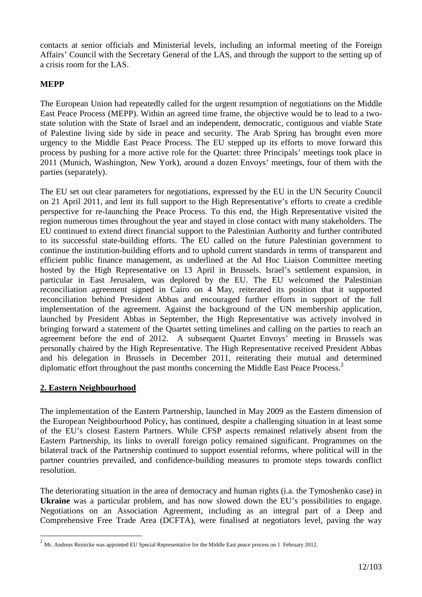contacts at senior officials and Ministerial levels, including an informal meeting of the Foreign Affairs' Council with the Secretary General of the LAS, and through the support to the setting up of a crisis room for the LAS.

#### **MEPP**

The European Union had repeatedly called for the urgent resumption of negotiations on the Middle East Peace Process (MEPP). Within an agreed time frame, the objective would be to lead to a twostate solution with the State of Israel and an independent, democratic, contiguous and viable State of Palestine living side by side in peace and security. The Arab Spring has brought even more urgency to the Middle East Peace Process. The EU stepped up its efforts to move forward this process by pushing for a more active role for the Quartet: three Principals' meetings took place in 2011 (Munich, Washington, New York), around a dozen Envoys' meetings, four of them with the parties (separately).

The EU set out clear parameters for negotiations, expressed by the EU in the UN Security Council on 21 April 2011, and lent its full support to the High Representative's efforts to create a credible perspective for re-launching the Peace Process. To this end, the High Representative visited the region numerous times throughout the year and stayed in close contact with many stakeholders. The EU continued to extend direct financial support to the Palestinian Authority and further contributed to its successful state-building efforts. The EU called on the future Palestinian government to continue the institution-building efforts and to uphold current standards in terms of transparent and efficient public finance management, as underlined at the Ad Hoc Liaison Committee meeting hosted by the High Representative on 13 April in Brussels. Israel's settlement expansion, in particular in East Jerusalem, was deplored by the EU. The EU welcomed the Palestinian reconciliation agreement signed in Cairo on 4 May, reiterated its position that it supported reconciliation behind President Abbas and encouraged further efforts in support of the full implementation of the agreement. Against the background of the UN membership application, launched by President Abbas in September, the High Representative was actively involved in bringing forward a statement of the Quartet setting timelines and calling on the parties to reach an agreement before the end of 2012. A subsequent Quartet Envoys' meeting in Brussels was personally chaired by the High Representative. The High Representative received President Abbas and his delegation in Brussels in December 2011, reiterating their mutual and determined diplomatic effort throughout the past months concerning the Middle East Peace Process.<sup>2</sup>

# **2. Eastern Neighbourhood**

 $\overline{a}$ 

The implementation of the Eastern Partnership, launched in May 2009 as the Eastern dimension of the European Neighbourhood Policy, has continued, despite a challenging situation in at least some of the EU's closest Eastern Partners. While CFSP aspects remained relatively absent from the Eastern Partnership, its links to overall foreign policy remained significant. Programmes on the bilateral track of the Partnership continued to support essential reforms, where political will in the partner countries prevailed, and confidence-building measures to promote steps towards conflict resolution.

The deteriorating situation in the area of democracy and human rights (i.a. the Tymoshenko case) in **Ukraine** was a particular problem, and has now slowed down the EU's possibilities to engage. Negotiations on an Association Agreement, including as an integral part of a Deep and Comprehensive Free Trade Area (DCFTA), were finalised at negotiators level, paving the way

 $^2$  Mr. Andreas Reinicke was appointed EU Special Representative for the Middle East peace process on 1 February 2012.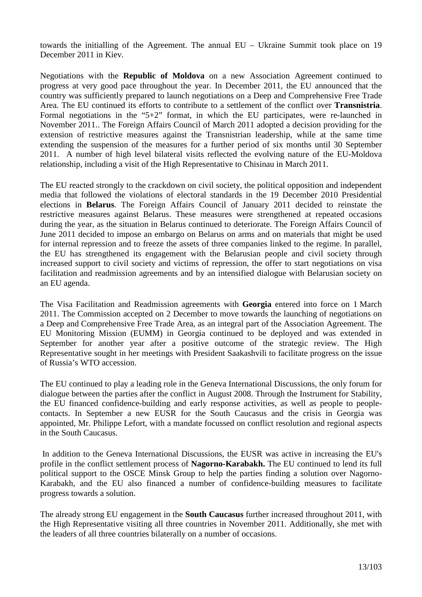towards the initialling of the Agreement. The annual EU – Ukraine Summit took place on 19 December 2011 in Kiev.

Negotiations with the **Republic of Moldova** on a new Association Agreement continued to progress at very good pace throughout the year. In December 2011, the EU announced that the country was sufficiently prepared to launch negotiations on a Deep and Comprehensive Free Trade Area. The EU continued its efforts to contribute to a settlement of the conflict over **Transnistria**. Formal negotiations in the "5+2" format, in which the EU participates, were re-launched in November 2011.. The Foreign Affairs Council of March 2011 adopted a decision providing for the extension of restrictive measures against the Transnistrian leadership, while at the same time extending the suspension of the measures for a further period of six months until 30 September 2011. A number of high level bilateral visits reflected the evolving nature of the EU-Moldova relationship, including a visit of the High Representative to Chisinau in March 2011.

The EU reacted strongly to the crackdown on civil society, the political opposition and independent media that followed the violations of electoral standards in the 19 December 2010 Presidential elections in **Belarus**. The Foreign Affairs Council of January 2011 decided to reinstate the restrictive measures against Belarus. These measures were strengthened at repeated occasions during the year, as the situation in Belarus continued to deteriorate. The Foreign Affairs Council of June 2011 decided to impose an embargo on Belarus on arms and on materials that might be used for internal repression and to freeze the assets of three companies linked to the regime. In parallel, the EU has strengthened its engagement with the Belarusian people and civil society through increased support to civil society and victims of repression, the offer to start negotiations on visa facilitation and readmission agreements and by an intensified dialogue with Belarusian society on an EU agenda.

The Visa Facilitation and Readmission agreements with **Georgia** entered into force on 1 March 2011. The Commission accepted on 2 December to move towards the launching of negotiations on a Deep and Comprehensive Free Trade Area, as an integral part of the Association Agreement. The EU Monitoring Mission (EUMM) in Georgia continued to be deployed and was extended in September for another year after a positive outcome of the strategic review. The High Representative sought in her meetings with President Saakashvili to facilitate progress on the issue of Russia's WTO accession.

The EU continued to play a leading role in the Geneva International Discussions, the only forum for dialogue between the parties after the conflict in August 2008. Through the Instrument for Stability, the EU financed confidence-building and early response activities, as well as people to peoplecontacts. In September a new EUSR for the South Caucasus and the crisis in Georgia was appointed, Mr. Philippe Lefort, with a mandate focussed on conflict resolution and regional aspects in the South Caucasus.

 In addition to the Geneva International Discussions, the EUSR was active in increasing the EU's profile in the conflict settlement process of **Nagorno-Karabakh.** The EU continued to lend its full political support to the OSCE Minsk Group to help the parties finding a solution over Nagorno-Karabakh, and the EU also financed a number of confidence-building measures to facilitate progress towards a solution.

The already strong EU engagement in the **South Caucasus** further increased throughout 2011, with the High Representative visiting all three countries in November 2011. Additionally, she met with the leaders of all three countries bilaterally on a number of occasions.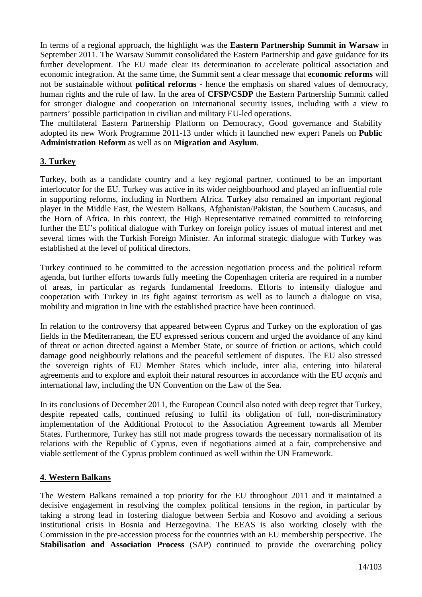In terms of a regional approach, the highlight was the **Eastern Partnership Summit in Warsaw** in September 2011. The Warsaw Summit consolidated the Eastern Partnership and gave guidance for its further development. The EU made clear its determination to accelerate political association and economic integration. At the same time, the Summit sent a clear message that **economic reforms** will not be sustainable without **political reforms** - hence the emphasis on shared values of democracy, human rights and the rule of law. In the area of **CFSP/CSDP** the Eastern Partnership Summit called for stronger dialogue and cooperation on international security issues, including with a view to partners' possible participation in civilian and military EU-led operations.

The multilateral Eastern Partnership Platform on Democracy, Good governance and Stability adopted its new Work Programme 2011-13 under which it launched new expert Panels on **Public Administration Reform** as well as on **Migration and Asylum**.

# **3. Turkey**

Turkey, both as a candidate country and a key regional partner, continued to be an important interlocutor for the EU. Turkey was active in its wider neighbourhood and played an influential role in supporting reforms, including in Northern Africa. Turkey also remained an important regional player in the Middle East, the Western Balkans, Afghanistan/Pakistan, the Southern Caucasus, and the Horn of Africa. In this context, the High Representative remained committed to reinforcing further the EU's political dialogue with Turkey on foreign policy issues of mutual interest and met several times with the Turkish Foreign Minister. An informal strategic dialogue with Turkey was established at the level of political directors.

Turkey continued to be committed to the accession negotiation process and the political reform agenda, but further efforts towards fully meeting the Copenhagen criteria are required in a number of areas, in particular as regards fundamental freedoms. Efforts to intensify dialogue and cooperation with Turkey in its fight against terrorism as well as to launch a dialogue on visa, mobility and migration in line with the established practice have been continued.

In relation to the controversy that appeared between Cyprus and Turkey on the exploration of gas fields in the Mediterranean, the EU expressed serious concern and urged the avoidance of any kind of threat or action directed against a Member State, or source of friction or actions, which could damage good neighbourly relations and the peaceful settlement of disputes. The EU also stressed the sovereign rights of EU Member States which include, inter alia, entering into bilateral agreements and to explore and exploit their natural resources in accordance with the EU *acquis* and international law, including the UN Convention on the Law of the Sea.

In its conclusions of December 2011, the European Council also noted with deep regret that Turkey, despite repeated calls, continued refusing to fulfil its obligation of full, non-discriminatory implementation of the Additional Protocol to the Association Agreement towards all Member States. Furthermore, Turkey has still not made progress towards the necessary normalisation of its relations with the Republic of Cyprus, even if negotiations aimed at a fair, comprehensive and viable settlement of the Cyprus problem continued as well within the UN Framework.

#### **4. Western Balkans**

The Western Balkans remained a top priority for the EU throughout 2011 and it maintained a decisive engagement in resolving the complex political tensions in the region, in particular by taking a strong lead in fostering dialogue between Serbia and Kosovo and avoiding a serious institutional crisis in Bosnia and Herzegovina. The EEAS is also working closely with the Commission in the pre-accession process for the countries with an EU membership perspective. The **Stabilisation and Association Process** (SAP) continued to provide the overarching policy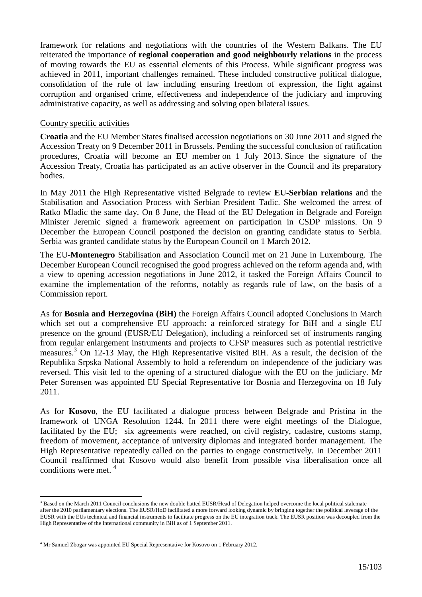framework for relations and negotiations with the countries of the Western Balkans. The EU reiterated the importance of **regional cooperation and good neighbourly relations** in the process of moving towards the EU as essential elements of this Process. While significant progress was achieved in 2011, important challenges remained. These included constructive political dialogue, consolidation of the rule of law including ensuring freedom of expression, the fight against corruption and organised crime, effectiveness and independence of the judiciary and improving administrative capacity, as well as addressing and solving open bilateral issues.

#### Country specific activities

**Croatia** and the EU Member States finalised accession negotiations on 30 June 2011 and signed the Accession Treaty on 9 December 2011 in Brussels. Pending the successful conclusion of ratification procedures, Croatia will become an EU member on 1 July 2013. Since the signature of the Accession Treaty, Croatia has participated as an active observer in the Council and its preparatory bodies.

In May 2011 the High Representative visited Belgrade to review **EU-Serbian relations** and the Stabilisation and Association Process with Serbian President Tadic. She welcomed the arrest of Ratko Mladic the same day. On 8 June, the Head of the EU Delegation in Belgrade and Foreign Minister Jeremic signed a framework agreement on participation in CSDP missions. On 9 December the European Council postponed the decision on granting candidate status to Serbia. Serbia was granted candidate status by the European Council on 1 March 2012.

The EU-**Montenegro** Stabilisation and Association Council met on 21 June in Luxembourg. The December European Council recognised the good progress achieved on the reform agenda and, with a view to opening accession negotiations in June 2012, it tasked the Foreign Affairs Council to examine the implementation of the reforms, notably as regards rule of law, on the basis of a Commission report.

As for **Bosnia and Herzegovina (BiH)** the Foreign Affairs Council adopted Conclusions in March which set out a comprehensive EU approach: a reinforced strategy for BiH and a single EU presence on the ground (EUSR/EU Delegation), including a reinforced set of instruments ranging from regular enlargement instruments and projects to CFSP measures such as potential restrictive measures.<sup>3</sup> On 12-13 May, the High Representative visited BiH. As a result, the decision of the Republika Srpska National Assembly to hold a referendum on independence of the judiciary was reversed. This visit led to the opening of a structured dialogue with the EU on the judiciary. Mr Peter Sorensen was appointed EU Special Representative for Bosnia and Herzegovina on 18 July 2011.

As for **Kosovo**, the EU facilitated a dialogue process between Belgrade and Pristina in the framework of UNGA Resolution 1244. In 2011 there were eight meetings of the Dialogue, facilitated by the EU; six agreements were reached, on civil registry, cadastre, customs stamp, freedom of movement, acceptance of university diplomas and integrated border management. The High Representative repeatedly called on the parties to engage constructively. In December 2011 Council reaffirmed that Kosovo would also benefit from possible visa liberalisation once all conditions were met. <sup>4</sup>

 $\overline{a}$ 

<sup>&</sup>lt;sup>3</sup> Based on the March 2011 Council conclusions the new double hatted EUSR/Head of Delegation helped overcome the local political stalemate after the 2010 parliamentary elections. The EUSR/HoD facilitated a more forward looking dynamic by bringing together the political leverage of the EUSR with the EUs technical and financial instruments to facilitate progress on the EU integration track. The EUSR position was decoupled from the High Representative of the International community in BiH as of 1 September 2011.

<sup>&</sup>lt;sup>4</sup> Mr Samuel Zbogar was appointed EU Special Representative for Kosovo on 1 February 2012.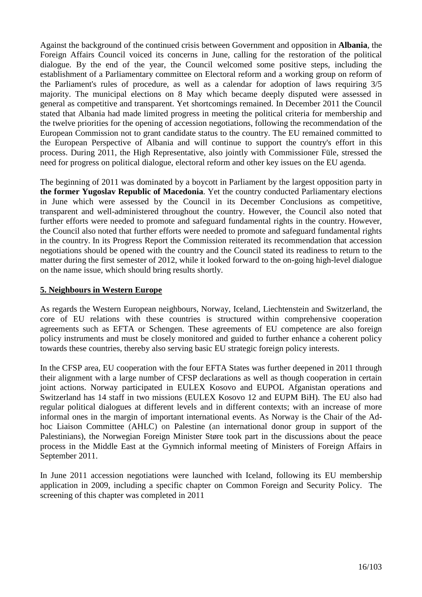Against the background of the continued crisis between Government and opposition in **Albania**, the Foreign Affairs Council voiced its concerns in June, calling for the restoration of the political dialogue. By the end of the year, the Council welcomed some positive steps, including the establishment of a Parliamentary committee on Electoral reform and a working group on reform of the Parliament's rules of procedure, as well as a calendar for adoption of laws requiring 3/5 majority. The municipal elections on 8 May which became deeply disputed were assessed in general as competitive and transparent. Yet shortcomings remained. In December 2011 the Council stated that Albania had made limited progress in meeting the political criteria for membership and the twelve priorities for the opening of accession negotiations, following the recommendation of the European Commission not to grant candidate status to the country. The EU remained committed to the European Perspective of Albania and will continue to support the country's effort in this process. During 2011, the High Representative, also jointly with Commissioner Füle, stressed the need for progress on political dialogue, electoral reform and other key issues on the EU agenda.

The beginning of 2011 was dominated by a boycott in Parliament by the largest opposition party in **the former Yugoslav Republic of Macedonia**. Yet the country conducted Parliamentary elections in June which were assessed by the Council in its December Conclusions as competitive, transparent and well-administered throughout the country. However, the Council also noted that further efforts were needed to promote and safeguard fundamental rights in the country. However, the Council also noted that further efforts were needed to promote and safeguard fundamental rights in the country. In its Progress Report the Commission reiterated its recommendation that accession negotiations should be opened with the country and the Council stated its readiness to return to the matter during the first semester of 2012, while it looked forward to the on-going high-level dialogue on the name issue, which should bring results shortly.

#### **5. Neighbours in Western Europe**

As regards the Western European neighbours, Norway, Iceland, Liechtenstein and Switzerland, the core of EU relations with these countries is structured within comprehensive cooperation agreements such as EFTA or Schengen. These agreements of EU competence are also foreign policy instruments and must be closely monitored and guided to further enhance a coherent policy towards these countries, thereby also serving basic EU strategic foreign policy interests.

In the CFSP area, EU cooperation with the four EFTA States was further deepened in 2011 through their alignment with a large number of CFSP declarations as well as though cooperation in certain joint actions. Norway participated in EULEX Kosovo and EUPOL Afganistan operations and Switzerland has 14 staff in two missions (EULEX Kosovo 12 and EUPM BiH). The EU also had regular political dialogues at different levels and in different contexts; with an increase of more informal ones in the margin of important international events. As Norway is the Chair of the Adhoc Liaison Committee (AHLC) on Palestine (an international donor group in support of the Palestinians), the Norwegian Foreign Minister Støre took part in the discussions about the peace process in the Middle East at the Gymnich informal meeting of Ministers of Foreign Affairs in September 2011.

In June 2011 accession negotiations were launched with Iceland, following its EU membership application in 2009, including a specific chapter on Common Foreign and Security Policy. The screening of this chapter was completed in 2011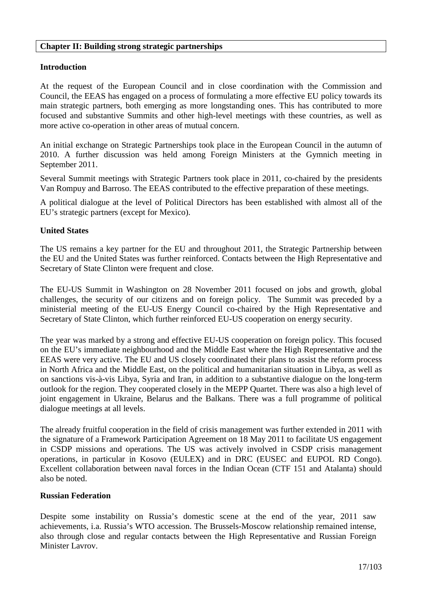#### **Chapter II: Building strong strategic partnerships**

# **Introduction**

At the request of the European Council and in close coordination with the Commission and Council, the EEAS has engaged on a process of formulating a more effective EU policy towards its main strategic partners, both emerging as more longstanding ones. This has contributed to more focused and substantive Summits and other high-level meetings with these countries, as well as more active co-operation in other areas of mutual concern.

An initial exchange on Strategic Partnerships took place in the European Council in the autumn of 2010. A further discussion was held among Foreign Ministers at the Gymnich meeting in September 2011.

Several Summit meetings with Strategic Partners took place in 2011, co-chaired by the presidents Van Rompuy and Barroso. The EEAS contributed to the effective preparation of these meetings.

A political dialogue at the level of Political Directors has been established with almost all of the EU's strategic partners (except for Mexico).

#### **United States**

The US remains a key partner for the EU and throughout 2011, the Strategic Partnership between the EU and the United States was further reinforced. Contacts between the High Representative and Secretary of State Clinton were frequent and close.

The EU-US Summit in Washington on 28 November 2011 focused on jobs and growth, global challenges, the security of our citizens and on foreign policy. The Summit was preceded by a ministerial meeting of the EU-US Energy Council co-chaired by the High Representative and Secretary of State Clinton, which further reinforced EU-US cooperation on energy security.

The year was marked by a strong and effective EU-US cooperation on foreign policy. This focused on the EU's immediate neighbourhood and the Middle East where the High Representative and the EEAS were very active. The EU and US closely coordinated their plans to assist the reform process in North Africa and the Middle East, on the political and humanitarian situation in Libya, as well as on sanctions vis-à-vis Libya, Syria and Iran, in addition to a substantive dialogue on the long-term outlook for the region. They cooperated closely in the MEPP Quartet. There was also a high level of joint engagement in Ukraine, Belarus and the Balkans. There was a full programme of political dialogue meetings at all levels.

The already fruitful cooperation in the field of crisis management was further extended in 2011 with the signature of a Framework Participation Agreement on 18 May 2011 to facilitate US engagement in CSDP missions and operations. The US was actively involved in CSDP crisis management operations, in particular in Kosovo (EULEX) and in DRC (EUSEC and EUPOL RD Congo). Excellent collaboration between naval forces in the Indian Ocean (CTF 151 and Atalanta) should also be noted.

#### **Russian Federation**

Despite some instability on Russia's domestic scene at the end of the year, 2011 saw achievements, i.a. Russia's WTO accession. The Brussels-Moscow relationship remained intense, also through close and regular contacts between the High Representative and Russian Foreign Minister Lavrov.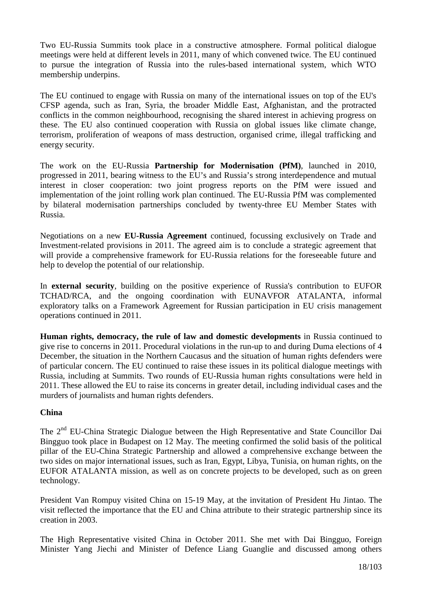Two EU-Russia Summits took place in a constructive atmosphere. Formal political dialogue meetings were held at different levels in 2011, many of which convened twice. The EU continued to pursue the integration of Russia into the rules-based international system, which WTO membership underpins.

The EU continued to engage with Russia on many of the international issues on top of the EU's CFSP agenda, such as Iran, Syria, the broader Middle East, Afghanistan, and the protracted conflicts in the common neighbourhood, recognising the shared interest in achieving progress on these. The EU also continued cooperation with Russia on global issues like climate change, terrorism, proliferation of weapons of mass destruction, organised crime, illegal trafficking and energy security.

The work on the EU-Russia **Partnership for Modernisation (PfM)**, launched in 2010, progressed in 2011, bearing witness to the EU's and Russia's strong interdependence and mutual interest in closer cooperation: two joint progress reports on the PfM were issued and implementation of the joint rolling work plan continued. The EU-Russia PfM was complemented by bilateral modernisation partnerships concluded by twenty-three EU Member States with Russia.

Negotiations on a new **EU-Russia Agreement** continued, focussing exclusively on Trade and Investment-related provisions in 2011. The agreed aim is to conclude a strategic agreement that will provide a comprehensive framework for EU-Russia relations for the foreseeable future and help to develop the potential of our relationship.

In **external security**, building on the positive experience of Russia's contribution to EUFOR TCHAD/RCA, and the ongoing coordination with EUNAVFOR ATALANTA, informal exploratory talks on a Framework Agreement for Russian participation in EU crisis management operations continued in 2011.

**Human rights, democracy, the rule of law and domestic developments** in Russia continued to give rise to concerns in 2011. Procedural violations in the run-up to and during Duma elections of 4 December, the situation in the Northern Caucasus and the situation of human rights defenders were of particular concern. The EU continued to raise these issues in its political dialogue meetings with Russia, including at Summits. Two rounds of EU-Russia human rights consultations were held in 2011. These allowed the EU to raise its concerns in greater detail, including individual cases and the murders of journalists and human rights defenders.

# **China**

The 2<sup>nd</sup> EU-China Strategic Dialogue between the High Representative and State Councillor Dai Bingguo took place in Budapest on 12 May. The meeting confirmed the solid basis of the political pillar of the EU-China Strategic Partnership and allowed a comprehensive exchange between the two sides on major international issues, such as Iran, Egypt, Libya, Tunisia, on human rights, on the EUFOR ATALANTA mission, as well as on concrete projects to be developed, such as on green technology.

President Van Rompuy visited China on 15-19 May, at the invitation of President Hu Jintao. The visit reflected the importance that the EU and China attribute to their strategic partnership since its creation in 2003.

The High Representative visited China in October 2011. She met with Dai Bingguo, Foreign Minister Yang Jiechi and Minister of Defence Liang Guanglie and discussed among others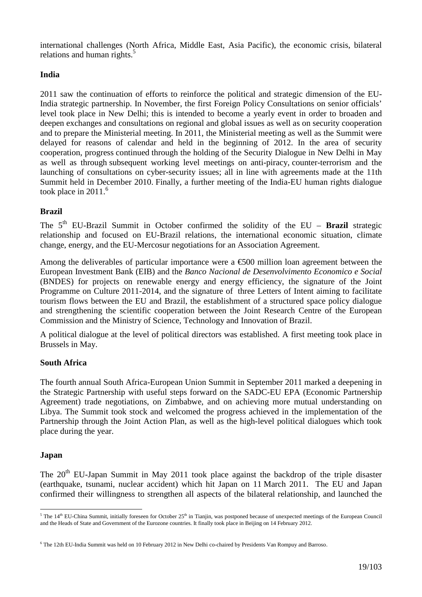international challenges (North Africa, Middle East, Asia Pacific), the economic crisis, bilateral relations and human rights.<sup>5</sup>

# **India**

2011 saw the continuation of efforts to reinforce the political and strategic dimension of the EU-India strategic partnership. In November, the first Foreign Policy Consultations on senior officials' level took place in New Delhi; this is intended to become a yearly event in order to broaden and deepen exchanges and consultations on regional and global issues as well as on security cooperation and to prepare the Ministerial meeting. In 2011, the Ministerial meeting as well as the Summit were delayed for reasons of calendar and held in the beginning of 2012. In the area of security cooperation, progress continued through the holding of the Security Dialogue in New Delhi in May as well as through subsequent working level meetings on anti-piracy, counter-terrorism and the launching of consultations on cyber-security issues; all in line with agreements made at the 11th Summit held in December 2010. Finally, a further meeting of the India-EU human rights dialogue took place in  $2011<sup>6</sup>$ 

# **Brazil**

The  $5<sup>th</sup>$  EU-Brazil Summit in October confirmed the solidity of the EU – **Brazil** strategic relationship and focused on EU-Brazil relations, the international economic situation, climate change, energy, and the EU-Mercosur negotiations for an Association Agreement.

Among the deliverables of particular importance were a  $\epsilon$ 500 million loan agreement between the European Investment Bank (EIB) and the *Banco Nacional de Desenvolvimento Economico e Social*  (BNDES) for projects on renewable energy and energy efficiency, the signature of the Joint Programme on Culture 2011-2014, and the signature of three Letters of Intent aiming to facilitate tourism flows between the EU and Brazil, the establishment of a structured space policy dialogue and strengthening the scientific cooperation between the Joint Research Centre of the European Commission and the Ministry of Science, Technology and Innovation of Brazil.

A political dialogue at the level of political directors was established. A first meeting took place in Brussels in May.

# **South Africa**

The fourth annual South Africa-European Union Summit in September 2011 marked a deepening in the Strategic Partnership with useful steps forward on the SADC-EU EPA (Economic Partnership Agreement) trade negotiations, on Zimbabwe, and on achieving more mutual understanding on Libya. The Summit took stock and welcomed the progress achieved in the implementation of the Partnership through the Joint Action Plan, as well as the high-level political dialogues which took place during the year.

# **Japan**

The  $20<sup>th</sup>$  EU-Japan Summit in May 2011 took place against the backdrop of the triple disaster (earthquake, tsunami, nuclear accident) which hit Japan on 11 March 2011. The EU and Japan confirmed their willingness to strengthen all aspects of the bilateral relationship, and launched the

<sup>&</sup>lt;sup>5</sup> The 14<sup>th</sup> EU-China Summit, initially foreseen for October 25<sup>th</sup> in Tianjin, was postponed because of unexpected meetings of the European Council and the Heads of State and Government of the Eurozone countries. It finally took place in Beijing on 14 February 2012.

<sup>6</sup> The 12th EU-India Summit was held on 10 February 2012 in New Delhi co-chaired by Presidents Van Rompuy and Barroso.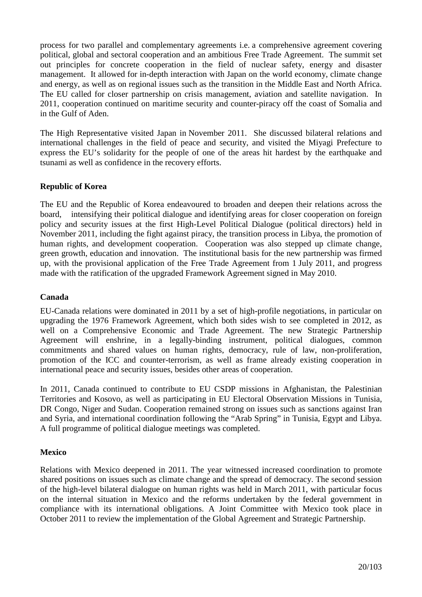process for two parallel and complementary agreements i.e. a comprehensive agreement covering political, global and sectoral cooperation and an ambitious Free Trade Agreement. The summit set out principles for concrete cooperation in the field of nuclear safety, energy and disaster management. It allowed for in-depth interaction with Japan on the world economy, climate change and energy, as well as on regional issues such as the transition in the Middle East and North Africa. The EU called for closer partnership on crisis management, aviation and satellite navigation. In 2011, cooperation continued on maritime security and counter-piracy off the coast of Somalia and in the Gulf of Aden.

The High Representative visited Japan in November 2011. She discussed bilateral relations and international challenges in the field of peace and security, and visited the Miyagi Prefecture to express the EU's solidarity for the people of one of the areas hit hardest by the earthquake and tsunami as well as confidence in the recovery efforts.

# **Republic of Korea**

The EU and the Republic of Korea endeavoured to broaden and deepen their relations across the board, intensifying their political dialogue and identifying areas for closer cooperation on foreign policy and security issues at the first High-Level Political Dialogue (political directors) held in November 2011, including the fight against piracy, the transition process in Libya, the promotion of human rights, and development cooperation. Cooperation was also stepped up climate change, green growth, education and innovation. The institutional basis for the new partnership was firmed up, with the provisional application of the Free Trade Agreement from 1 July 2011, and progress made with the ratification of the upgraded Framework Agreement signed in May 2010.

# **Canada**

EU-Canada relations were dominated in 2011 by a set of high-profile negotiations, in particular on upgrading the 1976 Framework Agreement, which both sides wish to see completed in 2012, as well on a Comprehensive Economic and Trade Agreement. The new Strategic Partnership Agreement will enshrine, in a legally-binding instrument, political dialogues, common commitments and shared values on human rights, democracy, rule of law, non-proliferation, promotion of the ICC and counter-terrorism, as well as frame already existing cooperation in international peace and security issues, besides other areas of cooperation.

In 2011, Canada continued to contribute to EU CSDP missions in Afghanistan, the Palestinian Territories and Kosovo, as well as participating in EU Electoral Observation Missions in Tunisia, DR Congo, Niger and Sudan. Cooperation remained strong on issues such as sanctions against Iran and Syria, and international coordination following the "Arab Spring" in Tunisia, Egypt and Libya. A full programme of political dialogue meetings was completed.

#### **Mexico**

Relations with Mexico deepened in 2011. The year witnessed increased coordination to promote shared positions on issues such as climate change and the spread of democracy. The second session of the high-level bilateral dialogue on human rights was held in March 2011, with particular focus on the internal situation in Mexico and the reforms undertaken by the federal government in compliance with its international obligations. A Joint Committee with Mexico took place in October 2011 to review the implementation of the Global Agreement and Strategic Partnership.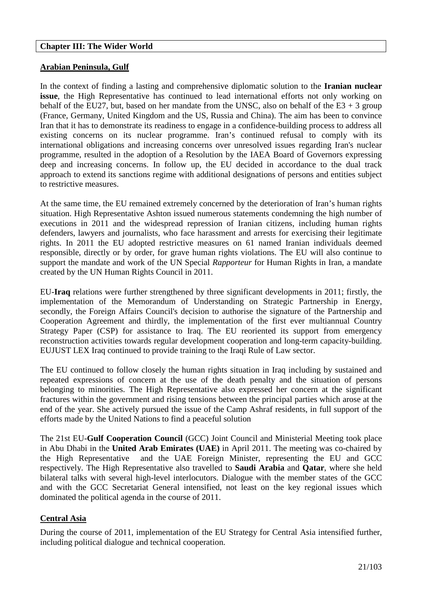#### **Chapter III: The Wider World**

#### **Arabian Peninsula, Gulf**

In the context of finding a lasting and comprehensive diplomatic solution to the **Iranian nuclear issue**, the High Representative has continued to lead international efforts not only working on behalf of the EU27, but, based on her mandate from the UNSC, also on behalf of the  $E3 + 3$  group (France, Germany, United Kingdom and the US, Russia and China). The aim has been to convince Iran that it has to demonstrate its readiness to engage in a confidence-building process to address all existing concerns on its nuclear programme. Iran's continued refusal to comply with its international obligations and increasing concerns over unresolved issues regarding Iran's nuclear programme, resulted in the adoption of a Resolution by the IAEA Board of Governors expressing deep and increasing concerns. In follow up, the EU decided in accordance to the dual track approach to extend its sanctions regime with additional designations of persons and entities subject to restrictive measures.

At the same time, the EU remained extremely concerned by the deterioration of Iran's human rights situation. High Representative Ashton issued numerous statements condemning the high number of executions in 2011 and the widespread repression of Iranian citizens, including human rights defenders, lawyers and journalists, who face harassment and arrests for exercising their legitimate rights. In 2011 the EU adopted restrictive measures on 61 named Iranian individuals deemed responsible, directly or by order, for grave human rights violations. The EU will also continue to support the mandate and work of the UN Special *Rapporteur* for Human Rights in Iran, a mandate created by the UN Human Rights Council in 2011.

EU-**Iraq** relations were further strengthened by three significant developments in 2011; firstly, the implementation of the Memorandum of Understanding on Strategic Partnership in Energy, secondly, the Foreign Affairs Council's decision to authorise the signature of the Partnership and Cooperation Agreement and thirdly, the implementation of the first ever multiannual Country Strategy Paper (CSP) for assistance to Iraq. The EU reoriented its support from emergency reconstruction activities towards regular development cooperation and long-term capacity-building. EUJUST LEX Iraq continued to provide training to the Iraqi Rule of Law sector.

The EU continued to follow closely the human rights situation in Iraq including by sustained and repeated expressions of concern at the use of the death penalty and the situation of persons belonging to minorities. The High Representative also expressed her concern at the significant fractures within the government and rising tensions between the principal parties which arose at the end of the year. She actively pursued the issue of the Camp Ashraf residents, in full support of the efforts made by the United Nations to find a peaceful solution

The 21st EU-**Gulf Cooperation Council** (GCC) Joint Council and Ministerial Meeting took place in Abu Dhabi in the **United Arab Emirates (UAE)** in April 2011. The meeting was co-chaired by the High Representative and the UAE Foreign Minister, representing the EU and GCC respectively. The High Representative also travelled to **Saudi Arabia** and **Qatar**, where she held bilateral talks with several high-level interlocutors. Dialogue with the member states of the GCC and with the GCC Secretariat General intensified, not least on the key regional issues which dominated the political agenda in the course of 2011.

# **Central Asia**

During the course of 2011, implementation of the EU Strategy for Central Asia intensified further, including political dialogue and technical cooperation.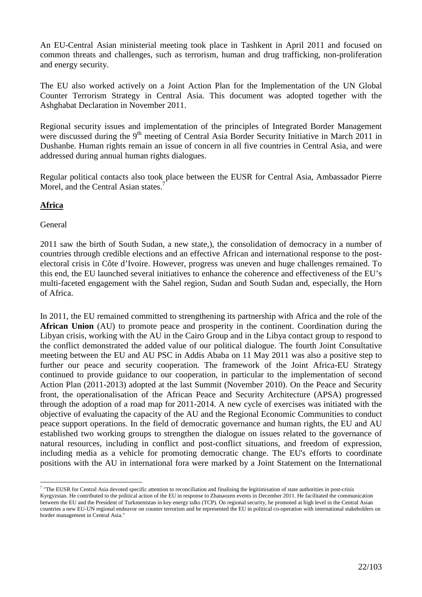An EU-Central Asian ministerial meeting took place in Tashkent in April 2011 and focused on common threats and challenges, such as terrorism, human and drug trafficking, non-proliferation and energy security.

The EU also worked actively on a Joint Action Plan for the Implementation of the UN Global Counter Terrorism Strategy in Central Asia. This document was adopted together with the Ashghabat Declaration in November 2011.

Regional security issues and implementation of the principles of Integrated Border Management were discussed during the 9<sup>th</sup> meeting of Central Asia Border Security Initiative in March 2011 in Dushanbe. Human rights remain an issue of concern in all five countries in Central Asia, and were addressed during annual human rights dialogues.

Regular political contacts also took place between the EUSR for Central Asia, Ambassador Pierre Morel, and the Central Asian states.<sup>7</sup>

#### **Africa**

#### General

2011 saw the birth of South Sudan, a new state,), the consolidation of democracy in a number of countries through credible elections and an effective African and international response to the postelectoral crisis in Côte d'Ivoire. However, progress was uneven and huge challenges remained. To this end, the EU launched several initiatives to enhance the coherence and effectiveness of the EU's multi-faceted engagement with the Sahel region, Sudan and South Sudan and, especially, the Horn of Africa.

In 2011, the EU remained committed to strengthening its partnership with Africa and the role of the **African Union** (AU) to promote peace and prosperity in the continent. Coordination during the Libyan crisis, working with the AU in the Cairo Group and in the Libya contact group to respond to the conflict demonstrated the added value of our political dialogue. The fourth Joint Consultative meeting between the EU and AU PSC in Addis Ababa on 11 May 2011 was also a positive step to further our peace and security cooperation. The framework of the Joint Africa-EU Strategy continued to provide guidance to our cooperation, in particular to the implementation of second Action Plan (2011-2013) adopted at the last Summit (November 2010). On the Peace and Security front, the operationalisation of the African Peace and Security Architecture (APSA) progressed through the adoption of a road map for 2011-2014. A new cycle of exercises was initiated with the objective of evaluating the capacity of the AU and the Regional Economic Communities to conduct peace support operations. In the field of democratic governance and human rights, the EU and AU established two working groups to strengthen the dialogue on issues related to the governance of natural resources, including in conflict and post-conflict situations, and freedom of expression, including media as a vehicle for promoting democratic change. The EU's efforts to coordinate positions with the AU in international fora were marked by a Joint Statement on the International

 7 "The EUSR for Central Asia devoted specific attention to reconciliation and finalising the legitimisation of state authorities in post-crisis Kyrgyzstan. He contributed to the political action of the EU in response to Zhanaozen events in December 2011. He facilitated the communication between the EU and the President of Turkmenistan in key energy talks (TCP). On regional security, he promoted at high level in the Central Asian countries a new EU-UN regional endeavor on counter terrorism and he represented the EU in political co-operation with international stakeholders on border management in Central Asia."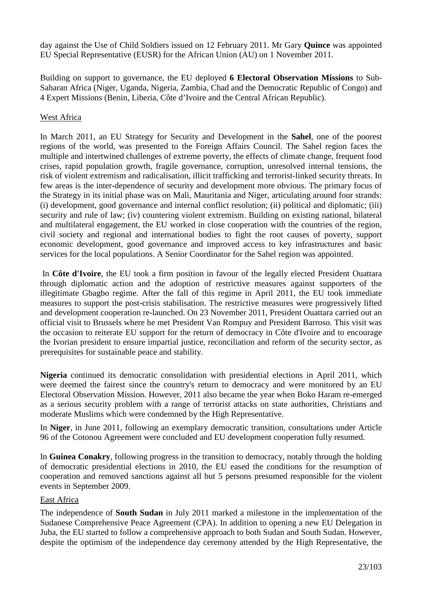day against the Use of Child Soldiers issued on 12 February 2011. Mr Gary **Quince** was appointed EU Special Representative (EUSR) for the African Union (AU) on 1 November 2011.

Building on support to governance, the EU deployed **6 Electoral Observation Missions** to Sub-Saharan Africa (Niger, Uganda, Nigeria, Zambia, Chad and the Democratic Republic of Congo) and 4 Expert Missions (Benin, Liberia, Côte d'Ivoire and the Central African Republic).

# West Africa

In March 2011, an EU Strategy for Security and Development in the **Sahel**, one of the poorest regions of the world, was presented to the Foreign Affairs Council. The Sahel region faces the multiple and intertwined challenges of extreme poverty, the effects of climate change, frequent food crises, rapid population growth, fragile governance, corruption, unresolved internal tensions, the risk of violent extremism and radicalisation, illicit trafficking and terrorist-linked security threats. In few areas is the inter-dependence of security and development more obvious. The primary focus of the Strategy in its initial phase was on Mali, Mauritania and Niger, articulating around four strands: (i) development, good governance and internal conflict resolution; (ii) political and diplomatic; (iii) security and rule of law; (iv) countering violent extremism. Building on existing national, bilateral and multilateral engagement, the EU worked in close cooperation with the countries of the region, civil society and regional and international bodies to fight the root causes of poverty, support economic development, good governance and improved access to key infrastructures and basic services for the local populations. A Senior Coordinator for the Sahel region was appointed.

 In **Côte d'Ivoire**, the EU took a firm position in favour of the legally elected President Ouattara through diplomatic action and the adoption of restrictive measures against supporters of the illegitimate Gbagbo regime. After the fall of this regime in April 2011, the EU took immediate measures to support the post-crisis stabilisation. The restrictive measures were progressively lifted and development cooperation re-launched. On 23 November 2011, President Ouattara carried out an official visit to Brussels where he met President Van Rompuy and President Barroso. This visit was the occasion to reiterate EU support for the return of democracy in Côte d'Ivoire and to encourage the Ivorian president to ensure impartial justice, reconciliation and reform of the security sector, as prerequisites for sustainable peace and stability.

**Nigeria** continued its democratic consolidation with presidential elections in April 2011, which were deemed the fairest since the country's return to democracy and were monitored by an EU Electoral Observation Mission. However, 2011 also became the year when Boko Haram re-emerged as a serious security problem with a range of terrorist attacks on state authorities, Christians and moderate Muslims which were condemned by the High Representative.

In **Niger**, in June 2011, following an exemplary democratic transition, consultations under Article 96 of the Cotonou Agreement were concluded and EU development cooperation fully resumed.

In **Guinea Conakry**, following progress in the transition to democracy, notably through the holding of democratic presidential elections in 2010, the EU eased the conditions for the resumption of cooperation and removed sanctions against all but 5 persons presumed responsible for the violent events in September 2009.

#### East Africa

The independence of **South Sudan** in July 2011 marked a milestone in the implementation of the Sudanese Comprehensive Peace Agreement (CPA). In addition to opening a new EU Delegation in Juba, the EU started to follow a comprehensive approach to both Sudan and South Sudan. However, despite the optimism of the independence day ceremony attended by the High Representative, the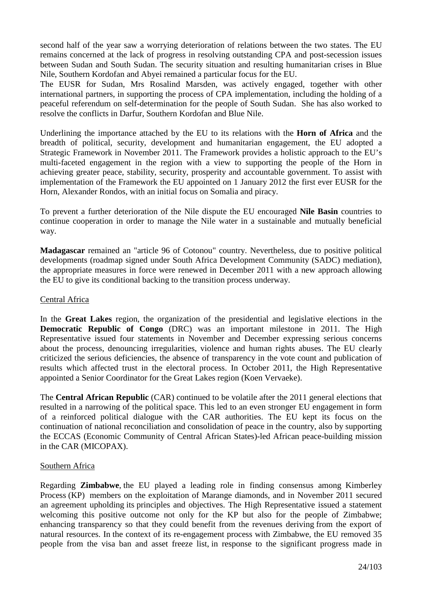second half of the year saw a worrying deterioration of relations between the two states. The EU remains concerned at the lack of progress in resolving outstanding CPA and post-secession issues between Sudan and South Sudan. The security situation and resulting humanitarian crises in Blue Nile, Southern Kordofan and Abyei remained a particular focus for the EU.

The EUSR for Sudan, Mrs Rosalind Marsden, was actively engaged, together with other international partners, in supporting the process of CPA implementation, including the holding of a peaceful referendum on self-determination for the people of South Sudan. She has also worked to resolve the conflicts in Darfur, Southern Kordofan and Blue Nile.

Underlining the importance attached by the EU to its relations with the **Horn of Africa** and the breadth of political, security, development and humanitarian engagement, the EU adopted a Strategic Framework in November 2011. The Framework provides a holistic approach to the EU's multi-faceted engagement in the region with a view to supporting the people of the Horn in achieving greater peace, stability, security, prosperity and accountable government. To assist with implementation of the Framework the EU appointed on 1 January 2012 the first ever EUSR for the Horn, Alexander Rondos, with an initial focus on Somalia and piracy.

To prevent a further deterioration of the Nile dispute the EU encouraged **Nile Basin** countries to continue cooperation in order to manage the Nile water in a sustainable and mutually beneficial way.

**Madagascar** remained an "article 96 of Cotonou" country. Nevertheless, due to positive political developments (roadmap signed under South Africa Development Community (SADC) mediation), the appropriate measures in force were renewed in December 2011 with a new approach allowing the EU to give its conditional backing to the transition process underway.

# Central Africa

In the **Great Lakes** region, the organization of the presidential and legislative elections in the **Democratic Republic of Congo** (DRC) was an important milestone in 2011. The High Representative issued four statements in November and December expressing serious concerns about the process, denouncing irregularities, violence and human rights abuses. The EU clearly criticized the serious deficiencies, the absence of transparency in the vote count and publication of results which affected trust in the electoral process. In October 2011, the High Representative appointed a Senior Coordinator for the Great Lakes region (Koen Vervaeke).

The **Central African Republic** (CAR) continued to be volatile after the 2011 general elections that resulted in a narrowing of the political space. This led to an even stronger EU engagement in form of a reinforced political dialogue with the CAR authorities. The EU kept its focus on the continuation of national reconciliation and consolidation of peace in the country, also by supporting the ECCAS (Economic Community of Central African States)-led African peace-building mission in the CAR (MICOPAX).

#### Southern Africa

Regarding **Zimbabwe**, the EU played a leading role in finding consensus among Kimberley Process (KP) members on the exploitation of Marange diamonds, and in November 2011 secured an agreement upholding its principles and objectives. The High Representative issued a statement welcoming this positive outcome not only for the KP but also for the people of Zimbabwe; enhancing transparency so that they could benefit from the revenues deriving from the export of natural resources. In the context of its re-engagement process with Zimbabwe, the EU removed 35 people from the visa ban and asset freeze list, in response to the significant progress made in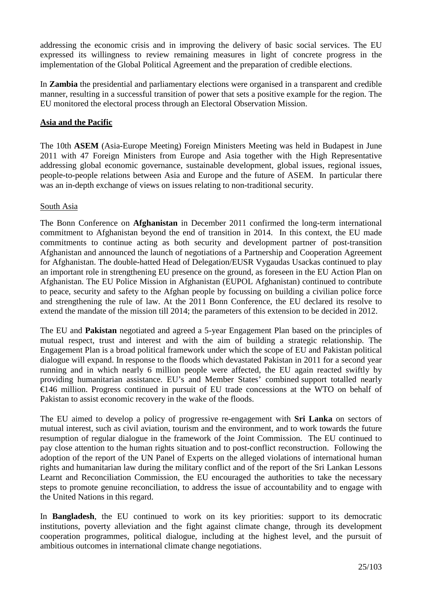addressing the economic crisis and in improving the delivery of basic social services. The EU expressed its willingness to review remaining measures in light of concrete progress in the implementation of the Global Political Agreement and the preparation of credible elections.

In **Zambia** the presidential and parliamentary elections were organised in a transparent and credible manner, resulting in a successful transition of power that sets a positive example for the region. The EU monitored the electoral process through an Electoral Observation Mission.

# **Asia and the Pacific**

The 10th **ASEM** (Asia-Europe Meeting) Foreign Ministers Meeting was held in Budapest in June 2011 with 47 Foreign Ministers from Europe and Asia together with the High Representative addressing global economic governance, sustainable development, global issues, regional issues, people-to-people relations between Asia and Europe and the future of ASEM. In particular there was an in-depth exchange of views on issues relating to non-traditional security.

# South Asia

The Bonn Conference on **Afghanistan** in December 2011 confirmed the long-term international commitment to Afghanistan beyond the end of transition in 2014. In this context, the EU made commitments to continue acting as both security and development partner of post-transition Afghanistan and announced the launch of negotiations of a Partnership and Cooperation Agreement for Afghanistan. The double-hatted Head of Delegation/EUSR Vygaudas Usackas continued to play an important role in strengthening EU presence on the ground, as foreseen in the EU Action Plan on Afghanistan. The EU Police Mission in Afghanistan (EUPOL Afghanistan) continued to contribute to peace, security and safety to the Afghan people by focussing on building a civilian police force and strengthening the rule of law. At the 2011 Bonn Conference, the EU declared its resolve to extend the mandate of the mission till 2014; the parameters of this extension to be decided in 2012.

The EU and **Pakistan** negotiated and agreed a 5-year Engagement Plan based on the principles of mutual respect, trust and interest and with the aim of building a strategic relationship. The Engagement Plan is a broad political framework under which the scope of EU and Pakistan political dialogue will expand. In response to the floods which devastated Pakistan in 2011 for a second year running and in which nearly 6 million people were affected, the EU again reacted swiftly by providing humanitarian assistance. EU's and Member States' combined support totalled nearly €146 million. Progress continued in pursuit of EU trade concessions at the WTO on behalf of Pakistan to assist economic recovery in the wake of the floods.

The EU aimed to develop a policy of progressive re-engagement with **Sri Lanka** on sectors of mutual interest, such as civil aviation, tourism and the environment, and to work towards the future resumption of regular dialogue in the framework of the Joint Commission. The EU continued to pay close attention to the human rights situation and to post-conflict reconstruction. Following the adoption of the report of the UN Panel of Experts on the alleged violations of international human rights and humanitarian law during the military conflict and of the report of the Sri Lankan Lessons Learnt and Reconciliation Commission, the EU encouraged the authorities to take the necessary steps to promote genuine reconciliation, to address the issue of accountability and to engage with the United Nations in this regard.

In **Bangladesh**, the EU continued to work on its key priorities: support to its democratic institutions, poverty alleviation and the fight against climate change, through its development cooperation programmes, political dialogue, including at the highest level, and the pursuit of ambitious outcomes in international climate change negotiations.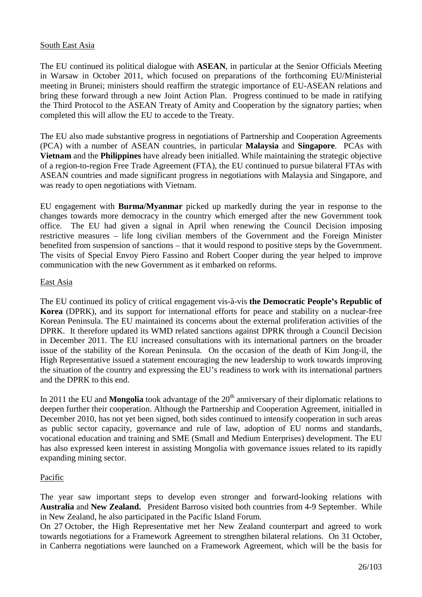# South East Asia

The EU continued its political dialogue with **ASEAN**, in particular at the Senior Officials Meeting in Warsaw in October 2011, which focused on preparations of the forthcoming EU/Ministerial meeting in Brunei; ministers should reaffirm the strategic importance of EU-ASEAN relations and bring these forward through a new Joint Action Plan. Progress continued to be made in ratifying the Third Protocol to the ASEAN Treaty of Amity and Cooperation by the signatory parties; when completed this will allow the EU to accede to the Treaty.

The EU also made substantive progress in negotiations of Partnership and Cooperation Agreements (PCA) with a number of ASEAN countries, in particular **Malaysia** and **Singapore**. PCAs with **Vietnam** and the **Philippines** have already been initialled. While maintaining the strategic objective of a region-to-region Free Trade Agreement (FTA), the EU continued to pursue bilateral FTAs with ASEAN countries and made significant progress in negotiations with Malaysia and Singapore, and was ready to open negotiations with Vietnam.

EU engagement with **Burma/Myanmar** picked up markedly during the year in response to the changes towards more democracy in the country which emerged after the new Government took office. The EU had given a signal in April when renewing the Council Decision imposing restrictive measures – life long civilian members of the Government and the Foreign Minister benefited from suspension of sanctions – that it would respond to positive steps by the Government. The visits of Special Envoy Piero Fassino and Robert Cooper during the year helped to improve communication with the new Government as it embarked on reforms.

#### East Asia

The EU continued its policy of critical engagement vis-à-vis **the Democratic People's Republic of Korea** (DPRK), and its support for international efforts for peace and stability on a nuclear-free Korean Peninsula. The EU maintained its concerns about the external proliferation activities of the DPRK. It therefore updated its WMD related sanctions against DPRK through a Council Decision in December 2011. The EU increased consultations with its international partners on the broader issue of the stability of the Korean Peninsula. On the occasion of the death of Kim Jong-il, the High Representative issued a statement encouraging the new leadership to work towards improving the situation of the country and expressing the EU's readiness to work with its international partners and the DPRK to this end.

In 2011 the EU and **Mongolia** took advantage of the 20<sup>th</sup> anniversary of their diplomatic relations to deepen further their cooperation. Although the Partnership and Cooperation Agreement, initialled in December 2010, has not yet been signed, both sides continued to intensify cooperation in such areas as public sector capacity, governance and rule of law, adoption of EU norms and standards, vocational education and training and SME (Small and Medium Enterprises) development. The EU has also expressed keen interest in assisting Mongolia with governance issues related to its rapidly expanding mining sector.

#### Pacific

The year saw important steps to develop even stronger and forward-looking relations with **Australia** and **New Zealand.** President Barroso visited both countries from 4-9 September. While in New Zealand, he also participated in the Pacific Island Forum.

On 27 October, the High Representative met her New Zealand counterpart and agreed to work towards negotiations for a Framework Agreement to strengthen bilateral relations. On 31 October, in Canberra negotiations were launched on a Framework Agreement, which will be the basis for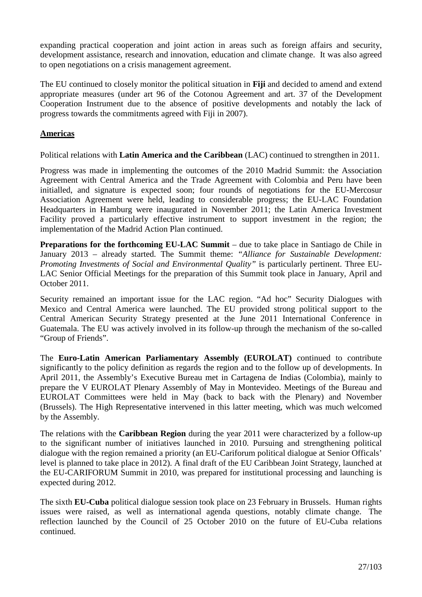expanding practical cooperation and joint action in areas such as foreign affairs and security, development assistance, research and innovation, education and climate change. It was also agreed to open negotiations on a crisis management agreement.

The EU continued to closely monitor the political situation in **Fiji** and decided to amend and extend appropriate measures (under art 96 of the Cotonou Agreement and art. 37 of the Development Cooperation Instrument due to the absence of positive developments and notably the lack of progress towards the commitments agreed with Fiji in 2007).

# **Americas**

Political relations with **Latin America and the Caribbean** (LAC) continued to strengthen in 2011.

Progress was made in implementing the outcomes of the 2010 Madrid Summit: the Association Agreement with Central America and the Trade Agreement with Colombia and Peru have been initialled, and signature is expected soon; four rounds of negotiations for the EU-Mercosur Association Agreement were held, leading to considerable progress; the EU-LAC Foundation Headquarters in Hamburg were inaugurated in November 2011; the Latin America Investment Facility proved a particularly effective instrument to support investment in the region; the implementation of the Madrid Action Plan continued.

**Preparations for the forthcoming EU-LAC Summit** – due to take place in Santiago de Chile in January 2013 – already started. The Summit theme: *"Alliance for Sustainable Development: Promoting Investments of Social and Environmental Quality"* is particularly pertinent. Three EU-LAC Senior Official Meetings for the preparation of this Summit took place in January, April and October 2011.

Security remained an important issue for the LAC region. "Ad hoc" Security Dialogues with Mexico and Central America were launched. The EU provided strong political support to the Central American Security Strategy presented at the June 2011 International Conference in Guatemala. The EU was actively involved in its follow-up through the mechanism of the so-called "Group of Friends".

The **Euro-Latin American Parliamentary Assembly (EUROLAT)** continued to contribute significantly to the policy definition as regards the region and to the follow up of developments. In April 2011, the Assembly's Executive Bureau met in Cartagena de Indias (Colombia), mainly to prepare the V EUROLAT Plenary Assembly of May in Montevideo. Meetings of the Bureau and EUROLAT Committees were held in May (back to back with the Plenary) and November (Brussels). The High Representative intervened in this latter meeting, which was much welcomed by the Assembly.

The relations with the **Caribbean Region** during the year 2011 were characterized by a follow-up to the significant number of initiatives launched in 2010. Pursuing and strengthening political dialogue with the region remained a priority (an EU-Cariforum political dialogue at Senior Officals' level is planned to take place in 2012). A final draft of the EU Caribbean Joint Strategy, launched at the EU-CARIFORUM Summit in 2010, was prepared for institutional processing and launching is expected during 2012.

The sixth **EU-Cuba** political dialogue session took place on 23 February in Brussels. Human rights issues were raised, as well as international agenda questions, notably climate change. The reflection launched by the Council of 25 October 2010 on the future of EU-Cuba relations continued.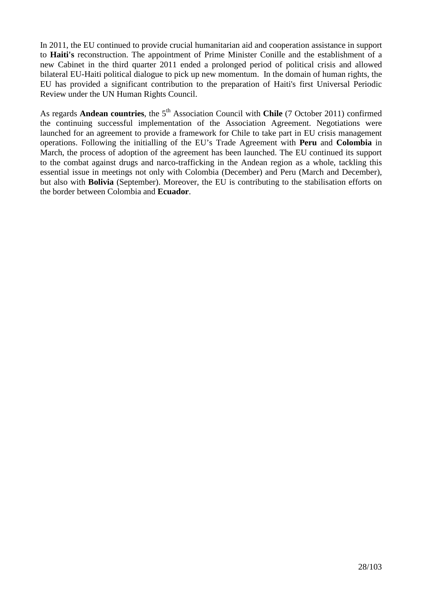In 2011, the EU continued to provide crucial humanitarian aid and cooperation assistance in support to **Haiti's** reconstruction. The appointment of Prime Minister Conille and the establishment of a new Cabinet in the third quarter 2011 ended a prolonged period of political crisis and allowed bilateral EU-Haiti political dialogue to pick up new momentum. In the domain of human rights, the EU has provided a significant contribution to the preparation of Haiti's first Universal Periodic Review under the UN Human Rights Council.

As regards **Andean countries**, the 5<sup>th</sup> Association Council with **Chile** (7 October 2011) confirmed the continuing successful implementation of the Association Agreement. Negotiations were launched for an agreement to provide a framework for Chile to take part in EU crisis management operations. Following the initialling of the EU's Trade Agreement with **Peru** and **Colombia** in March, the process of adoption of the agreement has been launched. The EU continued its support to the combat against drugs and narco-trafficking in the Andean region as a whole, tackling this essential issue in meetings not only with Colombia (December) and Peru (March and December), but also with **Bolivia** (September). Moreover, the EU is contributing to the stabilisation efforts on the border between Colombia and **Ecuador**.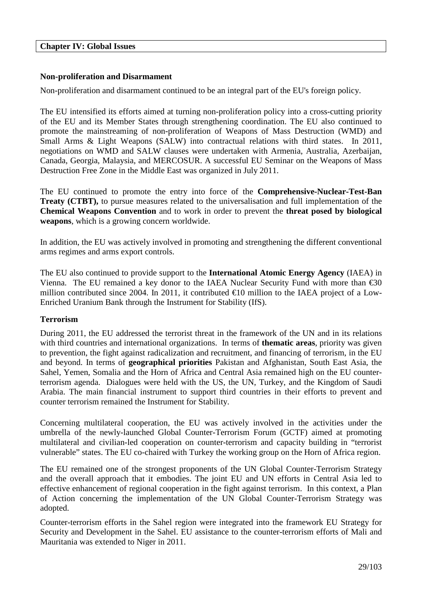#### **Chapter IV: Global Issues**

# **Non-proliferation and Disarmament**

Non-proliferation and disarmament continued to be an integral part of the EU's foreign policy.

The EU intensified its efforts aimed at turning non-proliferation policy into a cross-cutting priority of the EU and its Member States through strengthening coordination. The EU also continued to promote the mainstreaming of non-proliferation of Weapons of Mass Destruction (WMD) and Small Arms & Light Weapons (SALW) into contractual relations with third states. In 2011, negotiations on WMD and SALW clauses were undertaken with Armenia, Australia, Azerbaijan, Canada, Georgia, Malaysia, and MERCOSUR. A successful EU Seminar on the Weapons of Mass Destruction Free Zone in the Middle East was organized in July 2011.

The EU continued to promote the entry into force of the **Comprehensive-Nuclear-Test-Ban Treaty (CTBT),** to pursue measures related to the universalisation and full implementation of the **Chemical Weapons Convention** and to work in order to prevent the **threat posed by biological weapons**, which is a growing concern worldwide.

In addition, the EU was actively involved in promoting and strengthening the different conventional arms regimes and arms export controls.

The EU also continued to provide support to the **International Atomic Energy Agency** (IAEA) in Vienna. The EU remained a key donor to the IAEA Nuclear Security Fund with more than  $\epsilon$ 30 million contributed since 2004. In 2011, it contributed  $\epsilon$ 10 million to the IAEA project of a Low-Enriched Uranium Bank through the Instrument for Stability (IfS).

#### **Terrorism**

During 2011, the EU addressed the terrorist threat in the framework of the UN and in its relations with third countries and international organizations. In terms of **thematic areas**, priority was given to prevention, the fight against radicalization and recruitment, and financing of terrorism, in the EU and beyond. In terms of **geographical priorities** Pakistan and Afghanistan, South East Asia, the Sahel, Yemen, Somalia and the Horn of Africa and Central Asia remained high on the EU counterterrorism agenda. Dialogues were held with the US, the UN, Turkey, and the Kingdom of Saudi Arabia. The main financial instrument to support third countries in their efforts to prevent and counter terrorism remained the Instrument for Stability.

Concerning multilateral cooperation, the EU was actively involved in the activities under the umbrella of the newly-launched Global Counter-Terrorism Forum (GCTF) aimed at promoting multilateral and civilian-led cooperation on counter-terrorism and capacity building in "terrorist vulnerable" states. The EU co-chaired with Turkey the working group on the Horn of Africa region.

The EU remained one of the strongest proponents of the UN Global Counter-Terrorism Strategy and the overall approach that it embodies. The joint EU and UN efforts in Central Asia led to effective enhancement of regional cooperation in the fight against terrorism. In this context, a Plan of Action concerning the implementation of the UN Global Counter-Terrorism Strategy was adopted.

Counter-terrorism efforts in the Sahel region were integrated into the framework EU Strategy for Security and Development in the Sahel. EU assistance to the counter-terrorism efforts of Mali and Mauritania was extended to Niger in 2011.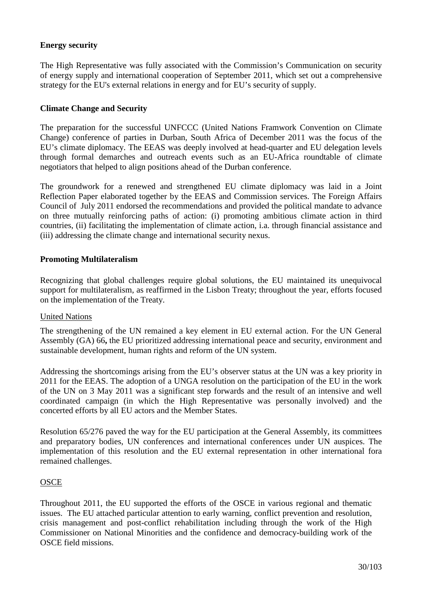# **Energy security**

The High Representative was fully associated with the Commission's Communication on security of energy supply and international cooperation of September 2011, which set out a comprehensive strategy for the EU's external relations in energy and for EU's security of supply.

#### **Climate Change and Security**

The preparation for the successful UNFCCC (United Nations Framwork Convention on Climate Change) conference of parties in Durban, South Africa of December 2011 was the focus of the EU's climate diplomacy. The EEAS was deeply involved at head-quarter and EU delegation levels through formal demarches and outreach events such as an EU-Africa roundtable of climate negotiators that helped to align positions ahead of the Durban conference.

The groundwork for a renewed and strengthened EU climate diplomacy was laid in a Joint Reflection Paper elaborated together by the EEAS and Commission services. The Foreign Affairs Council of July 2011 endorsed the recommendations and provided the political mandate to advance on three mutually reinforcing paths of action: (i) promoting ambitious climate action in third countries, (ii) facilitating the implementation of climate action, i.a. through financial assistance and (iii) addressing the climate change and international security nexus.

#### **Promoting Multilateralism**

Recognizing that global challenges require global solutions, the EU maintained its unequivocal support for multilateralism, as reaffirmed in the Lisbon Treaty; throughout the year, efforts focused on the implementation of the Treaty.

#### United Nations

The strengthening of the UN remained a key element in EU external action. For the UN General Assembly (GA) 66**,** the EU prioritized addressing international peace and security, environment and sustainable development, human rights and reform of the UN system.

Addressing the shortcomings arising from the EU's observer status at the UN was a key priority in 2011 for the EEAS. The adoption of a UNGA resolution on the participation of the EU in the work of the UN on 3 May 2011 was a significant step forwards and the result of an intensive and well coordinated campaign (in which the High Representative was personally involved) and the concerted efforts by all EU actors and the Member States.

Resolution 65/276 paved the way for the EU participation at the General Assembly, its committees and preparatory bodies, UN conferences and international conferences under UN auspices. The implementation of this resolution and the EU external representation in other international fora remained challenges.

#### **OSCE**

Throughout 2011, the EU supported the efforts of the OSCE in various regional and thematic issues. The EU attached particular attention to early warning, conflict prevention and resolution, crisis management and post-conflict rehabilitation including through the work of the High Commissioner on National Minorities and the confidence and democracy-building work of the OSCE field missions.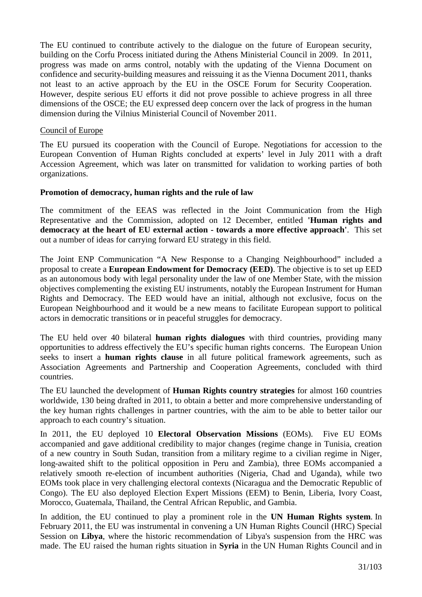The EU continued to contribute actively to the dialogue on the future of European security, building on the Corfu Process initiated during the Athens Ministerial Council in 2009. In 2011, progress was made on arms control, notably with the updating of the Vienna Document on confidence and security-building measures and reissuing it as the Vienna Document 2011, thanks not least to an active approach by the EU in the OSCE Forum for Security Cooperation. However, despite serious EU efforts it did not prove possible to achieve progress in all three dimensions of the OSCE; the EU expressed deep concern over the lack of progress in the human dimension during the Vilnius Ministerial Council of November 2011.

#### Council of Europe

The EU pursued its cooperation with the Council of Europe. Negotiations for accession to the European Convention of Human Rights concluded at experts' level in July 2011 with a draft Accession Agreement, which was later on transmitted for validation to working parties of both organizations.

#### **Promotion of democracy, human rights and the rule of law**

The commitment of the EEAS was reflected in the Joint Communication from the High Representative and the Commission, adopted on 12 December, entitled **'Human rights and democracy at the heart of EU external action - towards a more effective approach'**. This set out a number of ideas for carrying forward EU strategy in this field.

The Joint ENP Communication "A New Response to a Changing Neighbourhood" included a proposal to create a **European Endowment for Democracy (EED)**. The objective is to set up EED as an autonomous body with legal personality under the law of one Member State, with the mission objectives complementing the existing EU instruments, notably the European Instrument for Human Rights and Democracy. The EED would have an initial, although not exclusive, focus on the European Neighbourhood and it would be a new means to facilitate European support to political actors in democratic transitions or in peaceful struggles for democracy.

The EU held over 40 bilateral **human rights dialogues** with third countries, providing many opportunities to address effectively the EU's specific human rights concerns. The European Union seeks to insert a **human rights clause** in all future political framework agreements, such as Association Agreements and Partnership and Cooperation Agreements, concluded with third countries.

The EU launched the development of **Human Rights country strategies** for almost 160 countries worldwide, 130 being drafted in 2011, to obtain a better and more comprehensive understanding of the key human rights challenges in partner countries, with the aim to be able to better tailor our approach to each country's situation.

In 2011, the EU deployed 10 **Electoral Observation Missions** (EOMs). Five EU EOMs accompanied and gave additional credibility to major changes (regime change in Tunisia, creation of a new country in South Sudan, transition from a military regime to a civilian regime in Niger, long-awaited shift to the political opposition in Peru and Zambia), three EOMs accompanied a relatively smooth re-election of incumbent authorities (Nigeria, Chad and Uganda), while two EOMs took place in very challenging electoral contexts (Nicaragua and the Democratic Republic of Congo). The EU also deployed Election Expert Missions (EEM) to Benin, Liberia, Ivory Coast, Morocco, Guatemala, Thailand, the Central African Republic, and Gambia.

In addition, the EU continued to play a prominent role in the **UN Human Rights system**. In February 2011, the EU was instrumental in convening a UN Human Rights Council (HRC) Special Session on **Libya**, where the historic recommendation of Libya's suspension from the HRC was made. The EU raised the human rights situation in **Syria** in the UN Human Rights Council and in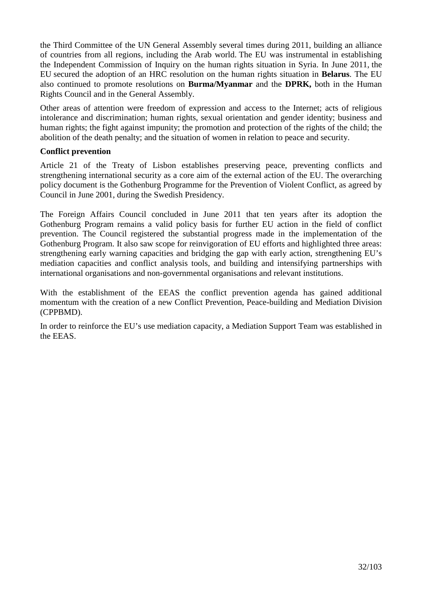the Third Committee of the UN General Assembly several times during 2011, building an alliance of countries from all regions, including the Arab world. The EU was instrumental in establishing the Independent Commission of Inquiry on the human rights situation in Syria. In June 2011, the EU secured the adoption of an HRC resolution on the human rights situation in **Belarus**. The EU also continued to promote resolutions on **Burma/Myanmar** and the **DPRK,** both in the Human Rights Council and in the General Assembly.

Other areas of attention were freedom of expression and access to the Internet; acts of religious intolerance and discrimination; human rights, sexual orientation and gender identity; business and human rights; the fight against impunity; the promotion and protection of the rights of the child; the abolition of the death penalty; and the situation of women in relation to peace and security.

# **Conflict prevention**

Article 21 of the Treaty of Lisbon establishes preserving peace, preventing conflicts and strengthening international security as a core aim of the external action of the EU. The overarching policy document is the Gothenburg Programme for the Prevention of Violent Conflict, as agreed by Council in June 2001, during the Swedish Presidency.

The Foreign Affairs Council concluded in June 2011 that ten years after its adoption the Gothenburg Program remains a valid policy basis for further EU action in the field of conflict prevention. The Council registered the substantial progress made in the implementation of the Gothenburg Program. It also saw scope for reinvigoration of EU efforts and highlighted three areas: strengthening early warning capacities and bridging the gap with early action, strengthening EU's mediation capacities and conflict analysis tools, and building and intensifying partnerships with international organisations and non-governmental organisations and relevant institutions.

With the establishment of the EEAS the conflict prevention agenda has gained additional momentum with the creation of a new Conflict Prevention, Peace-building and Mediation Division (CPPBMD).

In order to reinforce the EU's use mediation capacity, a Mediation Support Team was established in the EEAS.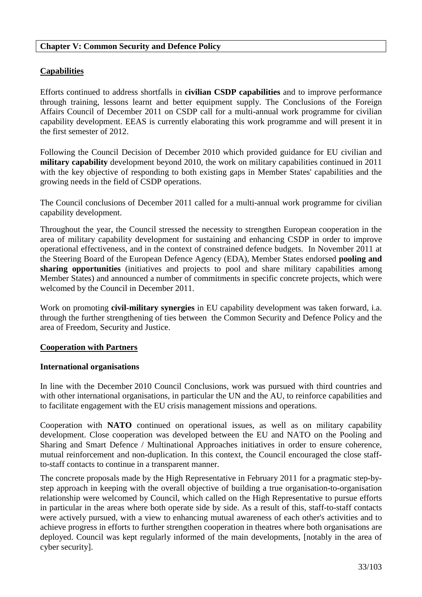#### **Chapter V: Common Security and Defence Policy**

# **Capabilities**

Efforts continued to address shortfalls in **civilian CSDP capabilities** and to improve performance through training, lessons learnt and better equipment supply. The Conclusions of the Foreign Affairs Council of December 2011 on CSDP call for a multi-annual work programme for civilian capability development. EEAS is currently elaborating this work programme and will present it in the first semester of 2012.

Following the Council Decision of December 2010 which provided guidance for EU civilian and **military capability** development beyond 2010, the work on military capabilities continued in 2011 with the key objective of responding to both existing gaps in Member States' capabilities and the growing needs in the field of CSDP operations.

The Council conclusions of December 2011 called for a multi-annual work programme for civilian capability development.

Throughout the year, the Council stressed the necessity to strengthen European cooperation in the area of military capability development for sustaining and enhancing CSDP in order to improve operational effectiveness, and in the context of constrained defence budgets. In November 2011 at the Steering Board of the European Defence Agency (EDA), Member States endorsed **pooling and sharing opportunities** (initiatives and projects to pool and share military capabilities among Member States) and announced a number of commitments in specific concrete projects, which were welcomed by the Council in December 2011.

Work on promoting **civil-military synergies** in EU capability development was taken forward, i.a. through the further strengthening of ties between the Common Security and Defence Policy and the area of Freedom, Security and Justice.

#### **Cooperation with Partners**

#### **International organisations**

In line with the December 2010 Council Conclusions, work was pursued with third countries and with other international organisations, in particular the UN and the AU, to reinforce capabilities and to facilitate engagement with the EU crisis management missions and operations.

Cooperation with **NATO** continued on operational issues, as well as on military capability development. Close cooperation was developed between the EU and NATO on the Pooling and Sharing and Smart Defence / Multinational Approaches initiatives in order to ensure coherence, mutual reinforcement and non-duplication. In this context, the Council encouraged the close staffto-staff contacts to continue in a transparent manner.

The concrete proposals made by the High Representative in February 2011 for a pragmatic step-bystep approach in keeping with the overall objective of building a true organisation-to-organisation relationship were welcomed by Council, which called on the High Representative to pursue efforts in particular in the areas where both operate side by side. As a result of this, staff-to-staff contacts were actively pursued, with a view to enhancing mutual awareness of each other's activities and to achieve progress in efforts to further strengthen cooperation in theatres where both organisations are deployed. Council was kept regularly informed of the main developments, [notably in the area of cyber security].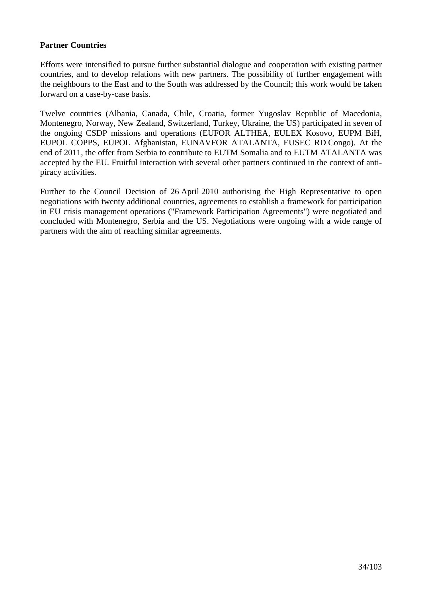# **Partner Countries**

Efforts were intensified to pursue further substantial dialogue and cooperation with existing partner countries, and to develop relations with new partners. The possibility of further engagement with the neighbours to the East and to the South was addressed by the Council; this work would be taken forward on a case-by-case basis.

Twelve countries (Albania, Canada, Chile, Croatia, former Yugoslav Republic of Macedonia, Montenegro, Norway, New Zealand, Switzerland, Turkey, Ukraine, the US) participated in seven of the ongoing CSDP missions and operations (EUFOR ALTHEA, EULEX Kosovo, EUPM BiH, EUPOL COPPS, EUPOL Afghanistan, EUNAVFOR ATALANTA, EUSEC RD Congo). At the end of 2011, the offer from Serbia to contribute to EUTM Somalia and to EUTM ATALANTA was accepted by the EU. Fruitful interaction with several other partners continued in the context of antipiracy activities.

Further to the Council Decision of 26 April 2010 authorising the High Representative to open negotiations with twenty additional countries, agreements to establish a framework for participation in EU crisis management operations ("Framework Participation Agreements") were negotiated and concluded with Montenegro, Serbia and the US. Negotiations were ongoing with a wide range of partners with the aim of reaching similar agreements.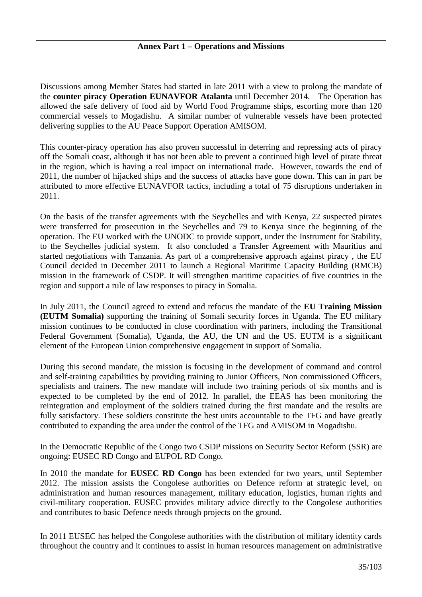Discussions among Member States had started in late 2011 with a view to prolong the mandate of the **counter piracy Operation EUNAVFOR Atalanta** until December 2014. The Operation has allowed the safe delivery of food aid by World Food Programme ships, escorting more than 120 commercial vessels to Mogadishu. A similar number of vulnerable vessels have been protected delivering supplies to the AU Peace Support Operation AMISOM.

This counter-piracy operation has also proven successful in deterring and repressing acts of piracy off the Somali coast, although it has not been able to prevent a continued high level of pirate threat in the region, which is having a real impact on international trade. However, towards the end of 2011, the number of hijacked ships and the success of attacks have gone down. This can in part be attributed to more effective EUNAVFOR tactics, including a total of 75 disruptions undertaken in 2011.

On the basis of the transfer agreements with the Seychelles and with Kenya, 22 suspected pirates were transferred for prosecution in the Seychelles and 79 to Kenya since the beginning of the operation. The EU worked with the UNODC to provide support, under the Instrument for Stability, to the Seychelles judicial system. It also concluded a Transfer Agreement with Mauritius and started negotiations with Tanzania. As part of a comprehensive approach against piracy , the EU Council decided in December 2011 to launch a Regional Maritime Capacity Building (RMCB) mission in the framework of CSDP. It will strengthen maritime capacities of five countries in the region and support a rule of law responses to piracy in Somalia.

In July 2011, the Council agreed to extend and refocus the mandate of the **EU Training Mission (EUTM Somalia)** supporting the training of Somali security forces in Uganda. The EU military mission continues to be conducted in close coordination with partners, including the Transitional Federal Government (Somalia), Uganda, the AU, the UN and the US. EUTM is a significant element of the European Union comprehensive engagement in support of Somalia.

During this second mandate, the mission is focusing in the development of command and control and self-training capabilities by providing training to Junior Officers, Non commissioned Officers, specialists and trainers. The new mandate will include two training periods of six months and is expected to be completed by the end of 2012. In parallel, the EEAS has been monitoring the reintegration and employment of the soldiers trained during the first mandate and the results are fully satisfactory. These soldiers constitute the best units accountable to the TFG and have greatly contributed to expanding the area under the control of the TFG and AMISOM in Mogadishu.

In the Democratic Republic of the Congo two CSDP missions on Security Sector Reform (SSR) are ongoing: EUSEC RD Congo and EUPOL RD Congo.

In 2010 the mandate for **EUSEC RD Congo** has been extended for two years, until September 2012. The mission assists the Congolese authorities on Defence reform at strategic level, on administration and human resources management, military education, logistics, human rights and civil-military cooperation. EUSEC provides military advice directly to the Congolese authorities and contributes to basic Defence needs through projects on the ground.

In 2011 EUSEC has helped the Congolese authorities with the distribution of military identity cards throughout the country and it continues to assist in human resources management on administrative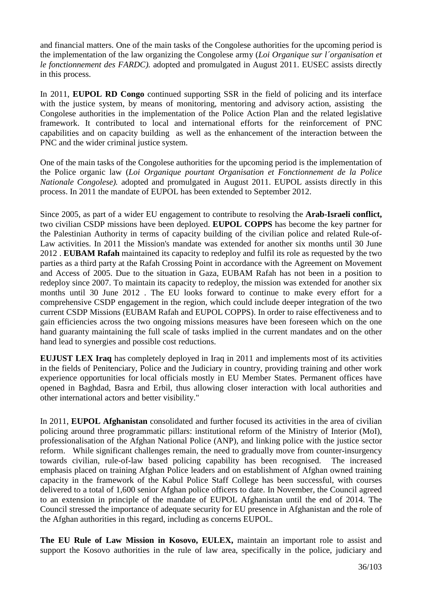and financial matters. One of the main tasks of the Congolese authorities for the upcoming period is the implementation of the law organizing the Congolese army (*Loi Organique sur l´organisation et le fonctionnement des FARDC).* adopted and promulgated in August 2011. EUSEC assists directly in this process.

In 2011, **EUPOL RD Congo** continued supporting SSR in the field of policing and its interface with the justice system, by means of monitoring, mentoring and advisory action, assisting the Congolese authorities in the implementation of the Police Action Plan and the related legislative framework. It contributed to local and international efforts for the reinforcement of PNC capabilities and on capacity building as well as the enhancement of the interaction between the PNC and the wider criminal justice system.

One of the main tasks of the Congolese authorities for the upcoming period is the implementation of the Police organic law (*Loi Organique pourtant Organisation et Fonctionnement de la Police Nationale Congolese).* adopted and promulgated in August 2011. EUPOL assists directly in this process. In 2011 the mandate of EUPOL has been extended to September 2012.

Since 2005, as part of a wider EU engagement to contribute to resolving the **Arab-Israeli conflict,**  two civilian CSDP missions have been deployed. **EUPOL COPPS** has become the key partner for the Palestinian Authority in terms of capacity building of the civilian police and related Rule-of-Law activities. In 2011 the Mission's mandate was extended for another six months until 30 June 2012 . **EUBAM Rafah** maintained its capacity to redeploy and fulfil its role as requested by the two parties as a third party at the Rafah Crossing Point in accordance with the Agreement on Movement and Access of 2005. Due to the situation in Gaza, EUBAM Rafah has not been in a position to redeploy since 2007. To maintain its capacity to redeploy, the mission was extended for another six months until 30 June 2012 . The EU looks forward to continue to make every effort for a comprehensive CSDP engagement in the region, which could include deeper integration of the two current CSDP Missions (EUBAM Rafah and EUPOL COPPS). In order to raise effectiveness and to gain efficiencies across the two ongoing missions measures have been foreseen which on the one hand guaranty maintaining the full scale of tasks implied in the current mandates and on the other hand lead to synergies and possible cost reductions.

**EUJUST LEX Iraq** has completely deployed in Iraq in 2011 and implements most of its activities in the fields of Penitenciary, Police and the Judiciary in country, providing training and other work experience opportunities for local officials mostly in EU Member States. Permanent offices have opened in Baghdad, Basra and Erbil, thus allowing closer interaction with local authorities and other international actors and better visibility."

In 2011, **EUPOL Afghanistan** consolidated and further focused its activities in the area of civilian policing around three programmatic pillars: institutional reform of the Ministry of Interior (MoI), professionalisation of the Afghan National Police (ANP), and linking police with the justice sector reform. While significant challenges remain, the need to gradually move from counter-insurgency towards civilian, rule-of-law based policing capability has been recognised. The increased emphasis placed on training Afghan Police leaders and on establishment of Afghan owned training capacity in the framework of the Kabul Police Staff College has been successful, with courses delivered to a total of 1,600 senior Afghan police officers to date. In November, the Council agreed to an extension in principle of the mandate of EUPOL Afghanistan until the end of 2014. The Council stressed the importance of adequate security for EU presence in Afghanistan and the role of the Afghan authorities in this regard, including as concerns EUPOL.

**The EU Rule of Law Mission in Kosovo, EULEX,** maintain an important role to assist and support the Kosovo authorities in the rule of law area, specifically in the police, judiciary and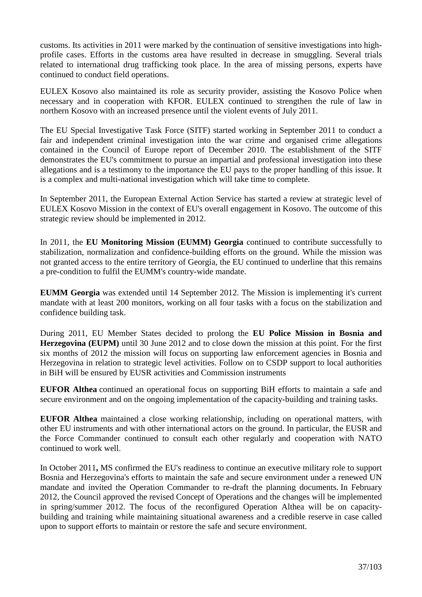customs. Its activities in 2011 were marked by the continuation of sensitive investigations into highprofile cases. Efforts in the customs area have resulted in decrease in smuggling. Several trials related to international drug trafficking took place. In the area of missing persons, experts have continued to conduct field operations.

EULEX Kosovo also maintained its role as security provider, assisting the Kosovo Police when necessary and in cooperation with KFOR. EULEX continued to strengthen the rule of law in northern Kosovo with an increased presence until the violent events of July 2011.

The EU Special Investigative Task Force (SITF) started working in September 2011 to conduct a fair and independent criminal investigation into the war crime and organised crime allegations contained in the Council of Europe report of December 2010. The establishment of the SITF demonstrates the EU's commitment to pursue an impartial and professional investigation into these allegations and is a testimony to the importance the EU pays to the proper handling of this issue. It is a complex and multi-national investigation which will take time to complete.

In September 2011, the European External Action Service has started a review at strategic level of EULEX Kosovo Mission in the context of EU's overall engagement in Kosovo. The outcome of this strategic review should be implemented in 2012.

In 2011, the **EU Monitoring Mission (EUMM) Georgia** continued to contribute successfully to stabilization, normalization and confidence-building efforts on the ground. While the mission was not granted access to the entire territory of Georgia, the EU continued to underline that this remains a pre-condition to fulfil the EUMM's country-wide mandate.

**EUMM Georgia** was extended until 14 September 2012. The Mission is implementing it's current mandate with at least 200 monitors, working on all four tasks with a focus on the stabilization and confidence building task.

During 2011, EU Member States decided to prolong the **EU Police Mission in Bosnia and Herzegovina (EUPM)** until 30 June 2012 and to close down the mission at this point. For the first six months of 2012 the mission will focus on supporting law enforcement agencies in Bosnia and Herzegovina in relation to strategic level activities. Follow on to CSDP support to local authorities in BiH will be ensured by EUSR activities and Commission instruments

**EUFOR Althea** continued an operational focus on supporting BiH efforts to maintain a safe and secure environment and on the ongoing implementation of the capacity-building and training tasks.

**EUFOR Althea** maintained a close working relationship, including on operational matters, with other EU instruments and with other international actors on the ground. In particular, the EUSR and the Force Commander continued to consult each other regularly and cooperation with NATO continued to work well.

In October 2011**,** MS confirmed the EU's readiness to continue an executive military role to support Bosnia and Herzegovina's efforts to maintain the safe and secure environment under a renewed UN mandate and invited the Operation Commander to re-draft the planning documents. In February 2012, the Council approved the revised Concept of Operations and the changes will be implemented in spring/summer 2012. The focus of the reconfigured Operation Althea will be on capacitybuilding and training while maintaining situational awareness and a credible reserve in case called upon to support efforts to maintain or restore the safe and secure environment.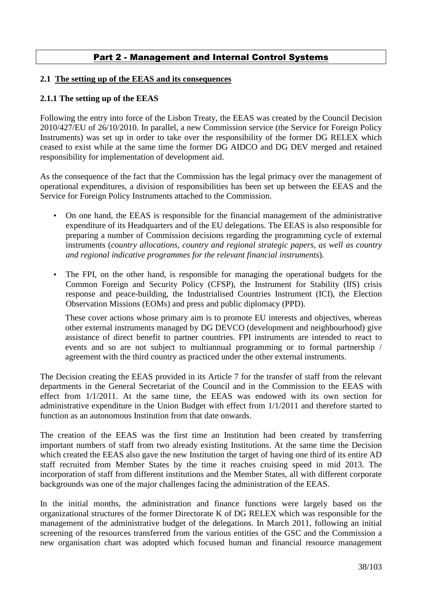# Part 2 - Management and Internal Control Systems

#### **2.1 The setting up of the EEAS and its consequences**

#### **2.1.1 The setting up of the EEAS**

Following the entry into force of the Lisbon Treaty, the EEAS was created by the Council Decision 2010/427/EU of 26/10/2010. In parallel, a new Commission service (the Service for Foreign Policy Instruments) was set up in order to take over the responsibility of the former DG RELEX which ceased to exist while at the same time the former DG AIDCO and DG DEV merged and retained responsibility for implementation of development aid.

As the consequence of the fact that the Commission has the legal primacy over the management of operational expenditures, a division of responsibilities has been set up between the EEAS and the Service for Foreign Policy Instruments attached to the Commission.

- On one hand, the EEAS is responsible for the financial management of the administrative expenditure of its Headquarters and of the EU delegations. The EEAS is also responsible for preparing a number of Commission decisions regarding the programming cycle of external instruments (*country allocations, country and regional strategic papers, as well as country and regional indicative programmes for the relevant financial instruments*).
- The FPI, on the other hand, is responsible for managing the operational budgets for the Common Foreign and Security Policy (CFSP), the Instrument for Stability (IfS) crisis response and peace-building, the Industrialised Countries Instrument (ICI), the Election Observation Missions (EOMs) and press and public diplomacy (PPD).

These cover actions whose primary aim is to promote EU interests and objectives, whereas other external instruments managed by DG DEVCO (development and neighbourhood) give assistance of direct benefit to partner countries. FPI instruments are intended to react to events and so are not subject to multiannual programming or to formal partnership / agreement with the third country as practiced under the other external instruments.

The Decision creating the EEAS provided in its Article 7 for the transfer of staff from the relevant departments in the General Secretariat of the Council and in the Commission to the EEAS with effect from 1/1/2011. At the same time, the EEAS was endowed with its own section for administrative expenditure in the Union Budget with effect from 1/1/2011 and therefore started to function as an autonomous Institution from that date onwards.

The creation of the EEAS was the first time an Institution had been created by transferring important numbers of staff from two already existing Institutions. At the same time the Decision which created the EEAS also gave the new Institution the target of having one third of its entire AD staff recruited from Member States by the time it reaches cruising speed in mid 2013. The incorporation of staff from different institutions and the Member States, all with different corporate backgrounds was one of the major challenges facing the administration of the EEAS.

In the initial months, the administration and finance functions were largely based on the organizational structures of the former Directorate K of DG RELEX which was responsible for the management of the administrative budget of the delegations. In March 2011, following an initial screening of the resources transferred from the various entities of the GSC and the Commission a new organisation chart was adopted which focused human and financial resource management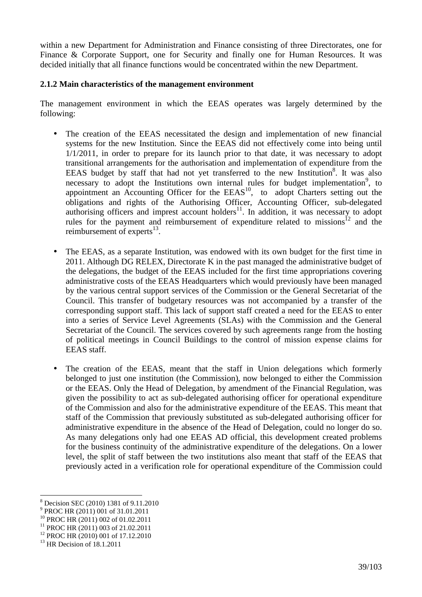within a new Department for Administration and Finance consisting of three Directorates, one for Finance & Corporate Support, one for Security and finally one for Human Resources. It was decided initially that all finance functions would be concentrated within the new Department.

# **2.1.2 Main characteristics of the management environment**

The management environment in which the EEAS operates was largely determined by the following:

- The creation of the EEAS necessitated the design and implementation of new financial systems for the new Institution. Since the EEAS did not effectively come into being until 1/1/2011, in order to prepare for its launch prior to that date, it was necessary to adopt transitional arrangements for the authorisation and implementation of expenditure from the EEAS budget by staff that had not yet transferred to the new Institution<sup>8</sup>. It was also necessary to adopt the Institutions own internal rules for budget implementation<sup>9</sup>, to appointment an Accounting Officer for the  $EEAS<sup>10</sup>$ , to adopt Charters setting out the obligations and rights of the Authorising Officer, Accounting Officer, sub-delegated authorising officers and imprest account holders $11$ . In addition, it was necessary to adopt rules for the payment and reimbursement of expenditure related to missions $12$  and the reimbursement of experts $^{13}$ .
- The EEAS, as a separate Institution, was endowed with its own budget for the first time in 2011. Although DG RELEX, Directorate K in the past managed the administrative budget of the delegations, the budget of the EEAS included for the first time appropriations covering administrative costs of the EEAS Headquarters which would previously have been managed by the various central support services of the Commission or the General Secretariat of the Council. This transfer of budgetary resources was not accompanied by a transfer of the corresponding support staff. This lack of support staff created a need for the EEAS to enter into a series of Service Level Agreements (SLAs) with the Commission and the General Secretariat of the Council. The services covered by such agreements range from the hosting of political meetings in Council Buildings to the control of mission expense claims for EEAS staff.
- The creation of the EEAS, meant that the staff in Union delegations which formerly belonged to just one institution (the Commission), now belonged to either the Commission or the EEAS. Only the Head of Delegation, by amendment of the Financial Regulation, was given the possibility to act as sub-delegated authorising officer for operational expenditure of the Commission and also for the administrative expenditure of the EEAS. This meant that staff of the Commission that previously substituted as sub-delegated authorising officer for administrative expenditure in the absence of the Head of Delegation, could no longer do so. As many delegations only had one EEAS AD official, this development created problems for the business continuity of the administrative expenditure of the delegations. On a lower level, the split of staff between the two institutions also meant that staff of the EEAS that previously acted in a verification role for operational expenditure of the Commission could

 $\overline{a}$ 

<sup>8</sup> Decision SEC (2010) 1381 of 9.11.2010

<sup>&</sup>lt;sup>9</sup> PROC HR (2011) 001 of 31.01.2011

<sup>10</sup> PROC HR (2011) 002 of 01.02.2011

<sup>&</sup>lt;sup>11</sup> PROC HR (2011) 003 of 21.02.2011

<sup>12</sup> PROC HR (2010) 001 of 17.12.2010

<sup>&</sup>lt;sup>13</sup> HR Decision of 18.1.2011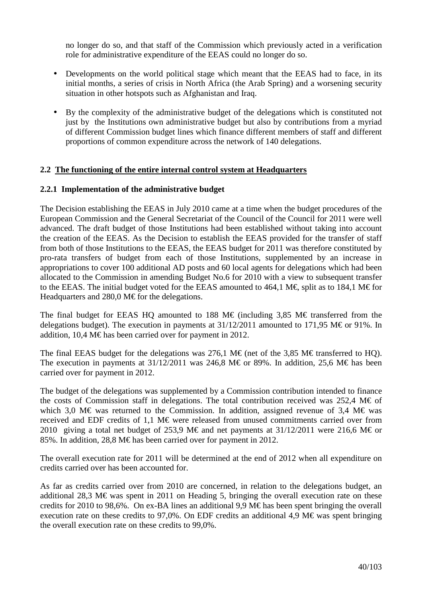no longer do so, and that staff of the Commission which previously acted in a verification role for administrative expenditure of the EEAS could no longer do so.

- Developments on the world political stage which meant that the EEAS had to face, in its initial months, a series of crisis in North Africa (the Arab Spring) and a worsening security situation in other hotspots such as Afghanistan and Iraq.
- By the complexity of the administrative budget of the delegations which is constituted not just by the Institutions own administrative budget but also by contributions from a myriad of different Commission budget lines which finance different members of staff and different proportions of common expenditure across the network of 140 delegations.

# **2.2 The functioning of the entire internal control system at Headquarters**

# **2.2.1 Implementation of the administrative budget**

The Decision establishing the EEAS in July 2010 came at a time when the budget procedures of the European Commission and the General Secretariat of the Council of the Council for 2011 were well advanced. The draft budget of those Institutions had been established without taking into account the creation of the EEAS. As the Decision to establish the EEAS provided for the transfer of staff from both of those Institutions to the EEAS, the EEAS budget for 2011 was therefore constituted by pro-rata transfers of budget from each of those Institutions, supplemented by an increase in appropriations to cover 100 additional AD posts and 60 local agents for delegations which had been allocated to the Commission in amending Budget No.6 for 2010 with a view to subsequent transfer to the EEAS. The initial budget voted for the EEAS amounted to 464,1 M€, split as to 184,1 M€ for Headquarters and 280,0 M $\epsilon$  for the delegations.

The final budget for EEAS HQ amounted to 188 M€ (including 3,85 M€ transferred from the delegations budget). The execution in payments at  $31/12/2011$  amounted to 171,95 M  $\epsilon$  or 91%. In addition, 10,4 M  $\in$  has been carried over for payment in 2012.

The final EEAS budget for the delegations was 276,1 M€ (net of the 3,85 M€ transferred to HQ). The execution in payments at  $31/12/2011$  was 246,8 M€ or 89%. In addition, 25,6 M€ has been carried over for payment in 2012.

The budget of the delegations was supplemented by a Commission contribution intended to finance the costs of Commission staff in delegations. The total contribution received was 252,4 M $\epsilon$  of which 3,0 M€ was returned to the Commission. In addition, assigned revenue of 3,4 M€ was received and EDF credits of 1,1 M€ were released from unused commitments carried over from 2010 giving a total net budget of 253,9 M€ and net payments at 31/12/2011 were 216,6 M€ or 85%. In addition, 28,8 M  $\in$  has been carried over for payment in 2012.

The overall execution rate for 2011 will be determined at the end of 2012 when all expenditure on credits carried over has been accounted for.

As far as credits carried over from 2010 are concerned, in relation to the delegations budget, an additional 28,3 M€ was spent in 2011 on Heading 5, bringing the overall execution rate on these credits for 2010 to 98,6%. On ex-BA lines an additional 9,9 M€ has been spent bringing the overall execution rate on these credits to 97,0%. On EDF credits an additional 4,9 M€ was spent bringing the overall execution rate on these credits to 99,0%.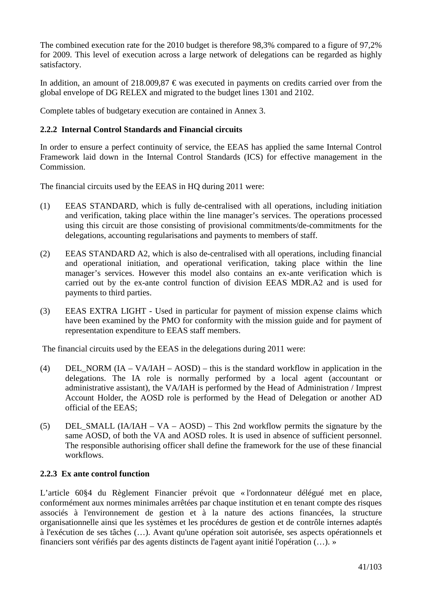The combined execution rate for the 2010 budget is therefore 98,3% compared to a figure of 97,2% for 2009. This level of execution across a large network of delegations can be regarded as highly satisfactory.

In addition, an amount of 218,009,87  $\epsilon$  was executed in payments on credits carried over from the global envelope of DG RELEX and migrated to the budget lines 1301 and 2102.

Complete tables of budgetary execution are contained in Annex 3.

# **2.2.2 Internal Control Standards and Financial circuits**

In order to ensure a perfect continuity of service, the EEAS has applied the same Internal Control Framework laid down in the Internal Control Standards (ICS) for effective management in the Commission.

The financial circuits used by the EEAS in HQ during 2011 were:

- (1) EEAS STANDARD, which is fully de-centralised with all operations, including initiation and verification, taking place within the line manager's services. The operations processed using this circuit are those consisting of provisional commitments/de-commitments for the delegations, accounting regularisations and payments to members of staff.
- (2) EEAS STANDARD A2, which is also de-centralised with all operations, including financial and operational initiation, and operational verification, taking place within the line manager's services. However this model also contains an ex-ante verification which is carried out by the ex-ante control function of division EEAS MDR.A2 and is used for payments to third parties.
- (3) EEAS EXTRA LIGHT Used in particular for payment of mission expense claims which have been examined by the PMO for conformity with the mission guide and for payment of representation expenditure to EEAS staff members.

The financial circuits used by the EEAS in the delegations during 2011 were:

- (4) DEL NORM  $(IA VA/IAH AOSD)$  this is the standard workflow in application in the delegations. The IA role is normally performed by a local agent (accountant or administrative assistant), the VA/IAH is performed by the Head of Administration / Imprest Account Holder, the AOSD role is performed by the Head of Delegation or another AD official of the EEAS;
- (5) DEL SMALL (IA/IAH VA AOSD) This 2nd workflow permits the signature by the same AOSD, of both the VA and AOSD roles. It is used in absence of sufficient personnel. The responsible authorising officer shall define the framework for the use of these financial workflows.

#### **2.2.3 Ex ante control function**

L'article 60§4 du Règlement Financier prévoit que « l'ordonnateur délégué met en place, conformément aux normes minimales arrêtées par chaque institution et en tenant compte des risques associés à l'environnement de gestion et à la nature des actions financées, la structure organisationnelle ainsi que les systèmes et les procédures de gestion et de contrôle internes adaptés à l'exécution de ses tâches (…). Avant qu'une opération soit autorisée, ses aspects opérationnels et financiers sont vérifiés par des agents distincts de l'agent ayant initié l'opération (…). »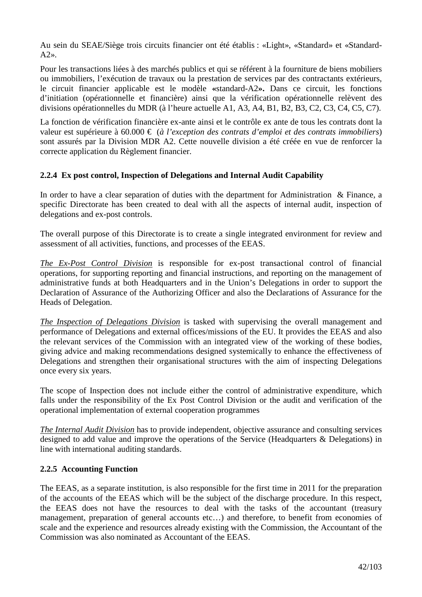Au sein du SEAE/Siège trois circuits financier ont été établis : «Light», «Standard» et «Standard- $A2$ ».

Pour les transactions liées à des marchés publics et qui se référent à la fourniture de biens mobiliers ou immobiliers, l'exécution de travaux ou la prestation de services par des contractants extérieurs, le circuit financier applicable est le modèle **«**standard-A2**».** Dans ce circuit, les fonctions d'initiation (opérationnelle et financière) ainsi que la vérification opérationnelle relèvent des divisions opérationnelles du MDR (à l'heure actuelle A1, A3, A4, B1, B2, B3, C2, C3, C4, C5, C7).

La fonction de vérification financière ex-ante ainsi et le contrôle ex ante de tous les contrats dont la valeur est supérieure à 60.000 € (*à l'exception des contrats d'emploi et des contrats immobiliers*) sont assurés par la Division MDR A2. Cette nouvelle division a été créée en vue de renforcer la correcte application du Règlement financier.

# **2.2.4 Ex post control, Inspection of Delegations and Internal Audit Capability**

In order to have a clear separation of duties with the department for Administration & Finance, a specific Directorate has been created to deal with all the aspects of internal audit, inspection of delegations and ex-post controls.

The overall purpose of this Directorate is to create a single integrated environment for review and assessment of all activities, functions, and processes of the EEAS.

*The Ex-Post Control Division* is responsible for ex-post transactional control of financial operations, for supporting reporting and financial instructions, and reporting on the management of administrative funds at both Headquarters and in the Union's Delegations in order to support the Declaration of Assurance of the Authorizing Officer and also the Declarations of Assurance for the Heads of Delegation.

*The Inspection of Delegations Division* is tasked with supervising the overall management and performance of Delegations and external offices/missions of the EU. It provides the EEAS and also the relevant services of the Commission with an integrated view of the working of these bodies, giving advice and making recommendations designed systemically to enhance the effectiveness of Delegations and strengthen their organisational structures with the aim of inspecting Delegations once every six years.

The scope of Inspection does not include either the control of administrative expenditure, which falls under the responsibility of the Ex Post Control Division or the audit and verification of the operational implementation of external cooperation programmes

*The Internal Audit Division* has to provide independent, objective assurance and consulting services designed to add value and improve the operations of the Service (Headquarters & Delegations) in line with international auditing standards.

# **2.2.5 Accounting Function**

The EEAS, as a separate institution, is also responsible for the first time in 2011 for the preparation of the accounts of the EEAS which will be the subject of the discharge procedure. In this respect, the EEAS does not have the resources to deal with the tasks of the accountant (treasury management, preparation of general accounts etc…) and therefore, to benefit from economies of scale and the experience and resources already existing with the Commission, the Accountant of the Commission was also nominated as Accountant of the EEAS.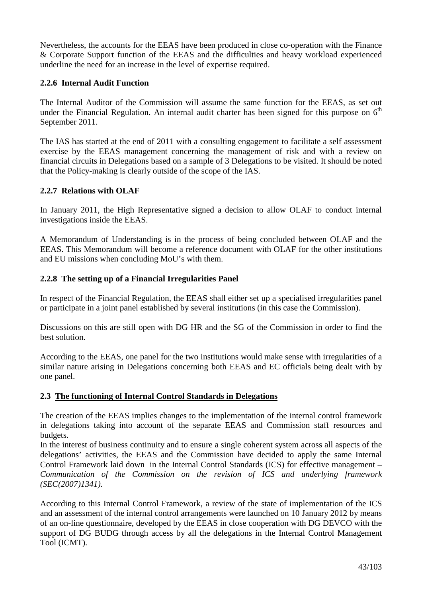Nevertheless, the accounts for the EEAS have been produced in close co-operation with the Finance & Corporate Support function of the EEAS and the difficulties and heavy workload experienced underline the need for an increase in the level of expertise required.

# **2.2.6 Internal Audit Function**

The Internal Auditor of the Commission will assume the same function for the EEAS, as set out under the Financial Regulation. An internal audit charter has been signed for this purpose on  $6<sup>th</sup>$ September 2011.

The IAS has started at the end of 2011 with a consulting engagement to facilitate a self assessment exercise by the EEAS management concerning the management of risk and with a review on financial circuits in Delegations based on a sample of 3 Delegations to be visited. It should be noted that the Policy-making is clearly outside of the scope of the IAS.

# **2.2.7 Relations with OLAF**

In January 2011, the High Representative signed a decision to allow OLAF to conduct internal investigations inside the EEAS.

A Memorandum of Understanding is in the process of being concluded between OLAF and the EEAS. This Memorandum will become a reference document with OLAF for the other institutions and EU missions when concluding MoU's with them.

#### **2.2.8 The setting up of a Financial Irregularities Panel**

In respect of the Financial Regulation, the EEAS shall either set up a specialised irregularities panel or participate in a joint panel established by several institutions (in this case the Commission).

Discussions on this are still open with DG HR and the SG of the Commission in order to find the best solution.

According to the EEAS, one panel for the two institutions would make sense with irregularities of a similar nature arising in Delegations concerning both EEAS and EC officials being dealt with by one panel.

#### **2.3 The functioning of Internal Control Standards in Delegations**

The creation of the EEAS implies changes to the implementation of the internal control framework in delegations taking into account of the separate EEAS and Commission staff resources and budgets.

In the interest of business continuity and to ensure a single coherent system across all aspects of the delegations' activities, the EEAS and the Commission have decided to apply the same Internal Control Framework laid down in the Internal Control Standards (ICS) for effective management – *Communication of the Commission on the revision of ICS and underlying framework (SEC(2007)1341).*

According to this Internal Control Framework, a review of the state of implementation of the ICS and an assessment of the internal control arrangements were launched on 10 January 2012 by means of an on-line questionnaire, developed by the EEAS in close cooperation with DG DEVCO with the support of DG BUDG through access by all the delegations in the Internal Control Management Tool (ICMT).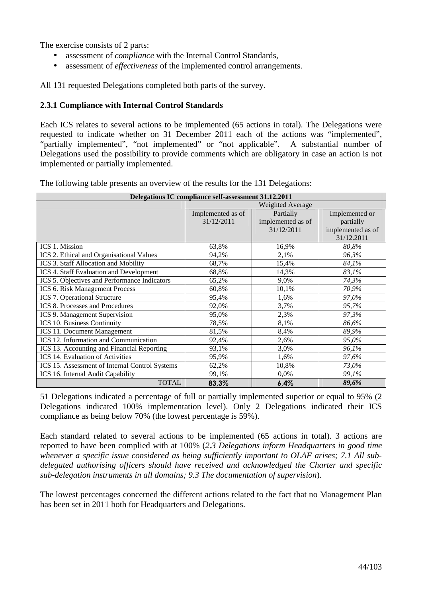The exercise consists of 2 parts:

- assessment of *compliance* with the Internal Control Standards,
- assessment of *effectiveness* of the implemented control arrangements.

All 131 requested Delegations completed both parts of the survey.

# **2.3.1 Compliance with Internal Control Standards**

Each ICS relates to several actions to be implemented (65 actions in total). The Delegations were requested to indicate whether on 31 December 2011 each of the actions was "implemented", "partially implemented", "not implemented" or "not applicable". A substantial number of Delegations used the possibility to provide comments which are obligatory in case an action is not implemented or partially implemented.

The following table presents an overview of the results for the 131 Delegations:

| Delegations IC compliance self-assessment 31.12.2011 |                   |                   |                   |  |
|------------------------------------------------------|-------------------|-------------------|-------------------|--|
|                                                      |                   | Weighted Average  |                   |  |
|                                                      | Implemented as of | Partially         | Implemented or    |  |
|                                                      | 31/12/2011        | implemented as of | partially         |  |
|                                                      |                   | 31/12/2011        | implemented as of |  |
|                                                      |                   |                   | 31/12.2011        |  |
| ICS 1. Mission                                       | 63,8%             | 16,9%             | 80,8%             |  |
| ICS 2. Ethical and Organisational Values             | 94,2%             | 2,1%              | 96,3%             |  |
| ICS 3. Staff Allocation and Mobility                 | 68,7%             | 15,4%             | 84,1%             |  |
| ICS 4. Staff Evaluation and Development              | 68,8%             | 14,3%             | 83,1%             |  |
| ICS 5. Objectives and Performance Indicators         | 65,2%             | 9,0%              | 74,3%             |  |
| <b>ICS 6. Risk Management Process</b>                | 60,8%             | 10,1%             | 70,9%             |  |
| <b>ICS 7. Operational Structure</b>                  | 95,4%             | 1,6%              | 97,0%             |  |
| <b>ICS 8. Processes and Procedures</b>               | 92,0%             | 3,7%              | 95,7%             |  |
| ICS 9. Management Supervision                        | 95,0%             | 2,3%              | 97,3%             |  |
| ICS 10. Business Continuity                          | 78,5%             | 8,1%              | 86,6%             |  |
| <b>ICS 11. Document Management</b>                   | 81,5%             | 8,4%              | 89,9%             |  |
| ICS 12. Information and Communication                | 92,4%             | 2,6%              | 95,0%             |  |
| ICS 13. Accounting and Financial Reporting           | 93,1%             | 3,0%              | 96,1%             |  |
| ICS 14. Evaluation of Activities                     | 95,9%             | 1,6%              | 97,6%             |  |
| ICS 15. Assessment of Internal Control Systems       | 62,2%             | 10,8%             | 73,0%             |  |
| ICS 16. Internal Audit Capability                    | 99,1%             | 0,0%              | 99,1%             |  |
| <b>TOTAL</b>                                         | 83,3%             | 6,4%              | 89,6%             |  |

51 Delegations indicated a percentage of full or partially implemented superior or equal to 95% (2 Delegations indicated 100% implementation level). Only 2 Delegations indicated their ICS compliance as being below 70% (the lowest percentage is 59%).

Each standard related to several actions to be implemented (65 actions in total). 3 actions are reported to have been complied with at 100% (*2.3 Delegations inform Headquarters in good time whenever a specific issue considered as being sufficiently important to OLAF arises; 7.1 All subdelegated authorising officers should have received and acknowledged the Charter and specific sub-delegation instruments in all domains; 9.3 The documentation of supervision*).

The lowest percentages concerned the different actions related to the fact that no Management Plan has been set in 2011 both for Headquarters and Delegations.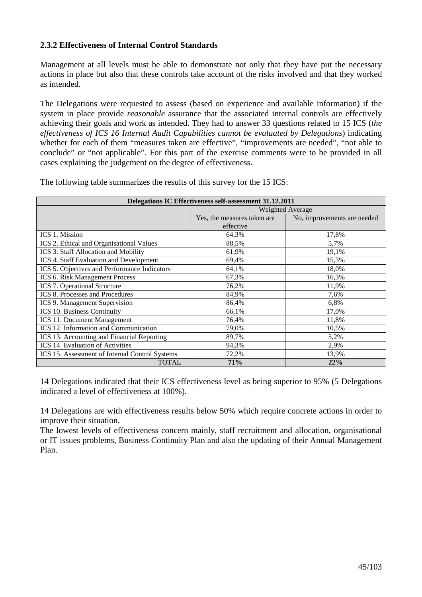# **2.3.2 Effectiveness of Internal Control Standards**

Management at all levels must be able to demonstrate not only that they have put the necessary actions in place but also that these controls take account of the risks involved and that they worked as intended.

The Delegations were requested to assess (based on experience and available information) if the system in place provide *reasonable* assurance that the associated internal controls are effectively achieving their goals and work as intended. They had to answer 33 questions related to 15 ICS (*the effectiveness of ICS 16 Internal Audit Capabilities cannot be evaluated by Delegations*) indicating whether for each of them "measures taken are effective", "improvements are needed", "not able to conclude" or "not applicable". For this part of the exercise comments were to be provided in all cases explaining the judgement on the degree of effectiveness.

| Delegations IC Effectiveness self-assessment 31.12.2011 |                             |                             |  |  |  |
|---------------------------------------------------------|-----------------------------|-----------------------------|--|--|--|
|                                                         |                             | Weighted Average            |  |  |  |
|                                                         | Yes, the measures taken are | No, improvements are needed |  |  |  |
|                                                         | effective                   |                             |  |  |  |
| ICS 1. Mission                                          | 64,3%                       | 17,8%                       |  |  |  |
| ICS 2. Ethical and Organisational Values                | 88,5%                       | 5,7%                        |  |  |  |
| ICS 3. Staff Allocation and Mobility                    | 61,9%                       | 19,1%                       |  |  |  |
| ICS 4. Staff Evaluation and Development                 | 69,4%                       | 15,3%                       |  |  |  |
| ICS 5. Objectives and Performance Indicators            | 64,1%                       | 18,0%                       |  |  |  |
| ICS 6. Risk Management Process                          | 67,3%                       | 16,3%                       |  |  |  |
| ICS 7. Operational Structure                            | 76,2%                       | 11,9%                       |  |  |  |
| ICS 8. Processes and Procedures                         | 84,9%                       | 7,6%                        |  |  |  |
| ICS 9. Management Supervision                           | 86,4%                       | 6,8%                        |  |  |  |
| ICS 10. Business Continuity                             | 66,1%                       | 17,0%                       |  |  |  |
| ICS 11. Document Management                             | 76,4%                       | 11,8%                       |  |  |  |
| ICS 12. Information and Communication                   | 79,0%                       | 10,5%                       |  |  |  |
| ICS 13. Accounting and Financial Reporting              | 89,7%                       | 5,2%                        |  |  |  |
| ICS 14. Evaluation of Activities                        | 94,3%                       | 2,9%                        |  |  |  |
| ICS 15. Assessment of Internal Control Systems          | 72,2%                       | 13,9%                       |  |  |  |
| <b>TOTAL</b>                                            | <b>71%</b>                  | 22%                         |  |  |  |

The following table summarizes the results of this survey for the 15 ICS:

14 Delegations indicated that their ICS effectiveness level as being superior to 95% (5 Delegations indicated a level of effectiveness at 100%).

14 Delegations are with effectiveness results below 50% which require concrete actions in order to improve their situation.

The lowest levels of effectiveness concern mainly, staff recruitment and allocation, organisational or IT issues problems, Business Continuity Plan and also the updating of their Annual Management Plan.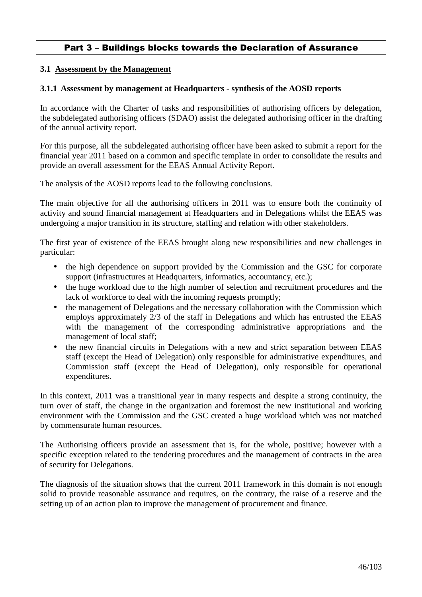# Part 3 – Buildings blocks towards the Declaration of Assurance

## **3.1 Assessment by the Management**

#### **3.1.1****Assessment by management at Headquarters - synthesis of the AOSD reports**

In accordance with the Charter of tasks and responsibilities of authorising officers by delegation, the subdelegated authorising officers (SDAO) assist the delegated authorising officer in the drafting of the annual activity report.

For this purpose, all the subdelegated authorising officer have been asked to submit a report for the financial year 2011 based on a common and specific template in order to consolidate the results and provide an overall assessment for the EEAS Annual Activity Report.

The analysis of the AOSD reports lead to the following conclusions.

The main objective for all the authorising officers in 2011 was to ensure both the continuity of activity and sound financial management at Headquarters and in Delegations whilst the EEAS was undergoing a major transition in its structure, staffing and relation with other stakeholders.

The first year of existence of the EEAS brought along new responsibilities and new challenges in particular:

- the high dependence on support provided by the Commission and the GSC for corporate support (infrastructures at Headquarters, informatics, accountancy, etc.);
- the huge workload due to the high number of selection and recruitment procedures and the lack of workforce to deal with the incoming requests promptly;
- the management of Delegations and the necessary collaboration with the Commission which employs approximately 2/3 of the staff in Delegations and which has entrusted the EEAS with the management of the corresponding administrative appropriations and the management of local staff;
- the new financial circuits in Delegations with a new and strict separation between EEAS staff (except the Head of Delegation) only responsible for administrative expenditures, and Commission staff (except the Head of Delegation), only responsible for operational expenditures.

In this context, 2011 was a transitional year in many respects and despite a strong continuity, the turn over of staff, the change in the organization and foremost the new institutional and working environment with the Commission and the GSC created a huge workload which was not matched by commensurate human resources.

The Authorising officers provide an assessment that is, for the whole, positive; however with a specific exception related to the tendering procedures and the management of contracts in the area of security for Delegations.

The diagnosis of the situation shows that the current 2011 framework in this domain is not enough solid to provide reasonable assurance and requires, on the contrary, the raise of a reserve and the setting up of an action plan to improve the management of procurement and finance.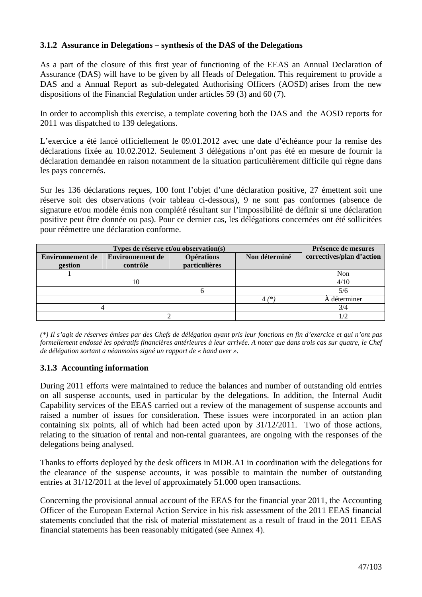# **3.1.2 Assurance in Delegations – synthesis of the DAS of the Delegations**

As a part of the closure of this first year of functioning of the EEAS an Annual Declaration of Assurance (DAS) will have to be given by all Heads of Delegation. This requirement to provide a DAS and a Annual Report as sub-delegated Authorising Officers (AOSD) arises from the new dispositions of the Financial Regulation under articles 59 (3) and 60 (7).

In order to accomplish this exercise, a template covering both the DAS and the AOSD reports for 2011 was dispatched to 139 delegations.

L'exercice a été lancé officiellement le 09.01.2012 avec une date d'échéance pour la remise des déclarations fixée au 10.02.2012. Seulement 3 délégations n'ont pas été en mesure de fournir la déclaration demandée en raison notamment de la situation particulièrement difficile qui règne dans les pays concernés.

Sur les 136 déclarations reçues, 100 font l'objet d'une déclaration positive, 27 émettent soit une réserve soit des observations (voir tableau ci-dessous), 9 ne sont pas conformes (absence de signature et/ou modèle émis non complété résultant sur l'impossibilité de définir si une déclaration positive peut être donnée ou pas). Pour ce dernier cas, les délégations concernées ont été sollicitées pour réémettre une déclaration conforme.

|                         | Présence de mesures     |                   |               |                           |
|-------------------------|-------------------------|-------------------|---------------|---------------------------|
| <b>Environnement de</b> | <b>Environnement de</b> | <b>Opérations</b> | Non déterminé | correctives/plan d'action |
| gestion                 | contrôle                | particulières     |               |                           |
|                         |                         |                   |               | Non                       |
|                         | 10                      |                   |               | 4/10                      |
|                         |                         |                   |               | 5/6                       |
|                         |                         |                   | $4^{*}$       | A déterminer              |
|                         |                         |                   |               | 3/4                       |
|                         |                         |                   |               |                           |

*(\*) Il s'agit de réserves émises par des Chefs de délégation ayant pris leur fonctions en fin d'exercice et qui n'ont pas formellement endossé les opératifs financières antérieures à leur arrivée. A noter que dans trois cas sur quatre, le Chef de délégation sortant a néanmoins signé un rapport de « hand over ».* 

# **3.1.3 Accounting information**

During 2011 efforts were maintained to reduce the balances and number of outstanding old entries on all suspense accounts, used in particular by the delegations. In addition, the Internal Audit Capability services of the EEAS carried out a review of the management of suspense accounts and raised a number of issues for consideration. These issues were incorporated in an action plan containing six points, all of which had been acted upon by 31/12/2011. Two of those actions, relating to the situation of rental and non-rental guarantees, are ongoing with the responses of the delegations being analysed.

Thanks to efforts deployed by the desk officers in MDR.A1 in coordination with the delegations for the clearance of the suspense accounts, it was possible to maintain the number of outstanding entries at 31/12/2011 at the level of approximately 51.000 open transactions.

Concerning the provisional annual account of the EEAS for the financial year 2011, the Accounting Officer of the European External Action Service in his risk assessment of the 2011 EEAS financial statements concluded that the risk of material misstatement as a result of fraud in the 2011 EEAS financial statements has been reasonably mitigated (see Annex 4).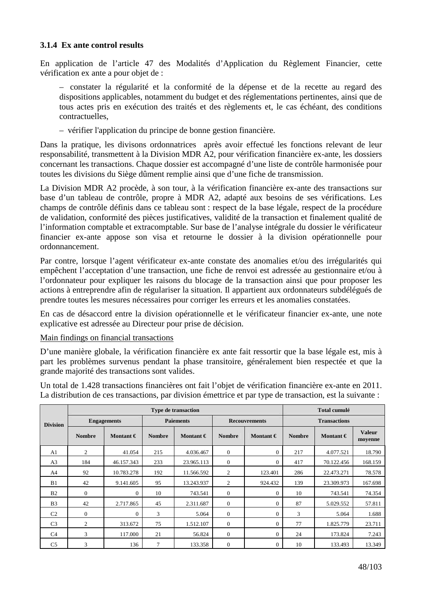# **3.1.4 Ex ante control results**

En application de l'article 47 des Modalités d'Application du Règlement Financier, cette vérification ex ante a pour objet de :

– constater la régularité et la conformité de la dépense et de la recette au regard des dispositions applicables, notamment du budget et des réglementations pertinentes, ainsi que de tous actes pris en exécution des traités et des règlements et, le cas échéant, des conditions contractuelles,

– vérifier l'application du principe de bonne gestion financière.

Dans la pratique, les divisons ordonnatrices après avoir effectué les fonctions relevant de leur responsabilité, transmettent à la Division MDR A2, pour vérification financière ex-ante, les dossiers concernant les transactions. Chaque dossier est accompagné d'une liste de contrôle harmonisée pour toutes les divisions du Siège dûment remplie ainsi que d'une fiche de transmission.

La Division MDR A2 procède, à son tour, à la vérification financière ex-ante des transactions sur base d'un tableau de contrôle, propre à MDR A2, adapté aux besoins de ses vérifications. Les champs de contrôle définis dans ce tableau sont : respect de la base légale, respect de la procédure de validation, conformité des pièces justificatives, validité de la transaction et finalement qualité de l'information comptable et extracomptable. Sur base de l'analyse intégrale du dossier le vérificateur financier ex-ante appose son visa et retourne le dossier à la division opérationnelle pour ordonnancement.

Par contre, lorsque l'agent vérificateur ex-ante constate des anomalies et/ou des irrégularités qui empêchent l'acceptation d'une transaction, une fiche de renvoi est adressée au gestionnaire et/ou à l'ordonnateur pour expliquer les raisons du blocage de la transaction ainsi que pour proposer les actions à entreprendre afin de régulariser la situation. Il appartient aux ordonnateurs subdélégués de prendre toutes les mesures nécessaires pour corriger les erreurs et les anomalies constatées.

En cas de désaccord entre la division opérationnelle et le vérificateur financier ex-ante, une note explicative est adressée au Directeur pour prise de décision.

#### Main findings on financial transactions

D'une manière globale, la vérification financière ex ante fait ressortir que la base légale est, mis à part les problèmes survenus pendant la phase transitoire, généralement bien respectée et que la grande majorité des transactions sont valides.

Un total de 1.428 transactions financières ont fait l'objet de vérification financière ex-ante en 2011. La distribution de ces transactions, par division émettrice et par type de transaction, est la suivante :

|                 | <b>Type de transaction</b> |                    |               |                    |                |                      |               | <b>Total cumulé</b> |                          |  |
|-----------------|----------------------------|--------------------|---------------|--------------------|----------------|----------------------|---------------|---------------------|--------------------------|--|
| <b>Division</b> |                            | <b>Engagements</b> |               | <b>Paiements</b>   |                | <b>Recouvrements</b> |               | <b>Transactions</b> |                          |  |
|                 | <b>Nombre</b>              | Montant $\epsilon$ | <b>Nombre</b> | Montant $\epsilon$ | <b>Nombre</b>  | Montant $\epsilon$   | <b>Nombre</b> | Montant $\epsilon$  | <b>Valeur</b><br>moyenne |  |
| A1              | 2                          | 41.054             | 215           | 4.036.467          | $\theta$       | $\Omega$             | 217           | 4.077.521           | 18.790                   |  |
| A <sub>3</sub>  | 184                        | 46.157.343         | 233           | 23.965.113         | $\theta$       | $\Omega$             | 417           | 70.122.456          | 168.159                  |  |
| A <sup>4</sup>  | 92                         | 10.783.278         | 192           | 11.566.592         | 2              | 123.401              | 286           | 22.473.271          | 78.578                   |  |
| B1              | 42                         | 9.141.605          | 95            | 13.243.937         | 2              | 924.432              | 139           | 23.309.973          | 167.698                  |  |
| B <sub>2</sub>  | $\Omega$                   | $\Omega$           | 10            | 743.541            | $\theta$       | $\Omega$             | 10            | 743.541             | 74.354                   |  |
| B <sub>3</sub>  | 42                         | 2.717.865          | 45            | 2.311.687          | $\overline{0}$ | $\theta$             | 87            | 5.029.552           | 57.811                   |  |
| C <sub>2</sub>  | $\Omega$                   | $\Omega$           | 3             | 5.064              | $\theta$       | $\Omega$             | 3             | 5.064               | 1.688                    |  |
| C <sub>3</sub>  | $\overline{c}$             | 313.672            | 75            | 1.512.107          | $\theta$       | $\Omega$             | 77            | 1.825.779           | 23.711                   |  |
| C <sub>4</sub>  | 3                          | 117.000            | 21            | 56.824             | $\overline{0}$ | $\mathbf{0}$         | 24            | 173.824             | 7.243                    |  |
| C <sub>5</sub>  | 3                          | 136                | $\tau$        | 133.358            | $\theta$       | $\Omega$             | 10            | 133.493             | 13.349                   |  |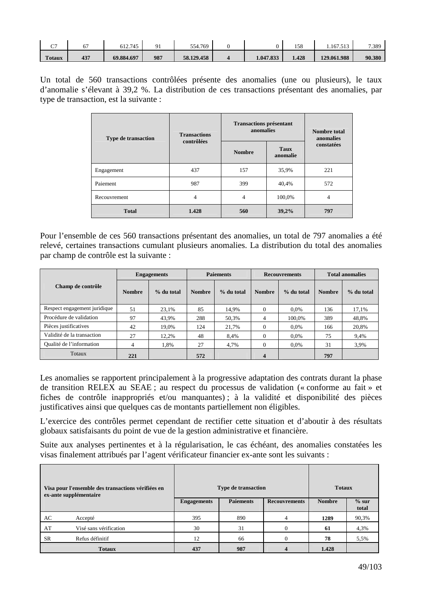| ~~<br>J.      |     | 612.745    | O 1 | 554.769    |           | 158   | 1.167.513   | 7.389  |
|---------------|-----|------------|-----|------------|-----------|-------|-------------|--------|
| <b>Totaux</b> | 437 | 69.884.697 | 987 | 58.129.458 | 1.047.833 | 1.428 | 129.061.988 | 90.380 |

Un total de 560 transactions contrôlées présente des anomalies (une ou plusieurs), le taux d'anomalie s'élevant à 39,2 %. La distribution de ces transactions présentant des anomalies, par type de transaction, est la suivante :

| <b>Type de transaction</b> | <b>Transactions</b> | <b>Transactions présentant</b><br>anomalies | <b>Nombre total</b><br>anomalies |            |
|----------------------------|---------------------|---------------------------------------------|----------------------------------|------------|
|                            | contrôlées          | <b>Nombre</b>                               | Taux<br>anomalie                 | constatées |
| Engagement                 | 437                 | 157                                         | 35,9%                            | 221        |
| Paiement                   | 987                 | 399                                         | 40,4%                            | 572        |
| Recouvrement               | 4                   | 4                                           | 100,0%                           | 4          |
| <b>Total</b>               | 1.428               | 560                                         | 39,2%                            | 797        |

Pour l'ensemble de ces 560 transactions présentant des anomalies, un total de 797 anomalies a été relevé, certaines transactions cumulant plusieurs anomalies. La distribution du total des anomalies par champ de contrôle est la suivante :

|                              | <b>Engagements</b> |            | <b>Paiements</b> |            | <b>Recouvrements</b>    |            | <b>Total anomalies</b> |            |
|------------------------------|--------------------|------------|------------------|------------|-------------------------|------------|------------------------|------------|
| Champ de contrôle            | <b>Nombre</b>      | % du total | <b>Nombre</b>    | % du total | <b>Nombre</b>           | % du total | <b>Nombre</b>          | % du total |
| Respect engagement juridique | 51                 | 23,1%      | 85               | 14.9%      | $\Omega$                | $0.0\%$    | 136                    | 17,1%      |
| Procédure de validation      | 97                 | 43,9%      | 288              | 50,3%      | $\overline{4}$          | 100,0%     | 389                    | 48,8%      |
| Pièces justificatives        | 42                 | 19.0%      | 124              | 21.7%      | $\Omega$                | $0.0\%$    | 166                    | 20.8%      |
| Validité de la transaction   | 27                 | 12,2%      | 48               | 8.4%       | $\Omega$                | 0.0%       | 75                     | 9,4%       |
| Qualité de l'information     | 4                  | 1,8%       | 27               | 4,7%       | $\theta$                | $0.0\%$    | 31                     | 3.9%       |
| <b>Totaux</b>                | 221                |            | 572              |            | $\overline{\mathbf{4}}$ |            | 797                    |            |

Les anomalies se rapportent principalement à la progressive adaptation des contrats durant la phase de transition RELEX au SEAE ; au respect du processus de validation (« conforme au fait » et fiches de contrôle inappropriés et/ou manquantes) ; à la validité et disponibilité des pièces justificatives ainsi que quelques cas de montants partiellement non éligibles.

L'exercice des contrôles permet cependant de rectifier cette situation et d'aboutir à des résultats globaux satisfaisants du point de vue de la gestion administrative et financière.

Suite aux analyses pertinentes et à la régularisation, le cas échéant, des anomalies constatées les visas finalement attribués par l'agent vérificateur financier ex-ante sont les suivants :

| Visa pour l'ensemble des transactions vérifiées en<br>ex-ante supplémentaire |                        |                    | <b>Type de transaction</b> | <b>Totaux</b>        |               |                  |
|------------------------------------------------------------------------------|------------------------|--------------------|----------------------------|----------------------|---------------|------------------|
|                                                                              |                        | <b>Engagements</b> | <b>Paiements</b>           | <b>Recouvrements</b> | <b>Nombre</b> | $%$ sur<br>total |
| AC                                                                           | Accepté                | 395                | 890                        | 4                    | 1289          | 90,3%            |
| AT                                                                           | Visé sans vérification | 30                 | 31                         | $\Omega$             | 61            | 4,3%             |
| SR                                                                           | Refus définitif        | 12                 | 66                         | $\theta$             | 78            | 5,5%             |
|                                                                              | <b>Totaux</b>          | 437                | 987                        |                      | 1.428         |                  |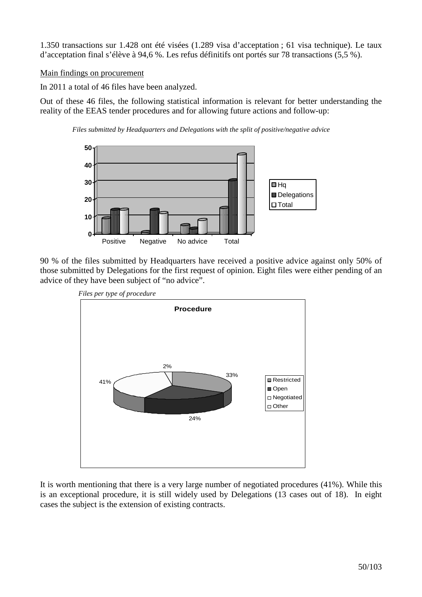1.350 transactions sur 1.428 ont été visées (1.289 visa d'acceptation ; 61 visa technique). Le taux d'acceptation final s'élève à 94,6 %. Les refus définitifs ont portés sur 78 transactions (5,5 %).

# Main findings on procurement

In 2011 a total of 46 files have been analyzed.

Out of these 46 files, the following statistical information is relevant for better understanding the reality of the EEAS tender procedures and for allowing future actions and follow-up:





90 % of the files submitted by Headquarters have received a positive advice against only 50% of those submitted by Delegations for the first request of opinion. Eight files were either pending of an advice of they have been subject of "no advice".



It is worth mentioning that there is a very large number of negotiated procedures (41%). While this is an exceptional procedure, it is still widely used by Delegations (13 cases out of 18). In eight cases the subject is the extension of existing contracts.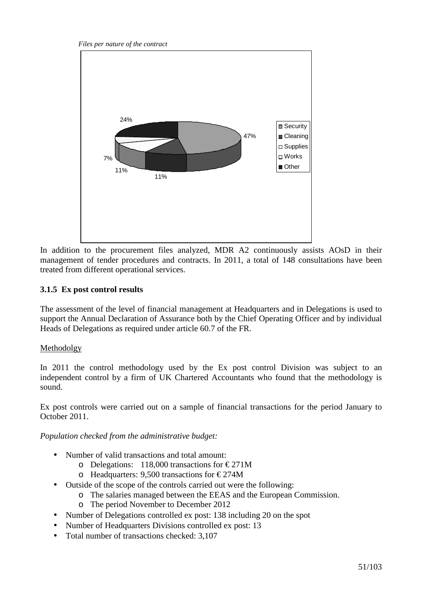*Files per nature of the contract* 



In addition to the procurement files analyzed, MDR A2 continuously assists AOsD in their management of tender procedures and contracts. In 2011, a total of 148 consultations have been treated from different operational services.

# **3.1.5 Ex post control results**

The assessment of the level of financial management at Headquarters and in Delegations is used to support the Annual Declaration of Assurance both by the Chief Operating Officer and by individual Heads of Delegations as required under article 60.7 of the FR.

# Methodolgy

In 2011 the control methodology used by the Ex post control Division was subject to an independent control by a firm of UK Chartered Accountants who found that the methodology is sound.

Ex post controls were carried out on a sample of financial transactions for the period January to October 2011.

*Population checked from the administrative budget:* 

- Number of valid transactions and total amount:
	- o Delegations: 118,000 transactions for  $\epsilon$  271M
	- o Headquarters: 9,500 transactions for  $\epsilon$  274M
- Outside of the scope of the controls carried out were the following:
	- o The salaries managed between the EEAS and the European Commission.
		- o The period November to December 2012
- Number of Delegations controlled ex post: 138 including 20 on the spot
- Number of Headquarters Divisions controlled ex post: 13
- Total number of transactions checked: 3,107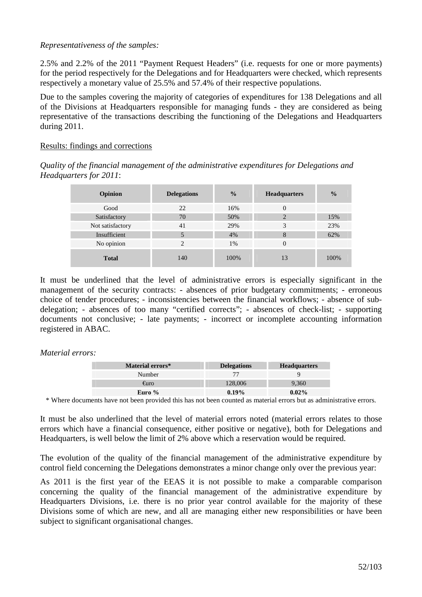# *Representativeness of the samples:*

2.5% and 2.2% of the 2011 "Payment Request Headers" (i.e. requests for one or more payments) for the period respectively for the Delegations and for Headquarters were checked, which represents respectively a monetary value of 25.5% and 57.4% of their respective populations.

Due to the samples covering the majority of categories of expenditures for 138 Delegations and all of the Divisions at Headquarters responsible for managing funds - they are considered as being representative of the transactions describing the functioning of the Delegations and Headquarters during 2011.

#### Results: findings and corrections

*Quality of the financial management of the administrative expenditures for Delegations and Headquarters for 2011*:

| Opinion          | <b>Delegations</b> | $\frac{0}{0}$ | <b>Headquarters</b> | $\frac{0}{0}$ |
|------------------|--------------------|---------------|---------------------|---------------|
| Good             | 22                 | 16%           | $\Omega$            |               |
| Satisfactory     | 70                 | 50%           | $\bigcirc$          | 15%           |
| Not satisfactory | 41                 | 29%           | 3                   | 23%           |
| Insufficient     | 5                  | 4%            | 8                   | 62%           |
| No opinion       | $\overline{2}$     | 1%            |                     |               |
| <b>Total</b>     | 140                | 100%          |                     | 100%          |

It must be underlined that the level of administrative errors is especially significant in the management of the security contracts: - absences of prior budgetary commitments; - erroneous choice of tender procedures; - inconsistencies between the financial workflows; - absence of subdelegation; - absences of too many "certified corrects"; - absences of check-list; - supporting documents not conclusive; - late payments; - incorrect or incomplete accounting information registered in ABAC.

*Material errors:* 

| <b>Material errors*</b> | <b>Delegations</b> | <b>Headquarters</b> |
|-------------------------|--------------------|---------------------|
| Number                  |                    |                     |
| €uro                    | 128,006            | 9.360               |
| Euro $%$                | 0.19%              | $0.02\%$            |

\* Where documents have not been provided this has not been counted as material errors but as administrative errors.

It must be also underlined that the level of material errors noted (material errors relates to those errors which have a financial consequence, either positive or negative), both for Delegations and Headquarters, is well below the limit of 2% above which a reservation would be required.

The evolution of the quality of the financial management of the administrative expenditure by control field concerning the Delegations demonstrates a minor change only over the previous year:

As 2011 is the first year of the EEAS it is not possible to make a comparable comparison concerning the quality of the financial management of the administrative expenditure by Headquarters Divisions, i.e. there is no prior year control available for the majority of these Divisions some of which are new, and all are managing either new responsibilities or have been subject to significant organisational changes.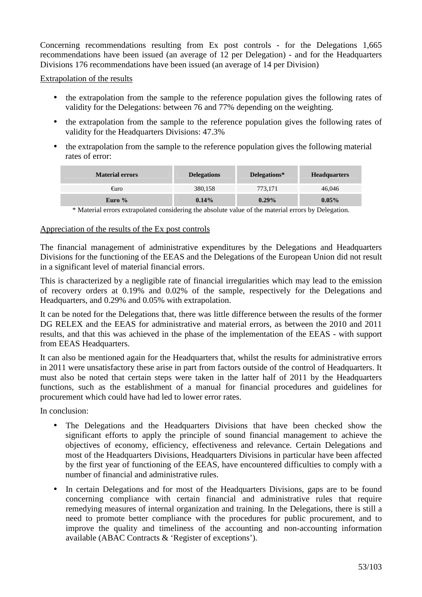Concerning recommendations resulting from Ex post controls - for the Delegations 1,665 recommendations have been issued (an average of 12 per Delegation) - and for the Headquarters Divisions 176 recommendations have been issued (an average of 14 per Division)

Extrapolation of the results

- the extrapolation from the sample to the reference population gives the following rates of validity for the Delegations: between 76 and 77% depending on the weighting.
- the extrapolation from the sample to the reference population gives the following rates of validity for the Headquarters Divisions: 47.3%
- the extrapolation from the sample to the reference population gives the following material rates of error:

| <b>Material errors</b> | <b>Delegations</b> | Delegations* | <b>Headquarters</b> |
|------------------------|--------------------|--------------|---------------------|
| €uro                   | 380,158            | 773.171      | 46,046              |
| Euro $%$               | 0.14%              | $0.29\%$     | $0.05\%$            |

\* Material errors extrapolated considering the absolute value of the material errors by Delegation.

#### Appreciation of the results of the Ex post controls

The financial management of administrative expenditures by the Delegations and Headquarters Divisions for the functioning of the EEAS and the Delegations of the European Union did not result in a significant level of material financial errors.

This is characterized by a negligible rate of financial irregularities which may lead to the emission of recovery orders at 0.19% and 0.02% of the sample, respectively for the Delegations and Headquarters, and 0.29% and 0.05% with extrapolation.

It can be noted for the Delegations that, there was little difference between the results of the former DG RELEX and the EEAS for administrative and material errors, as between the 2010 and 2011 results, and that this was achieved in the phase of the implementation of the EEAS - with support from EEAS Headquarters.

It can also be mentioned again for the Headquarters that, whilst the results for administrative errors in 2011 were unsatisfactory these arise in part from factors outside of the control of Headquarters. It must also be noted that certain steps were taken in the latter half of 2011 by the Headquarters functions, such as the establishment of a manual for financial procedures and guidelines for procurement which could have had led to lower error rates.

In conclusion:

- The Delegations and the Headquarters Divisions that have been checked show the significant efforts to apply the principle of sound financial management to achieve the objectives of economy, efficiency, effectiveness and relevance. Certain Delegations and most of the Headquarters Divisions, Headquarters Divisions in particular have been affected by the first year of functioning of the EEAS, have encountered difficulties to comply with a number of financial and administrative rules.
- In certain Delegations and for most of the Headquarters Divisions, gaps are to be found concerning compliance with certain financial and administrative rules that require remedying measures of internal organization and training. In the Delegations, there is still a need to promote better compliance with the procedures for public procurement, and to improve the quality and timeliness of the accounting and non-accounting information available (ABAC Contracts & 'Register of exceptions').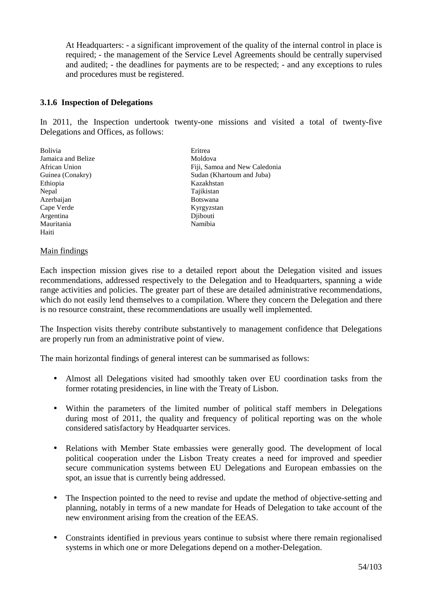At Headquarters: - a significant improvement of the quality of the internal control in place is required; - the management of the Service Level Agreements should be centrally supervised and audited; - the deadlines for payments are to be respected; - and any exceptions to rules and procedures must be registered.

# **3.1.6 Inspection of Delegations**

In 2011, the Inspection undertook twenty-one missions and visited a total of twenty-five Delegations and Offices, as follows:

Bolivia **Exercise Existence** Eritrea Jamaica and Belize Moldova Ethiopia Kazakhstan Nepal Tajikistan Azerbaijan Botswana Cape Verde Kyrgyzstan Argentina Djibouti Mauritania Haiti

African Union Fiji, Samoa and New Caledonia Guinea (Conakry) Sudan (Khartoum and Juba)

#### Main findings

Each inspection mission gives rise to a detailed report about the Delegation visited and issues recommendations, addressed respectively to the Delegation and to Headquarters, spanning a wide range activities and policies. The greater part of these are detailed administrative recommendations, which do not easily lend themselves to a compilation. Where they concern the Delegation and there is no resource constraint, these recommendations are usually well implemented.

The Inspection visits thereby contribute substantively to management confidence that Delegations are properly run from an administrative point of view.

The main horizontal findings of general interest can be summarised as follows:

- Almost all Delegations visited had smoothly taken over EU coordination tasks from the former rotating presidencies, in line with the Treaty of Lisbon.
- Within the parameters of the limited number of political staff members in Delegations during most of 2011, the quality and frequency of political reporting was on the whole considered satisfactory by Headquarter services.
- Relations with Member State embassies were generally good. The development of local political cooperation under the Lisbon Treaty creates a need for improved and speedier secure communication systems between EU Delegations and European embassies on the spot, an issue that is currently being addressed.
- The Inspection pointed to the need to revise and update the method of objective-setting and planning, notably in terms of a new mandate for Heads of Delegation to take account of the new environment arising from the creation of the EEAS.
- Constraints identified in previous years continue to subsist where there remain regionalised systems in which one or more Delegations depend on a mother-Delegation.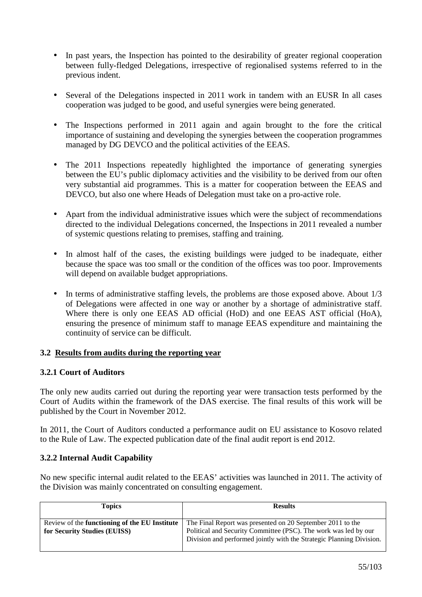- In past years, the Inspection has pointed to the desirability of greater regional cooperation between fully-fledged Delegations, irrespective of regionalised systems referred to in the previous indent.
- Several of the Delegations inspected in 2011 work in tandem with an EUSR In all cases cooperation was judged to be good, and useful synergies were being generated.
- The Inspections performed in 2011 again and again brought to the fore the critical importance of sustaining and developing the synergies between the cooperation programmes managed by DG DEVCO and the political activities of the EEAS.
- The 2011 Inspections repeatedly highlighted the importance of generating synergies between the EU's public diplomacy activities and the visibility to be derived from our often very substantial aid programmes. This is a matter for cooperation between the EEAS and DEVCO, but also one where Heads of Delegation must take on a pro-active role.
- Apart from the individual administrative issues which were the subject of recommendations directed to the individual Delegations concerned, the Inspections in 2011 revealed a number of systemic questions relating to premises, staffing and training.
- In almost half of the cases, the existing buildings were judged to be inadequate, either because the space was too small or the condition of the offices was too poor. Improvements will depend on available budget appropriations.
- In terms of administrative staffing levels, the problems are those exposed above. About  $1/3$ of Delegations were affected in one way or another by a shortage of administrative staff. Where there is only one EEAS AD official (HoD) and one EEAS AST official (HoA), ensuring the presence of minimum staff to manage EEAS expenditure and maintaining the continuity of service can be difficult.

# **3.2 Results from audits during the reporting year**

# **3.2.1 Court of Auditors**

The only new audits carried out during the reporting year were transaction tests performed by the Court of Audits within the framework of the DAS exercise. The final results of this work will be published by the Court in November 2012.

In 2011, the Court of Auditors conducted a performance audit on EU assistance to Kosovo related to the Rule of Law. The expected publication date of the final audit report is end 2012.

# **3.2.2 Internal Audit Capability**

No new specific internal audit related to the EEAS' activities was launched in 2011. The activity of the Division was mainly concentrated on consulting engagement.

| <b>Topics</b>                                                                        | <b>Results</b>                                                                                                                                                                                        |
|--------------------------------------------------------------------------------------|-------------------------------------------------------------------------------------------------------------------------------------------------------------------------------------------------------|
| Review of the <b>functioning of the EU Institute</b><br>for Security Studies (EUISS) | The Final Report was presented on 20 September 2011 to the<br>Political and Security Committee (PSC). The work was led by our<br>Division and performed jointly with the Strategic Planning Division. |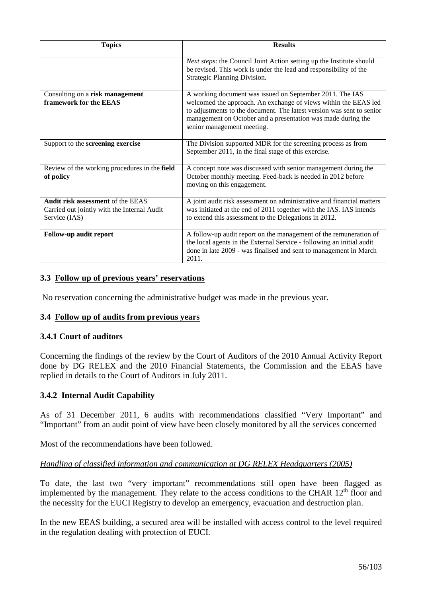| <b>Topics</b>                                                                                            | <b>Results</b>                                                                                                                                                                                                                         |
|----------------------------------------------------------------------------------------------------------|----------------------------------------------------------------------------------------------------------------------------------------------------------------------------------------------------------------------------------------|
|                                                                                                          | Next steps: the Council Joint Action setting up the Institute should<br>be revised. This work is under the lead and responsibility of the<br>Strategic Planning Division.                                                              |
| Consulting on a risk management                                                                          | A working document was issued on September 2011. The IAS                                                                                                                                                                               |
| framework for the EEAS                                                                                   | welcomed the approach. An exchange of views within the EEAS led<br>to adjustments to the document. The latest version was sent to senior<br>management on October and a presentation was made during the<br>senior management meeting. |
| Support to the screening exercise                                                                        | The Division supported MDR for the screening process as from<br>September 2011, in the final stage of this exercise.                                                                                                                   |
| Review of the working procedures in the field<br>of policy                                               | A concept note was discussed with senior management during the<br>October monthly meeting. Feed-back is needed in 2012 before<br>moving on this engagement.                                                                            |
| <b>Audit risk assessment of the EEAS</b><br>Carried out jointly with the Internal Audit<br>Service (IAS) | A joint audit risk assessment on administrative and financial matters<br>was initiated at the end of 2011 together with the IAS. IAS intends<br>to extend this assessment to the Delegations in 2012.                                  |
| Follow-up audit report                                                                                   | A follow-up audit report on the management of the remuneration of<br>the local agents in the External Service - following an initial audit<br>done in late 2009 - was finalised and sent to management in March<br>2011.               |

# **3.3 Follow up of previous years' reservations**

No reservation concerning the administrative budget was made in the previous year.

# **3.4 Follow up of audits from previous years**

#### **3.4.1 Court of auditors**

Concerning the findings of the review by the Court of Auditors of the 2010 Annual Activity Report done by DG RELEX and the 2010 Financial Statements, the Commission and the EEAS have replied in details to the Court of Auditors in July 2011.

# **3.4.2 Internal Audit Capability**

As of 31 December 2011, 6 audits with recommendations classified "Very Important" and "Important" from an audit point of view have been closely monitored by all the services concerned

Most of the recommendations have been followed.

#### *Handling of classified information and communication at DG RELEX Headquarters (2005)*

To date, the last two "very important" recommendations still open have been flagged as implemented by the management. They relate to the access conditions to the CHAR  $12<sup>th</sup>$  floor and the necessity for the EUCI Registry to develop an emergency, evacuation and destruction plan.

In the new EEAS building, a secured area will be installed with access control to the level required in the regulation dealing with protection of EUCI.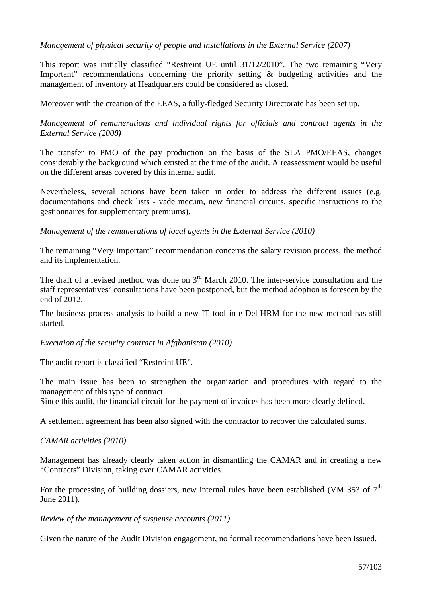# *Management of physical security of people and installations in the External Service (2007)*

This report was initially classified "Restreint UE until 31/12/2010". The two remaining "Very Important" recommendations concerning the priority setting & budgeting activities and the management of inventory at Headquarters could be considered as closed.

Moreover with the creation of the EEAS, a fully-fledged Security Directorate has been set up.

# *Management of remunerations and individual rights for officials and contract agents in the External Service (2008)*

The transfer to PMO of the pay production on the basis of the SLA PMO/EEAS, changes considerably the background which existed at the time of the audit. A reassessment would be useful on the different areas covered by this internal audit.

Nevertheless, several actions have been taken in order to address the different issues (e.g. documentations and check lists - vade mecum, new financial circuits, specific instructions to the gestionnaires for supplementary premiums).

# *Management of the remunerations of local agents in the External Service (2010)*

The remaining "Very Important" recommendation concerns the salary revision process, the method and its implementation.

The draft of a revised method was done on  $3<sup>rd</sup>$  March 2010. The inter-service consultation and the staff representatives' consultations have been postponed, but the method adoption is foreseen by the end of 2012.

The business process analysis to build a new IT tool in e-Del-HRM for the new method has still started.

#### *Execution of the security contract in Afghanistan (2010)*

The audit report is classified "Restreint UE".

The main issue has been to strengthen the organization and procedures with regard to the management of this type of contract.

Since this audit, the financial circuit for the payment of invoices has been more clearly defined.

A settlement agreement has been also signed with the contractor to recover the calculated sums.

#### *CAMAR activities (2010)*

Management has already clearly taken action in dismantling the CAMAR and in creating a new "Contracts" Division, taking over CAMAR activities.

For the processing of building dossiers, new internal rules have been established (VM 353 of  $7<sup>th</sup>$ June 2011).

#### *Review of the management of suspense accounts (2011)*

Given the nature of the Audit Division engagement, no formal recommendations have been issued.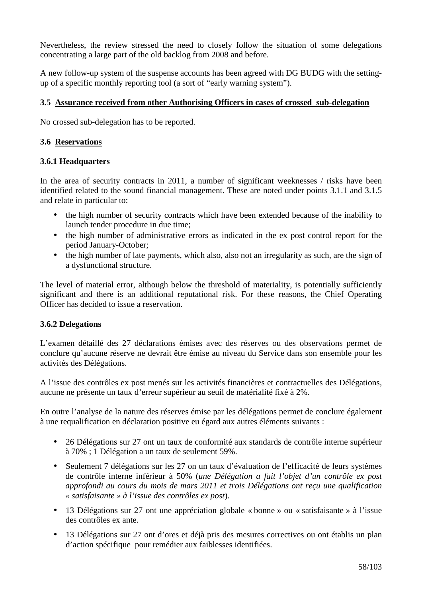Nevertheless, the review stressed the need to closely follow the situation of some delegations concentrating a large part of the old backlog from 2008 and before.

A new follow-up system of the suspense accounts has been agreed with DG BUDG with the settingup of a specific monthly reporting tool (a sort of "early warning system").

# **3.5 Assurance received from other Authorising Officers in cases of crossed sub-delegation**

No crossed sub-delegation has to be reported.

# **3.6 Reservations**

#### **3.6.1 Headquarters**

In the area of security contracts in 2011, a number of significant weeknesses / risks have been identified related to the sound financial management. These are noted under points 3.1.1 and 3.1.5 and relate in particular to:

- the high number of security contracts which have been extended because of the inability to launch tender procedure in due time;
- the high number of administrative errors as indicated in the ex post control report for the period January-October;
- the high number of late payments, which also, also not an irregularity as such, are the sign of a dysfunctional structure.

The level of material error, although below the threshold of materiality, is potentially sufficiently significant and there is an additional reputational risk. For these reasons, the Chief Operating Officer has decided to issue a reservation.

# **3.6.2 Delegations**

L'examen détaillé des 27 déclarations émises avec des réserves ou des observations permet de conclure qu'aucune réserve ne devrait être émise au niveau du Service dans son ensemble pour les activités des Délégations.

A l'issue des contrôles ex post menés sur les activités financières et contractuelles des Délégations, aucune ne présente un taux d'erreur supérieur au seuil de matérialité fixé à 2%.

En outre l'analyse de la nature des réserves émise par les délégations permet de conclure également à une requalification en déclaration positive eu égard aux autres éléments suivants :

- 26 Délégations sur 27 ont un taux de conformité aux standards de contrôle interne supérieur à 70% ; 1 Délégation a un taux de seulement 59%.
- Seulement 7 délégations sur les 27 on un taux d'évaluation de l'efficacité de leurs systèmes de contrôle interne inférieur à 50% (*une Délégation a fait l'objet d'un contrôle ex post approfondi au cours du mois de mars 2011 et trois Délégations ont reçu une qualification « satisfaisante » à l'issue des contrôles ex post*).
- 13 Délégations sur 27 ont une appréciation globale « bonne » ou « satisfaisante » à l'issue des contrôles ex ante.
- 13 Délégations sur 27 ont d'ores et déjà pris des mesures correctives ou ont établis un plan d'action spécifique pour remédier aux faiblesses identifiées.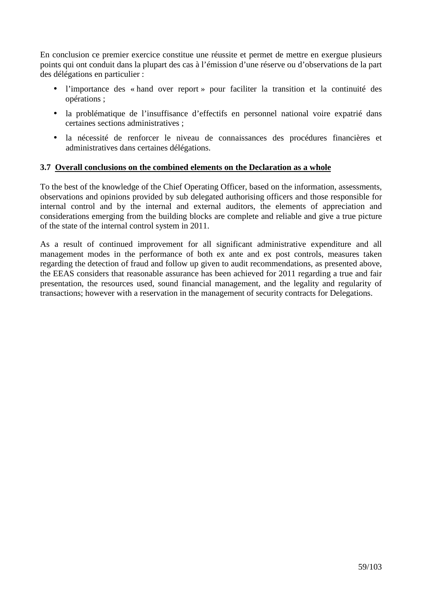En conclusion ce premier exercice constitue une réussite et permet de mettre en exergue plusieurs points qui ont conduit dans la plupart des cas à l'émission d'une réserve ou d'observations de la part des délégations en particulier :

- l'importance des « hand over report » pour faciliter la transition et la continuité des opérations ;
- la problématique de l'insuffisance d'effectifs en personnel national voire expatrié dans certaines sections administratives ;
- la nécessité de renforcer le niveau de connaissances des procédures financières et administratives dans certaines délégations.

# **3.7 Overall conclusions on the combined elements on the Declaration as a whole**

To the best of the knowledge of the Chief Operating Officer, based on the information, assessments, observations and opinions provided by sub delegated authorising officers and those responsible for internal control and by the internal and external auditors, the elements of appreciation and considerations emerging from the building blocks are complete and reliable and give a true picture of the state of the internal control system in 2011.

As a result of continued improvement for all significant administrative expenditure and all management modes in the performance of both ex ante and ex post controls, measures taken regarding the detection of fraud and follow up given to audit recommendations, as presented above, the EEAS considers that reasonable assurance has been achieved for 2011 regarding a true and fair presentation, the resources used, sound financial management, and the legality and regularity of transactions; however with a reservation in the management of security contracts for Delegations.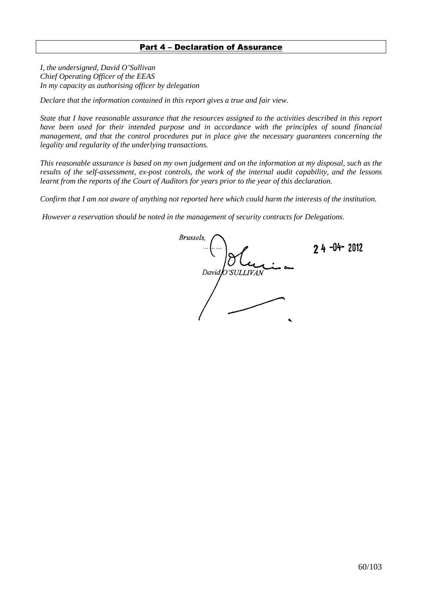#### Part 4 – Declaration of Assurance

*I, the undersigned, David O'Sullivan Chief Operating Officer of the EEAS In my capacity as authorising officer by delegation*

*Declare that the information contained in this report gives a true and fair view.* 

*State that I have reasonable assurance that the resources assigned to the activities described in this report have been used for their intended purpose and in accordance with the principles of sound financial management, and that the control procedures put in place give the necessary guarantees concerning the legality and regularity of the underlying transactions.* 

*This reasonable assurance is based on my own judgement and on the information at my disposal, such as the results of the self-assessment, ex-post controls, the work of the internal audit capability, and the lessons learnt from the reports of the Court of Auditors for years prior to the year of this declaration.* 

*Confirm that I am not aware of anything not reported here which could harm the interests of the institution.* 

 *However a reservation should be noted in the management of security contracts for Delegations.* 

**Brussels**.  $2.4 - 04 - 2012$ David O'SULLIVAN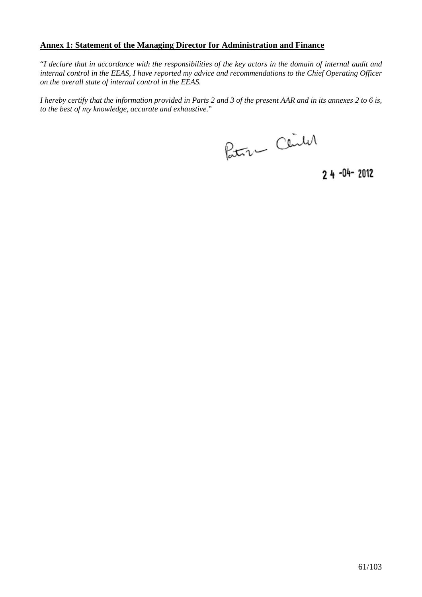# **Annex 1: Statement of the Managing Director for Administration and Finance**

"*I declare that in accordance with the responsibilities of the key actors in the domain of internal audit and internal control in the EEAS, I have reported my advice and recommendations to the Chief Operating Officer on the overall state of internal control in the EEAS.* 

*I hereby certify that the information provided in Parts 2 and 3 of the present AAR and in its annexes 2 to 6 is, to the best of my knowledge, accurate and exhaustive.*"

Petru Center

 $24 - 04 - 2012$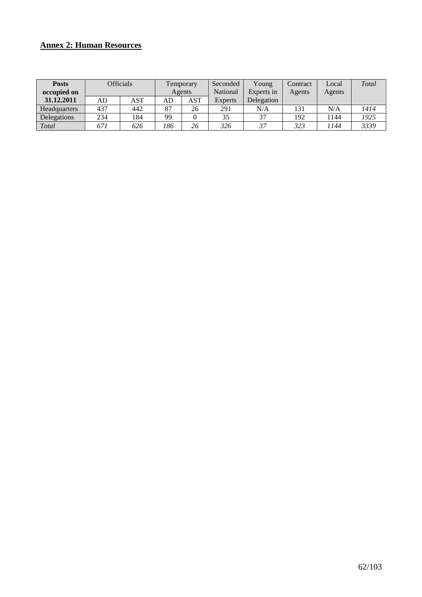# **Annex 2: Human Resources**

| <b>Posts</b><br>occupied on |     | <b>Officials</b> | Temporary<br>Agents |     | Seconded<br>National | Young<br>Experts in | Contract<br>Agents | Local<br>Agents | Total |
|-----------------------------|-----|------------------|---------------------|-----|----------------------|---------------------|--------------------|-----------------|-------|
| 31.12.2011                  | AD  | <b>AST</b>       | AD                  | AST | <b>Experts</b>       | Delegation          |                    |                 |       |
| <b>Headquarters</b>         | 437 | 442              | 87                  | 26  | 291                  | N/A                 | 131                | N/A             | 1414  |
| Delegations                 | 234 | 184              | 99                  |     | 35                   | 37                  | 192                | 1144            | 1925  |
| Total                       | 671 | 626              | 186                 | 26  | 326                  | 37                  | 323                | ' 144           | 3339  |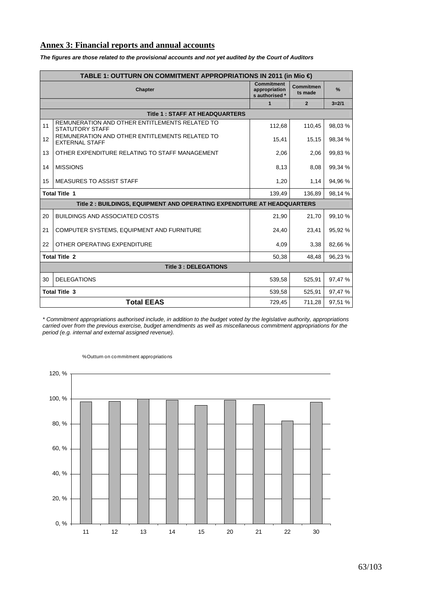# **Annex 3: Financial reports and annual accounts**

|    | TABLE 1: OUTTURN ON COMMITMENT APPROPRIATIONS IN 2011 (in Mio €)         |                                                      |                      |         |  |  |  |  |  |  |  |
|----|--------------------------------------------------------------------------|------------------------------------------------------|----------------------|---------|--|--|--|--|--|--|--|
|    | <b>Chapter</b>                                                           | <b>Commitment</b><br>appropriation<br>s authorised * | Commitmen<br>ts made | $\%$    |  |  |  |  |  |  |  |
|    | $\overline{2}$<br>$3 = 2/1$<br>$\blacktriangleleft$                      |                                                      |                      |         |  |  |  |  |  |  |  |
|    | <b>Title 1: STAFF AT HEADQUARTERS</b>                                    |                                                      |                      |         |  |  |  |  |  |  |  |
| 11 | REMUNERATION AND OTHER ENTITLEMENTS RELATED TO<br><b>STATUTORY STAFF</b> | 112,68                                               | 110,45               | 98,03 % |  |  |  |  |  |  |  |
| 12 | REMUNERATION AND OTHER ENTITLEMENTS RELATED TO<br><b>EXTERNAL STAFF</b>  | 15,41                                                | 15,15                | 98,34 % |  |  |  |  |  |  |  |
| 13 | OTHER EXPENDITURE RELATING TO STAFF MANAGEMENT                           | 2,06                                                 | 2,06                 | 99,83 % |  |  |  |  |  |  |  |
| 14 | <b>MISSIONS</b>                                                          | 8,13                                                 | 8,08                 | 99,34 % |  |  |  |  |  |  |  |
| 15 | <b>MEASURES TO ASSIST STAFF</b>                                          | 1,20                                                 | 1,14                 | 94,96 % |  |  |  |  |  |  |  |
|    | <b>Total Title 1</b>                                                     | 139,49                                               | 136,89               | 98,14 % |  |  |  |  |  |  |  |
|    | Title 2 : BUILDINGS, EQUIPMENT AND OPERATING EXPENDITURE AT HEADQUARTERS |                                                      |                      |         |  |  |  |  |  |  |  |
| 20 | <b>BUILDINGS AND ASSOCIATED COSTS</b>                                    | 21.90                                                | 21.70                | 99.10 % |  |  |  |  |  |  |  |
| 21 | COMPUTER SYSTEMS, EQUIPMENT AND FURNITURE                                | 24,40                                                | 23,41                | 95,92 % |  |  |  |  |  |  |  |
| 22 | OTHER OPERATING EXPENDITURE                                              | 4,09                                                 | 3,38                 | 82,66 % |  |  |  |  |  |  |  |
|    | <b>Total Title 2</b>                                                     | 50,38                                                | 48,48                | 96,23 % |  |  |  |  |  |  |  |
|    | <b>Title 3: DELEGATIONS</b>                                              |                                                      |                      |         |  |  |  |  |  |  |  |
| 30 | <b>DELEGATIONS</b>                                                       | 539.58                                               | 525.91               | 97,47 % |  |  |  |  |  |  |  |
|    | <b>Total Title 3</b>                                                     | 539,58                                               | 525.91               | 97,47 % |  |  |  |  |  |  |  |
|    | <b>Total EEAS</b>                                                        | 729,45                                               | 711,28               | 97,51 % |  |  |  |  |  |  |  |

**The figures are those related to the provisional accounts and not yet audited by the Court of Auditors**

\* Commitment appropriations authorised include, in addition to the budget voted by the legislative authority, appropriations carried over from the previous exercise, budget amendments as well as miscellaneous commitment appropriations for the period (e.g. internal and external assigned revenue).



% Outturn on commitment appropriations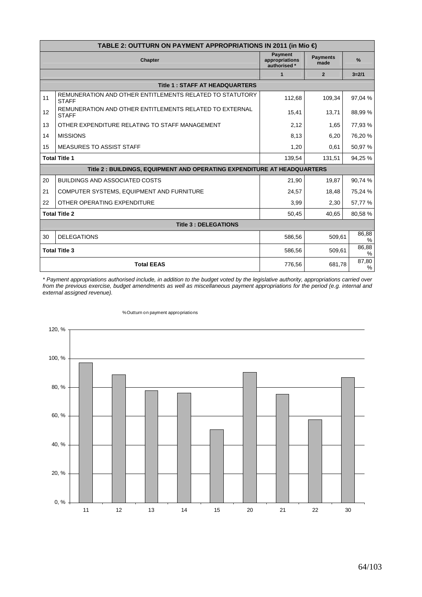|    | TABLE 2: OUTTURN ON PAYMENT APPROPRIATIONS IN 2011 (in Mio €)            |                                                  |                         |               |  |  |  |  |  |  |  |
|----|--------------------------------------------------------------------------|--------------------------------------------------|-------------------------|---------------|--|--|--|--|--|--|--|
|    | <b>Chapter</b>                                                           | <b>Payment</b><br>appropriations<br>authorised * | <b>Payments</b><br>made | %             |  |  |  |  |  |  |  |
|    |                                                                          | $\mathbf{1}$                                     | $\overline{2}$          | $3 = 2/1$     |  |  |  |  |  |  |  |
|    | <b>Title 1: STAFF AT HEADQUARTERS</b>                                    |                                                  |                         |               |  |  |  |  |  |  |  |
| 11 | REMUNERATION AND OTHER ENTITLEMENTS RELATED TO STATUTORY<br><b>STAFF</b> | 112,68                                           | 109,34                  | 97,04 %       |  |  |  |  |  |  |  |
| 12 | REMUNERATION AND OTHER ENTITLEMENTS RELATED TO EXTERNAL<br><b>STAFF</b>  | 15,41                                            | 13,71                   | 88,99 %       |  |  |  |  |  |  |  |
| 13 | OTHER EXPENDITURE RELATING TO STAFF MANAGEMENT                           | 2,12                                             | 1,65                    | 77,93 %       |  |  |  |  |  |  |  |
| 14 | <b>MISSIONS</b>                                                          | 8,13                                             | 6,20                    | 76,20%        |  |  |  |  |  |  |  |
| 15 | <b>MEASURES TO ASSIST STAFF</b>                                          | 1,20                                             | 0,61                    | 50,97%        |  |  |  |  |  |  |  |
|    | <b>Total Title 1</b>                                                     | 139,54                                           | 131,51                  | 94,25 %       |  |  |  |  |  |  |  |
|    | Title 2 : BUILDINGS, EQUIPMENT AND OPERATING EXPENDITURE AT HEADQUARTERS |                                                  |                         |               |  |  |  |  |  |  |  |
| 20 | <b>BUILDINGS AND ASSOCIATED COSTS</b>                                    | 21,90                                            | 19,87                   | 90,74 %       |  |  |  |  |  |  |  |
| 21 | COMPUTER SYSTEMS, EQUIPMENT AND FURNITURE                                | 24,57                                            | 18,48                   | 75,24 %       |  |  |  |  |  |  |  |
| 22 | OTHER OPERATING EXPENDITURE                                              | 3,99                                             | 2,30                    | 57,77 %       |  |  |  |  |  |  |  |
|    | <b>Total Title 2</b>                                                     | 50,45                                            | 40,65                   | 80,58%        |  |  |  |  |  |  |  |
|    | <b>Title 3: DELEGATIONS</b>                                              |                                                  |                         |               |  |  |  |  |  |  |  |
| 30 | <b>DELEGATIONS</b>                                                       | 586,56                                           | 509,61                  | 86,88<br>%    |  |  |  |  |  |  |  |
|    | <b>Total Title 3</b>                                                     | 586,56                                           | 509,61                  | 86,88<br>%    |  |  |  |  |  |  |  |
|    | <b>Total EEAS</b>                                                        | 776,56                                           | 681,78                  | 87,80<br>$\%$ |  |  |  |  |  |  |  |

\* Payment appropriations authorised include, in addition to the budget voted by the legislative authority, appropriations carried over from the previous exercise, budget amendments as well as miscellaneous payment appropriations for the period (e.g. internal and external assigned revenue).



#### % Outturn on payment appropriations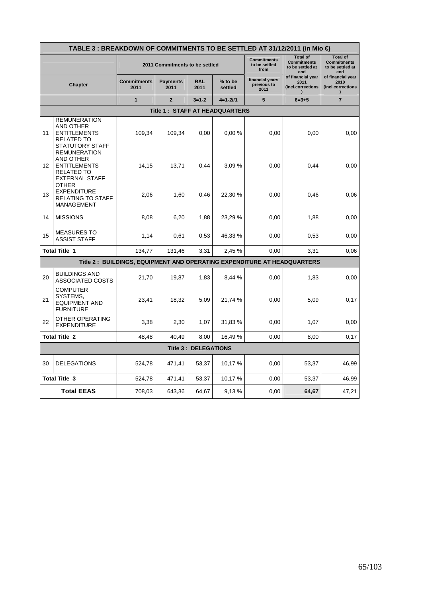|    | TABLE 3 : BREAKDOWN OF COMMITMENTS TO BE SETTLED AT 31/12/2011 (in Mio €)                                                     |                                                                         |                                |                             |                    |                                             |                                                                  |                                                                  |  |  |  |  |
|----|-------------------------------------------------------------------------------------------------------------------------------|-------------------------------------------------------------------------|--------------------------------|-----------------------------|--------------------|---------------------------------------------|------------------------------------------------------------------|------------------------------------------------------------------|--|--|--|--|
|    |                                                                                                                               |                                                                         | 2011 Commitments to be settled |                             |                    | <b>Commitments</b><br>to be settled<br>from | <b>Total of</b><br><b>Commitments</b><br>to be settled at<br>end | <b>Total of</b><br><b>Commitments</b><br>to be settled at<br>end |  |  |  |  |
|    | Chapter                                                                                                                       | <b>Commitments</b><br>2011                                              | <b>Payments</b><br>2011        | <b>RAL</b><br>2011          | % to be<br>settled | financial years<br>previous to<br>2011      | of financial year<br>2011<br>(incl.corrections                   | of financial year<br>2010<br>(incl.corrections                   |  |  |  |  |
|    |                                                                                                                               | 1                                                                       | $\overline{2}$                 | $3 = 1 - 2$                 | $4=1-21/1$         | 5                                           | $6 = 3 + 5$                                                      | $\overline{7}$                                                   |  |  |  |  |
|    |                                                                                                                               |                                                                         | Title 1: STAFF AT HEADQUARTERS |                             |                    |                                             |                                                                  |                                                                  |  |  |  |  |
| 11 | <b>REMUNERATION</b><br><b>AND OTHER</b><br><b>ENTITLEMENTS</b><br><b>RELATED TO</b><br>STATUTORY STAFF<br><b>REMUNERATION</b> | 109,34                                                                  | 109,34                         | 0,00                        | 0.00%              | 0,00                                        | 0,00                                                             | 0,00                                                             |  |  |  |  |
| 12 | AND OTHER<br><b>ENTITLEMENTS</b><br>RELATED TO<br><b>EXTERNAL STAFF</b><br>OTHER                                              | 14,15                                                                   | 13,71                          | 0,44                        | 3,09 %             | 0,00                                        | 0,44                                                             | 0,00                                                             |  |  |  |  |
| 13 | <b>EXPENDITURE</b><br>RELATING TO STAFF<br>MANAGEMENT                                                                         | 2,06                                                                    | 1,60                           | 0,46                        | 22,30 %            | 0,00                                        | 0,46                                                             | 0,06                                                             |  |  |  |  |
| 14 | <b>MISSIONS</b>                                                                                                               | 8,08                                                                    | 6,20                           | 1,88                        | 23,29 %            | 0,00                                        | 1,88                                                             | 0,00                                                             |  |  |  |  |
| 15 | <b>MEASURES TO</b><br><b>ASSIST STAFF</b>                                                                                     | 1,14                                                                    | 0,61                           | 0,53                        | 46,33%             | 0,00                                        | 0,53                                                             | 0,00                                                             |  |  |  |  |
|    | <b>Total Title 1</b>                                                                                                          | 134,77                                                                  | 131,46                         | 3,31                        | 2,45 %             | 0,00                                        | 3,31                                                             | 0,06                                                             |  |  |  |  |
|    |                                                                                                                               | Title 2: BUILDINGS, EQUIPMENT AND OPERATING EXPENDITURE AT HEADQUARTERS |                                |                             |                    |                                             |                                                                  |                                                                  |  |  |  |  |
| 20 | <b>BUILDINGS AND</b><br><b>ASSOCIATED COSTS</b>                                                                               | 21,70                                                                   | 19,87                          | 1,83                        | 8,44 %             | 0,00                                        | 1,83                                                             | 0,00                                                             |  |  |  |  |
| 21 | <b>COMPUTER</b><br>SYSTEMS.<br><b>EQUIPMENT AND</b><br><b>FURNITURE</b>                                                       | 23,41                                                                   | 18,32                          | 5,09                        | 21,74 %            | 0,00                                        | 5,09                                                             | 0,17                                                             |  |  |  |  |
| 22 | OTHER OPERATING<br><b>EXPENDITURE</b>                                                                                         | 3,38                                                                    | 2,30                           | 1,07                        | 31,83%             | 0,00                                        | 1,07                                                             | 0,00                                                             |  |  |  |  |
|    | <b>Total Title 2</b>                                                                                                          | 48,48                                                                   | 40.49                          | 8,00                        | 16,49 %            | 0,00                                        | 8,00                                                             | 0,17                                                             |  |  |  |  |
|    |                                                                                                                               |                                                                         |                                | <b>Title 3: DELEGATIONS</b> |                    |                                             |                                                                  |                                                                  |  |  |  |  |
| 30 | <b>DELEGATIONS</b>                                                                                                            | 524,78                                                                  | 471,41                         | 53,37                       | 10,17 %            | 0,00                                        | 53,37                                                            | 46,99                                                            |  |  |  |  |
|    | <b>Total Title 3</b>                                                                                                          | 524,78                                                                  | 471,41                         | 53,37                       | 10,17%             | 0,00                                        | 53,37                                                            | 46,99                                                            |  |  |  |  |
|    | <b>Total EEAS</b>                                                                                                             | 708,03                                                                  | 643,36                         | 64,67                       | 9.13%              | 0,00                                        | 64,67                                                            | 47,21                                                            |  |  |  |  |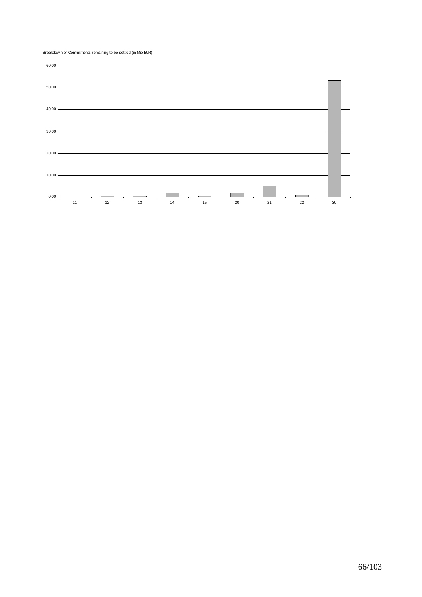Breakdow n of Commitments remaining to be settled (in Mio EUR)

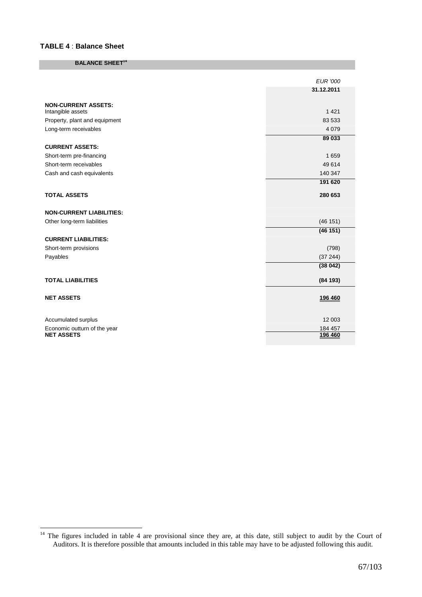#### **TABLE 4** : **Balance Sheet**

 $\overline{a}$ 

#### **BALANCE SHEET<sup>14</sup>**

|                                 | <b>EUR</b> '000 |
|---------------------------------|-----------------|
|                                 | 31.12.2011      |
| <b>NON-CURRENT ASSETS:</b>      |                 |
| Intangible assets               | 1 4 2 1         |
| Property, plant and equipment   | 83 533          |
| Long-term receivables           | 4 0 7 9         |
|                                 | 89 033          |
| <b>CURRENT ASSETS:</b>          |                 |
| Short-term pre-financing        | 1659            |
| Short-term receivables          | 49 614          |
| Cash and cash equivalents       | 140 347         |
|                                 | 191 620         |
| <b>TOTAL ASSETS</b>             | 280 653         |
| <b>NON-CURRENT LIABILITIES:</b> |                 |
| Other long-term liabilities     | (46 151)        |
|                                 | (46151)         |
| <b>CURRENT LIABILITIES:</b>     |                 |
| Short-term provisions           | (798)           |
| Payables                        | (37244)         |
|                                 | (38042)         |
| <b>TOTAL LIABILITIES</b>        | (84193)         |
| <b>NET ASSETS</b>               | 196 460         |
|                                 |                 |
| Accumulated surplus             | 12 003          |
| Economic outturn of the year    | 184 457         |
| <b>NET ASSETS</b>               | 196 460         |

<sup>&</sup>lt;sup>14</sup> The figures included in table 4 are provisional since they are, at this date, still subject to audit by the Court of Auditors. It is therefore possible that amounts included in this table may have to be adjusted following this audit.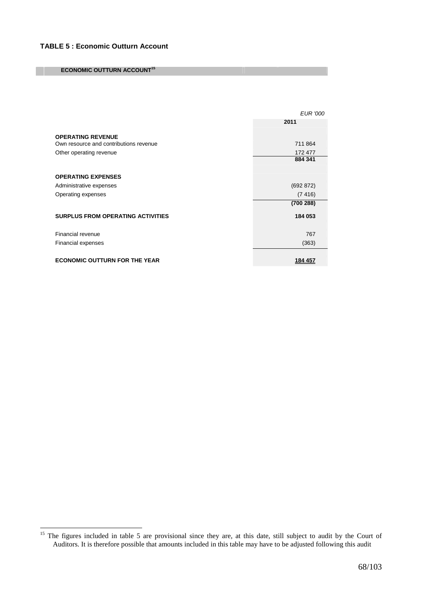#### **ECONOMIC OUTTURN ACCOUNT<sup>15</sup>**

 $\overline{a}$ 

|                                                                    | <b>EUR '000</b>  |
|--------------------------------------------------------------------|------------------|
|                                                                    | 2011             |
|                                                                    |                  |
| <b>OPERATING REVENUE</b><br>Own resource and contributions revenue | 711864           |
| Other operating revenue                                            | 172 477          |
|                                                                    | 884 341          |
|                                                                    |                  |
| <b>OPERATING EXPENSES</b>                                          |                  |
| Administrative expenses                                            | (692 872)        |
| Operating expenses                                                 | (7416)           |
|                                                                    | (700 288)        |
| <b>SURPLUS FROM OPERATING ACTIVITIES</b>                           | 184 053          |
|                                                                    |                  |
| Financial revenue                                                  | 767              |
| Financial expenses                                                 | (363)            |
|                                                                    |                  |
| <b>ECONOMIC OUTTURN FOR THE YEAR</b>                               | <u> 184 457 </u> |

<sup>&</sup>lt;sup>15</sup> The figures included in table 5 are provisional since they are, at this date, still subject to audit by the Court of Auditors. It is therefore possible that amounts included in this table may have to be adjusted following this audit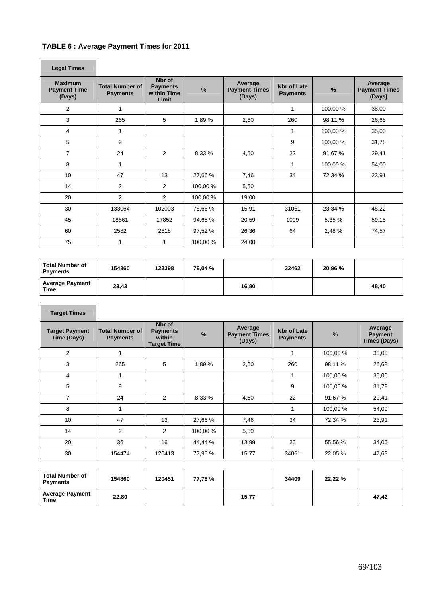# **TABLE 6 : Average Payment Times for 2011**

| <b>Legal Times</b>                              |                                           |                                                   |          |                                           |                                       |          |                                           |
|-------------------------------------------------|-------------------------------------------|---------------------------------------------------|----------|-------------------------------------------|---------------------------------------|----------|-------------------------------------------|
| <b>Maximum</b><br><b>Payment Time</b><br>(Days) | <b>Total Number of</b><br><b>Payments</b> | Nbr of<br><b>Payments</b><br>within Time<br>Limit | %        | Average<br><b>Payment Times</b><br>(Days) | <b>Nbr of Late</b><br><b>Payments</b> | %        | Average<br><b>Payment Times</b><br>(Days) |
| 2                                               | 1                                         |                                                   |          |                                           | 1                                     | 100,00 % | 38,00                                     |
| 3                                               | 265                                       | 5                                                 | 1,89%    | 2,60                                      | 260                                   | 98,11 %  | 26,68                                     |
| 4                                               | 1                                         |                                                   |          |                                           | 1                                     | 100,00 % | 35,00                                     |
| 5                                               | 9                                         |                                                   |          |                                           | 9                                     | 100,00%  | 31,78                                     |
| 7                                               | 24                                        | 2                                                 | 8,33%    | 4,50                                      | 22                                    | 91,67 %  | 29,41                                     |
| 8                                               | 1                                         |                                                   |          |                                           | 1                                     | 100,00 % | 54,00                                     |
| 10 <sup>°</sup>                                 | 47                                        | 13                                                | 27,66 %  | 7,46                                      | 34                                    | 72,34 %  | 23,91                                     |
| 14                                              | $\overline{2}$                            | 2                                                 | 100,00 % | 5,50                                      |                                       |          |                                           |
| 20                                              | $\overline{2}$                            | 2                                                 | 100,00 % | 19,00                                     |                                       |          |                                           |
| 30                                              | 133064                                    | 102003                                            | 76,66 %  | 15,91                                     | 31061                                 | 23,34 %  | 48,22                                     |
| 45                                              | 18861                                     | 17852                                             | 94,65 %  | 20,59                                     | 1009                                  | 5,35 %   | 59,15                                     |
| 60                                              | 2582                                      | 2518                                              | 97,52 %  | 26,36                                     | 64                                    | 2,48 %   | 74,57                                     |
| 75                                              | 1                                         | 1                                                 | 100,00 % | 24,00                                     |                                       |          |                                           |

| <b>Total Number of</b><br><b>Payments</b> | 154860 | 122398 | 79.04 % |       | 32462 | 20,96 % |       |
|-------------------------------------------|--------|--------|---------|-------|-------|---------|-------|
| <b>Average Payment</b><br>Time            | 23,43  |        |         | 16.80 |       |         | 48,40 |

| <b>Target Times</b>                  |                                           |                                                           |               |                                           |                                       |               |                                                  |
|--------------------------------------|-------------------------------------------|-----------------------------------------------------------|---------------|-------------------------------------------|---------------------------------------|---------------|--------------------------------------------------|
| <b>Target Payment</b><br>Time (Days) | <b>Total Number of</b><br><b>Payments</b> | Nbr of<br><b>Payments</b><br>within<br><b>Target Time</b> | $\frac{9}{6}$ | Average<br><b>Payment Times</b><br>(Days) | <b>Nbr of Late</b><br><b>Payments</b> | $\frac{9}{6}$ | Average<br><b>Payment</b><br><b>Times (Days)</b> |
| 2                                    | 1                                         |                                                           |               |                                           |                                       | 100,00 %      | 38,00                                            |
| 3                                    | 265                                       | 5                                                         | 1,89%         | 2,60                                      | 260                                   | 98,11 %       | 26,68                                            |
| 4                                    | 1                                         |                                                           |               |                                           |                                       | 100,00 %      | 35,00                                            |
| 5                                    | 9                                         |                                                           |               |                                           | 9                                     | 100,00 %      | 31,78                                            |
| $\overline{7}$                       | 24                                        | 2                                                         | 8,33 %        | 4,50                                      | 22                                    | 91,67 %       | 29,41                                            |
| 8                                    | 1                                         |                                                           |               |                                           |                                       | 100,00 %      | 54,00                                            |
| 10                                   | 47                                        | 13                                                        | 27,66 %       | 7,46                                      | 34                                    | 72,34 %       | 23,91                                            |
| 14                                   | 2                                         | 2                                                         | 100,00 %      | 5,50                                      |                                       |               |                                                  |
| 20                                   | 36                                        | 16                                                        | 44,44 %       | 13,99                                     | 20                                    | 55,56 %       | 34,06                                            |
| 30                                   | 154474                                    | 120413                                                    | 77,95 %       | 15,77                                     | 34061                                 | 22,05 %       | 47,63                                            |

| <b>Total Number of</b><br><b>Payments</b> | 154860 | 120451 | 77.78% |       | 34409 | 22,22 % |       |
|-------------------------------------------|--------|--------|--------|-------|-------|---------|-------|
| <b>Average Payment</b><br>Time            | 22.80  |        |        | 15,77 |       |         | 47.42 |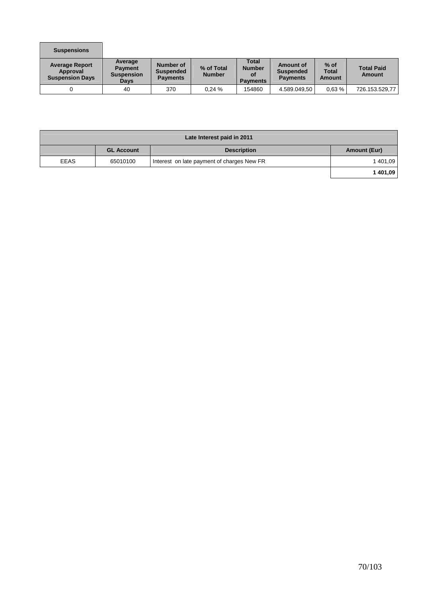| <b>Suspensions</b>                                          |                                                        |                                                  |                             |                                                        |                                                  |                                         |                                    |
|-------------------------------------------------------------|--------------------------------------------------------|--------------------------------------------------|-----------------------------|--------------------------------------------------------|--------------------------------------------------|-----------------------------------------|------------------------------------|
| <b>Average Report</b><br>Approval<br><b>Suspension Days</b> | Average<br><b>Payment</b><br><b>Suspension</b><br>Days | Number of<br><b>Suspended</b><br><b>Payments</b> | % of Total<br><b>Number</b> | <b>Total</b><br><b>Number</b><br>οf<br><b>Payments</b> | Amount of<br><b>Suspended</b><br><b>Payments</b> | $%$ of<br><b>Total</b><br><b>Amount</b> | <b>Total Paid</b><br><b>Amount</b> |
| 0                                                           | 40                                                     | 370                                              | 0.24%                       | 154860                                                 | 4.589.049,50                                     | 0.63%                                   | 726.153.529,77                     |

| Late Interest paid in 2011 |                   |                                            |              |  |  |  |  |  |
|----------------------------|-------------------|--------------------------------------------|--------------|--|--|--|--|--|
|                            | <b>GL Account</b> | <b>Description</b>                         | Amount (Eur) |  |  |  |  |  |
| EEAS                       | 65010100          | Interest on late payment of charges New FR | 1401,09      |  |  |  |  |  |
|                            |                   |                                            | 1401,09      |  |  |  |  |  |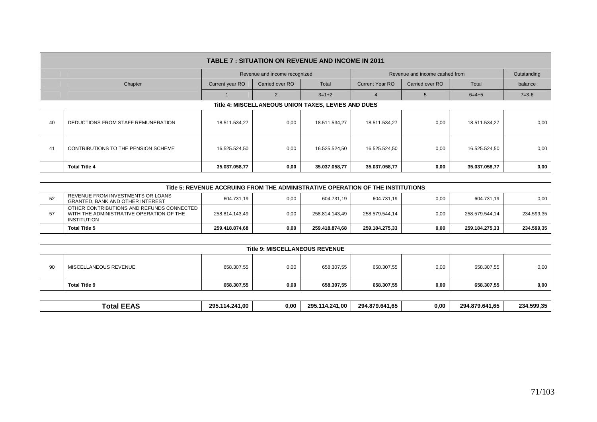|                                                     | <b>TABLE 7: SITUATION ON REVENUE AND INCOME IN 2011</b> |                                    |                               |               |                                |                 |               |             |  |  |  |  |
|-----------------------------------------------------|---------------------------------------------------------|------------------------------------|-------------------------------|---------------|--------------------------------|-----------------|---------------|-------------|--|--|--|--|
|                                                     |                                                         |                                    | Revenue and income recognized |               | Revenue and income cashed from | Outstanding     |               |             |  |  |  |  |
|                                                     | Chapter                                                 | Current year RO<br>Carried over RO |                               | Total         | <b>Current Year RO</b>         | Carried over RO | Total         | balance     |  |  |  |  |
|                                                     |                                                         |                                    |                               | $3 = 1 + 2$   | $\mathbf{a}$                   | $\mathbf{b}$    | $6=4+5$       | $7 = 3 - 6$ |  |  |  |  |
| Title 4: MISCELLANEOUS UNION TAXES, LEVIES AND DUES |                                                         |                                    |                               |               |                                |                 |               |             |  |  |  |  |
| 40                                                  | DEDUCTIONS FROM STAFF REMUNERATION                      | 18.511.534,27                      | 0,00                          | 18.511.534,27 | 18.511.534,27                  | 0,00            | 18.511.534,27 | 0,00        |  |  |  |  |
| 41                                                  | CONTRIBUTIONS TO THE PENSION SCHEME                     | 16.525.524,50                      | 0,00                          | 16.525.524,50 | 16.525.524,50                  | 0,00            | 16.525.524,50 | 0,00        |  |  |  |  |
|                                                     | <b>Total Title 4</b>                                    | 35.037.058,77                      | 0,00                          | 35.037.058,77 | 35.037.058,77                  | 0,00            | 35.037.058,77 | 0,00        |  |  |  |  |

|    | Title 5: REVENUE ACCRUING FROM THE ADMINISTRATIVE OPERATION OF THE INSTITUTIONS                      |                |      |                |                |      |                |            |  |  |  |  |
|----|------------------------------------------------------------------------------------------------------|----------------|------|----------------|----------------|------|----------------|------------|--|--|--|--|
| 52 | REVENUE FROM INVESTMENTS OR LOANS<br><b>GRANTED, BANK AND OTHER INTEREST</b>                         | 604.731.19     | 0.00 | 604.731.19     | 604.731.19     | 0.00 | 604.731.19     | 0.00       |  |  |  |  |
| 57 | OTHER CONTRIBUTIONS AND REFUNDS CONNECTED<br>WITH THE ADMINISTRATIVE OPERATION OF THE<br>INSTITUTION | 258.814.143,49 | 0.00 | 258.814.143,49 | 258.579.544,14 | 0,00 | 258.579.544,14 | 234.599,35 |  |  |  |  |
|    | Total Title 5                                                                                        | 259.418.874.68 | 0.00 | 259.418.874.68 | 259.184.275.33 | 0.00 | 259.184.275.33 | 234.599,35 |  |  |  |  |

|    | <b>Title 9: MISCELLANEOUS REVENUE</b> |            |      |            |            |      |            |      |  |  |  |  |
|----|---------------------------------------|------------|------|------------|------------|------|------------|------|--|--|--|--|
| 90 | MISCELLANEOUS REVENUE                 | 658.307,55 | 0,00 | 658.307,55 | 658.307,55 | 0,00 | 658.307,55 | 0,00 |  |  |  |  |
|    | <b>Total Title 9</b>                  | 658.307,55 | 0,00 | 658.307,55 | 658.307,55 | 0,00 | 658.307,55 | 0,00 |  |  |  |  |

| 14<br>╭<br>.<br>$-1.1$<br>.<br>$\sim$<br>-nv | otal | つロら | 0.00<br>1.00<br>יומי | ንዕፍ | 00.، | 294.879.641.65 | 0.00 | ---<br>879.641<br>294.87. | 234.599.35 |
|----------------------------------------------|------|-----|----------------------|-----|------|----------------|------|---------------------------|------------|
|----------------------------------------------|------|-----|----------------------|-----|------|----------------|------|---------------------------|------------|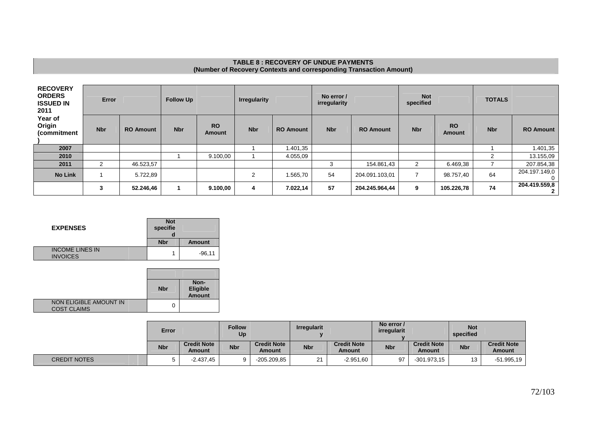# **TABLE 8 : RECOVERY OF UNDUE PAYMENTS (Number of Recovery Contexts and corresponding Transaction Amount)**

| <b>RECOVERY</b><br><b>ORDERS</b><br><b>ISSUED IN</b><br>2011 | <b>Error</b> |                  | <b>Follow Up</b> |                            | <b>Irregularity</b> |                  | No error /<br>irregularity |                  | <b>Not</b><br>specified |                            | <b>TOTALS</b> |                  |
|--------------------------------------------------------------|--------------|------------------|------------------|----------------------------|---------------------|------------------|----------------------------|------------------|-------------------------|----------------------------|---------------|------------------|
| Year of<br>Origin<br>(commitment                             | <b>Nbr</b>   | <b>RO Amount</b> | <b>Nbr</b>       | <b>RO</b><br><b>Amount</b> | <b>Nbr</b>          | <b>RO Amount</b> | <b>Nbr</b>                 | <b>RO Amount</b> | <b>Nbr</b>              | <b>RO</b><br><b>Amount</b> | <b>Nbr</b>    | <b>RO Amount</b> |
| 2007                                                         |              |                  |                  |                            |                     | 1.401,35         |                            |                  |                         |                            |               | 1.401,35         |
| 2010                                                         |              |                  |                  | 9.100,00                   |                     | 4.055,09         |                            |                  |                         |                            | 2             | 13.155,09        |
| 2011                                                         | 2            | 46.523,57        |                  |                            |                     |                  | 3                          | 154.861,43       | 2                       | 6.469,38                   |               | 207.854,38       |
| <b>No Link</b>                                               |              | 5.722,89         |                  |                            | $\overline{2}$      | 1.565,70         | 54                         | 204.091.103,01   |                         | 98.757,40                  | 64            | 204.197.149,0    |
|                                                              | 3            | 52.246,46        |                  | 9.100,00                   | 4                   | 7.022,14         | 57                         | 204.245.964,44   | 9                       | 105.226,78                 | 74            | 204.419.559,8    |

| <b>EXPENSES</b>                           | <b>Not</b><br>specifie |               |
|-------------------------------------------|------------------------|---------------|
|                                           | <b>Nbr</b>             | <b>Amount</b> |
| <b>INCOME LINES IN</b><br><b>INVOICES</b> |                        | $-96.11$      |

|                                              | <b>Nbr</b> | Non-<br><b>Eligible</b><br><b>Amount</b> |
|----------------------------------------------|------------|------------------------------------------|
| NON ELIGIBLE AMOUNT IN<br><b>COST CLAIMS</b> |            |                                          |

|                     | Error      |                              | <b>Follow</b><br>Up |                              | <b>Irregularit</b> |                              | No error /<br>irregularit |                              | <b>Not</b><br>specified |                              |
|---------------------|------------|------------------------------|---------------------|------------------------------|--------------------|------------------------------|---------------------------|------------------------------|-------------------------|------------------------------|
|                     | <b>Nbr</b> | <b>Credit Note</b><br>Amount | <b>Nbr</b>          | <b>Credit Note</b><br>Amount | <b>Nbr</b>         | <b>Credit Note</b><br>Amount | <b>Nbr</b>                | <b>Credit Note</b><br>Amount | <b>Nbr</b>              | <b>Credit Note</b><br>Amount |
| <b>CREDIT NOTES</b> |            | $-2.437,45$                  |                     | $-205.209.85$                | 21                 | $-2.951,60$                  | 97                        | $-301.973.15$                |                         | $-51.995, 19$                |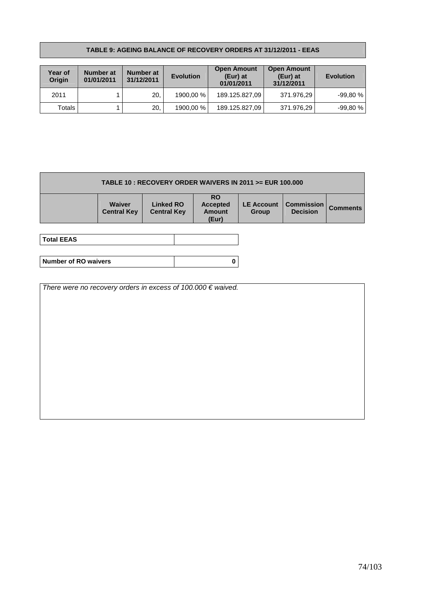#### **TABLE 9: AGEING BALANCE OF RECOVERY ORDERS AT 31/12/2011 - EEAS**

| <b>Year of</b><br>Origin | Number at<br>01/01/2011 | Number at<br>31/12/2011 | <b>Evolution</b> | <b>Open Amount</b><br>(Eur) at<br>01/01/2011 | <b>Open Amount</b><br>(Eur) at<br>31/12/2011 | <b>Evolution</b> |
|--------------------------|-------------------------|-------------------------|------------------|----------------------------------------------|----------------------------------------------|------------------|
| 2011                     |                         | 20.                     | 1900.00 %        | 189.125.827,09                               | 371.976,29                                   | $-99.80\,\%$     |
| Totals                   |                         | 20.                     | 1900.00 %        | 189.125.827,09                               | 371.976,29                                   | $-99,80%$        |

| TABLE 10 : RECOVERY ORDER WAIVERS IN 2011 >= EUR 100.000 |                                     |                                        |                                                        |                                   |                                      |                 |
|----------------------------------------------------------|-------------------------------------|----------------------------------------|--------------------------------------------------------|-----------------------------------|--------------------------------------|-----------------|
|                                                          | <b>Waiver</b><br><b>Central Key</b> | <b>Linked RO</b><br><b>Central Key</b> | <b>RO</b><br><b>Accepted</b><br><b>Amount</b><br>(Eur) | <b>LE Account</b><br><b>Group</b> | <b>Commission</b><br><b>Decision</b> | <b>Comments</b> |

| <b>Total EEAS</b>           |  |
|-----------------------------|--|
|                             |  |
| <b>Number of RO waivers</b> |  |

There were no recovery orders in excess of 100.000  $\epsilon$  waived.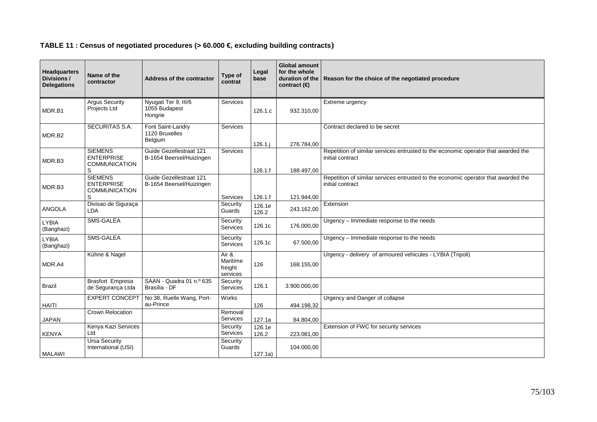## **TABLE 11 : Census of negotiated procedures (> 60.000 €, excluding building contracts)**

| <b>Headquarters</b><br>Divisions /<br><b>Delegations</b> | Name of the<br>contractor                                        | Address of the contractor                           | Type of<br>contrat                       | Legal<br>base   | <b>Global amount</b><br>for the whole<br>contract $(\epsilon)$ | duration of the Reason for the choice of the negotiated procedure                                      |
|----------------------------------------------------------|------------------------------------------------------------------|-----------------------------------------------------|------------------------------------------|-----------------|----------------------------------------------------------------|--------------------------------------------------------------------------------------------------------|
| MDR.B1                                                   | <b>Argus Security</b><br>Projects Ltd                            | Nyugati Ter 9, III/6<br>1055 Budapest<br>Hongrie    | <b>Services</b>                          | 126.1.c         | 932.310.00                                                     | Extreme urgency                                                                                        |
| MDR.B2                                                   | SECURITAS S.A.                                                   | Font Saint-Landry<br>1120 Bruxelles<br>Belgium      | Services                                 | $126.1$ .       | 276.784.00                                                     | Contract declared to be secret                                                                         |
| MDR.B3                                                   | <b>SIEMENS</b><br><b>ENTERPRISE</b><br><b>COMMUNICATION</b><br>S | Guide Gezellestraat 121<br>B-1654 Beersel/Huizingen | Services                                 | 126.1.f         | 188.497,00                                                     | Repetition of similar services entrusted to the economic operator that awarded the<br>initial contract |
| MDR.B3                                                   | <b>SIEMENS</b><br><b>ENTERPRISE</b><br><b>COMMUNICATION</b><br>S | Guide Gezellestraat 121<br>B-1654 Beersel/Huizingen | Services                                 | 126.1.f         | 121.944,00                                                     | Repetition of similar services entrusted to the economic operator that awarded the<br>initial contract |
| ANGOLA                                                   | Divisao de Siguraça<br><b>LDA</b>                                |                                                     | Security<br>Guards                       | 126.1e<br>126.2 | 243.162,00                                                     | Extension                                                                                              |
| <b>LYBIA</b><br>(Banghazi)                               | <b>SMS-GALEA</b>                                                 |                                                     | Security<br>Services                     | 126.1c          | 176.000,00                                                     | Urgency - Immediate response to the needs                                                              |
| <b>LYBIA</b><br>(Banghazi)                               | <b>SMS-GALEA</b>                                                 |                                                     | Security<br>Services                     | 126.1c          | 67.500,00                                                      | Urgency - Immediate response to the needs                                                              |
| MDR.A4                                                   | Kühne & Nagel                                                    |                                                     | Air &<br>Maritime<br>freight<br>services | 126             | 168.155,00                                                     | Urgency - delivery of armoured vehicules - LYBIA (Tripoli)                                             |
| Brazil                                                   | <b>Brasfort Empresa</b><br>de Segurança Ltda                     | SAAN - Quadra 01 n.º 635<br>Brasília - DF           | Security<br>Services                     | 126.1           | 3.900.000.00                                                   |                                                                                                        |
| <b>HAITI</b>                                             | <b>EXPERT CONCEPT</b>                                            | No 38, Ruelle Wang, Port-<br>au-Prince              | Works                                    | 126             | 494.198.32                                                     | Urgency and Danger of collapse                                                                         |
| <b>JAPAN</b>                                             | <b>Crown Relocation</b>                                          |                                                     | Removal<br>Services                      | 127.1a          | 84.804,00                                                      |                                                                                                        |
| <b>KENYA</b>                                             | Kenya Kazi Services<br>Ltd                                       |                                                     | Security<br>Services                     | 126.1e<br>126.2 | 223.081,00                                                     | Extension of FWC for security services                                                                 |
| <b>MALAWI</b>                                            | <b>Ursa Security</b><br>International (USI)                      |                                                     | Security<br>Guards                       | 127.1a)         | 104.000,00                                                     |                                                                                                        |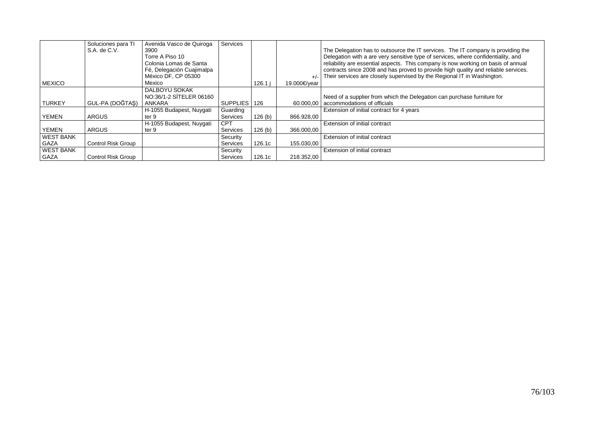|                  | Soluciones para TI        | Avenida Vasco de Quiroga  | Services     |        |              |                                                                                    |
|------------------|---------------------------|---------------------------|--------------|--------|--------------|------------------------------------------------------------------------------------|
|                  | S.A. de C.V.              | 3900                      |              |        |              | The Delegation has to outsource the IT services. The IT company is providing the   |
|                  |                           | Torre A Piso 10           |              |        |              | Delegation with a are very sensitive type of services, where confidentiality, and  |
|                  |                           | Colonia Lomas de Santa    |              |        |              | reliability are essential aspects. This company is now working on basis of annual  |
|                  |                           | Fé, Delegación Cuajimalpa |              |        |              | contracts since 2008 and has proved to provide high quality and reliable services. |
|                  |                           | México DF, CP 05300       |              |        |              | Their services are closely supervised by the Regional IT in Washington.            |
| <b>MEXICO</b>    |                           | Mexico                    |              | 126.1  | 19.000€/vear |                                                                                    |
|                  |                           | DALBOYU SOKAK             |              |        |              |                                                                                    |
|                  |                           | NO:36/1-2 SİTELER 06160   |              |        |              | Need of a supplier from which the Delegation can purchase furniture for            |
| <b>TURKEY</b>    | GUL-PA (DOĞTAS)           | ANKARA                    | SUPPLIES 126 |        |              | 60.000,00   accommodations of officials                                            |
|                  |                           | H-1055 Budapest, Nuygati  | Guarding     |        |              | Extension of initial contract for 4 years                                          |
| <b>YEMEN</b>     | <b>ARGUS</b>              | ter 9                     | Services     | 126(b) | 866.928.00   |                                                                                    |
|                  |                           | H-1055 Budapest, Nuygati  | <b>CPT</b>   |        |              | Extension of initial contract                                                      |
| <b>YEMEN</b>     | <b>ARGUS</b>              | ter 9                     | Services     | 126(b) | 366.000.00   |                                                                                    |
| <b>WEST BANK</b> |                           |                           | Security     |        |              | Extension of initial contract                                                      |
| <b>GAZA</b>      | <b>Control Risk Group</b> |                           | Services     | 126.1c | 155.030,00   |                                                                                    |
| <b>WEST BANK</b> |                           |                           | Security     |        |              | Extension of initial contract                                                      |
| GAZA             | <b>Control Risk Group</b> |                           | Services     | 126.1c | 218.352,00   |                                                                                    |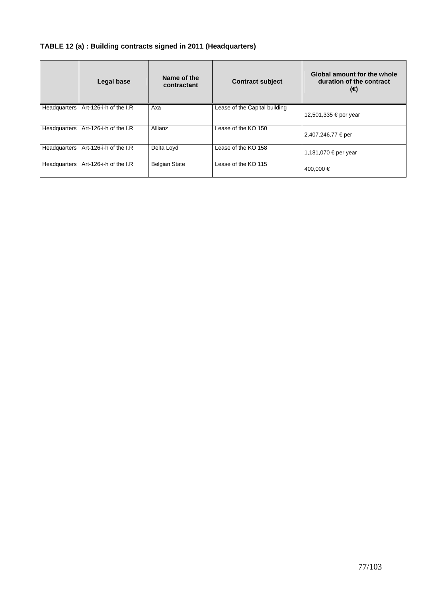# **TABLE 12 (a) : Building contracts signed in 2011 (Headquarters)**

|              | <b>Legal base</b>      | Name of the<br>contractant | <b>Contract subject</b>       | Global amount for the whole<br>duration of the contract<br>(€) |
|--------------|------------------------|----------------------------|-------------------------------|----------------------------------------------------------------|
| Headquarters | Art-126-i-h of the I.R | Axa                        | Lease of the Capital building | 12,501,335 € per year                                          |
| Headquarters | Art-126-i-h of the I.R | Allianz                    | Lease of the KO 150           | 2.407.246,77 € per                                             |
| Headquarters | Art-126-i-h of the I.R | Delta Loyd                 | Lease of the KO 158           | 1,181,070 € per year                                           |
| Headquarters | Art-126-i-h of the I.R | <b>Belgian State</b>       | Lease of the KO 115           | 400,000 €                                                      |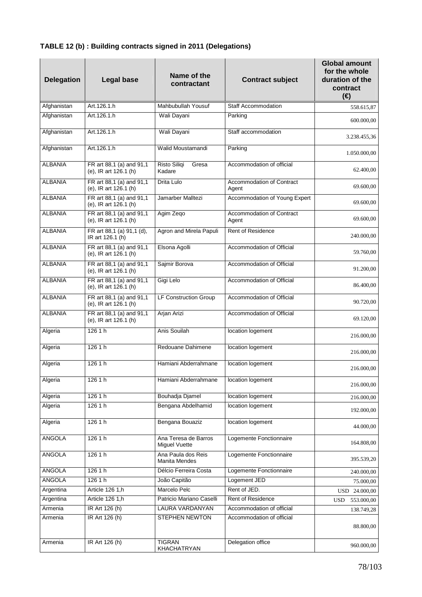| <b>Delegation</b> | <b>Legal base</b>                                 | Name of the<br>contractant            | <b>Contract subject</b>            | <b>Global amount</b><br>for the whole<br>duration of the<br>contract<br>$(\epsilon)$ |
|-------------------|---------------------------------------------------|---------------------------------------|------------------------------------|--------------------------------------------------------------------------------------|
| Afghanistan       | Art.126.1.h                                       | Mahbubullah Yousuf                    | <b>Staff Accommodation</b>         | 558.615.87                                                                           |
| Afghanistan       | Art.126.1.h                                       | Wali Dayani                           | Parking                            | 600.000,00                                                                           |
| Afghanistan       | Art.126.1.h                                       | Wali Dayani                           | Staff accommodation                | 3.238.455,36                                                                         |
| Afghanistan       | Art.126.1.h                                       | Walid Moustamandi                     | Parking                            | 1.050.000,00                                                                         |
| <b>ALBANIA</b>    | FR art 88,1 (a) and 91,1<br>(e), IR art 126.1 (h) | Risto Siliqi<br>Gresa<br>Kadare       | Accommodation of official          | 62.400,00                                                                            |
| <b>ALBANIA</b>    | FR art 88,1 (a) and 91,1<br>(e), IR art 126.1 (h) | Drita Lulo                            | Accommodation of Contract<br>Agent | 69.600,00                                                                            |
| <b>ALBANIA</b>    | FR art 88,1 (a) and 91,1<br>(e), IR art 126.1 (h) | Jamarber Malltezi                     | Accommodation of Young Expert      | 69.600.00                                                                            |
| <b>ALBANIA</b>    | FR art 88,1 (a) and 91,1<br>(e), IR art 126.1 (h) | Agim Zeqo                             | Accommodation of Contract<br>Agent | 69.600,00                                                                            |
| <b>ALBANIA</b>    | FR art 88,1 (a) 91,1 (d),<br>IR art 126.1 (h)     | Agron and Mirela Papuli               | <b>Rent of Residence</b>           | 240.000,00                                                                           |
| <b>ALBANIA</b>    | FR art 88,1 (a) and 91,1<br>(e), IR art 126.1 (h) | Elsona Agolli                         | Accommodation of Official          | 59.760,00                                                                            |
| <b>ALBANIA</b>    | FR art 88,1 (a) and 91,1<br>(e), IR art 126.1 (h) | Sajmir Borova                         | Accommodation of Official          | 91.200,00                                                                            |
| <b>ALBANIA</b>    | FR art 88,1 (a) and 91,1<br>(e), IR art 126.1 (h) | Gigi Lelo                             | Accommodation of Official          | 86.400,00                                                                            |
| <b>ALBANIA</b>    | FR art 88,1 (a) and 91,1<br>(e), IR art 126.1 (h) | <b>LF Construction Group</b>          | Accommodation of Official          | 90.720,00                                                                            |
| <b>ALBANIA</b>    | FR art 88,1 (a) and 91,1<br>(e), IR art 126.1 (h) | Arjan Arizi                           | Accommodation of Official          | 69.120,00                                                                            |
| Algeria           | 126 1 h                                           | Anis Souilah                          | location logement                  | 216.000,00                                                                           |
| Algeria           | 126 1 h                                           | Redouane Dahimene                     | location logement                  | 216.000,00                                                                           |
| Algeria           | 126 1 h                                           | Hamiani Abderrahmane                  | location logement                  | 216.000,00                                                                           |
| Algeria           | 126 1 h                                           | Hamiani Abderrahmane                  | location logement                  | 216.000,00                                                                           |
| Algeria           | 1261h                                             | <b>Bouhadja Djamel</b>                | location logement                  | 216.000,00                                                                           |
| Algeria           | 126 1 h                                           | Bengana Abdelhamid                    | location logement                  | 192.000,00                                                                           |
| Algeria           | 1261h                                             | Bengana Bouaziz                       | location logement                  | 44.000,00                                                                            |
| <b>ANGOLA</b>     | 126 1 h                                           | Ana Teresa de Barros<br>Miguel Vuette | Logemente Fonctionnaire            | 164.808,00                                                                           |
| <b>ANGOLA</b>     | 1261h                                             | Ana Paula dos Reis<br>Manita Mendes   | Logemente Fonctionnaire            | 395.539,20                                                                           |
| <b>ANGOLA</b>     | 126 1 h                                           | Délcio Ferreira Costa                 | Logemente Fonctionnaire            | 240.000,00                                                                           |
| <b>ANGOLA</b>     | 1261h                                             | João Capitão                          | Logement JED                       | 75.000,00                                                                            |
| Argentina         | Article 126 1,h                                   | Marcelo Pelc                          | Rent of JED.                       | USD 24.000,00                                                                        |
| Argentina         | Article 126 1,h                                   | Patricio Mariano Caselli              | Rent of Residence                  | <b>USD</b><br>553.000,00                                                             |
| Armenia           | IR Art 126 (h)                                    | LAURA VARDANYAN                       | Accommodation of official          | 138.749,28                                                                           |
| Armenia           | IR Art 126 (h)                                    | <b>STEPHEN NEWTON</b>                 | Accommodation of official          | 88.800,00                                                                            |
| Armenia           | IR Art 126 (h)                                    | <b>TIGRAN</b><br>KHACHATRYAN          | Delegation office                  | 960.000,00                                                                           |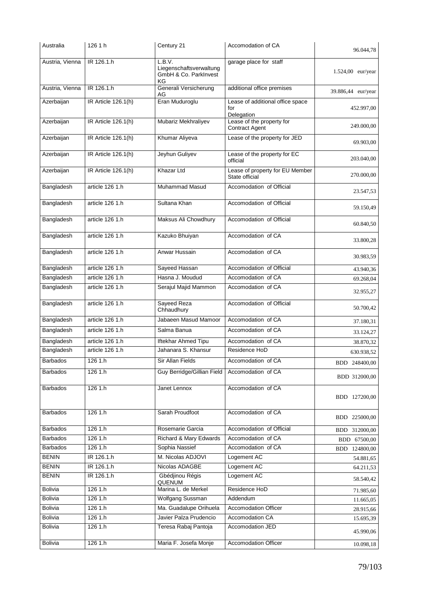| Australia       | 126 1 h             | Century 21                                                       | Accomodation of CA                                    | 96.044,78           |
|-----------------|---------------------|------------------------------------------------------------------|-------------------------------------------------------|---------------------|
| Austria, Vienna | IR 126.1.h          | L.B.V.<br>Liegenschaftsverwaltung<br>GmbH & Co. ParkInvest<br>ΚG | garage place for staff                                | $1.524,00$ eur/year |
| Austria, Vienna | IR 126.1.h          | Generali Versicherung<br>AG                                      | additional office premises                            | 39.886,44 eur/year  |
| Azerbaijan      | IR Article 126.1(h) | Eran Muduroglu                                                   | Lease of additional office space<br>for<br>Delegation | 452.997,00          |
| Azerbaijan      | IR Article 126.1(h) | Mubariz Mekhraliyev                                              | Lease of the property for<br><b>Contract Agent</b>    | 249.000.00          |
| Azerbaijan      | IR Article 126.1(h) | Khumar Aliyeva                                                   | Lease of the property for JED                         | 69.903.00           |
| Azerbaijan      | IR Article 126.1(h) | Jeyhun Guliyev                                                   | Lease of the property for EC<br>official              | 203.040,00          |
| Azerbaijan      | IR Article 126.1(h) | Khazar Ltd                                                       | Lease of property for EU Member<br>State official     | 270.000,00          |
| Bangladesh      | article 126 1.h     | <b>Muhammad Masud</b>                                            | Accomodation of Official                              | 23.547,53           |
| Bangladesh      | article 126 1.h     | Sultana Khan                                                     | Accomodation of Official                              | 59.150,49           |
| Bangladesh      | article 126 1.h     | Maksus Ali Chowdhury                                             | Accomodation of Official                              | 60.840,50           |
| Bangladesh      | article 126 1.h     | Kazuko Bhuiyan                                                   | Accomodation of CA                                    | 33.800,28           |
| Bangladesh      | article 126 1.h     | Anwar Hussain                                                    | Accomodation of CA                                    | 30.983,59           |
| Bangladesh      | article 126 1.h     | Sayeed Hassan                                                    | Accomodation of Official                              | 43.940,36           |
| Bangladesh      | article 126 1.h     | Hasna J. Moudud                                                  | Accomodation of CA                                    | 69.268,04           |
| Bangladesh      | article 126 1.h     | Serajul Majid Mammon                                             | Accomodation of CA                                    | 32.955,27           |
| Bangladesh      | article 126 1.h     | <b>Sayeed Reza</b><br>Chhaudhury                                 | Accomodation of Official                              | 50.700,42           |
| Bangladesh      | article 126 1.h     | Jabaeen Masud Mamoor                                             | Accomodation of CA                                    | 37.180,31           |
| Bangladesh      | article 126 1.h     | Salma Banua                                                      | Accomodation of CA                                    | 33.124,27           |
| Bangladesh      | article 126 1.h     | Iftekhar Ahmed Tipu                                              | Accomodation of CA                                    | 38.870,32           |
| Bangladesh      | article 126 1.h     | Jahanara S. Khansur                                              | Residence HoD                                         | 630.938,52          |
| Barbados        | 126 1.h             | Sir Allan Fields                                                 | Accomodation of CA                                    | BDD 248400,00       |
| <b>Barbados</b> | 1261.h              | Guy Berridge/Gillian Field                                       | Accomodation of CA                                    | BDD 312000,00       |
| <b>Barbados</b> | 1261.h              | Janet Lennox                                                     | Accomodation of CA                                    | BDD 127200,00       |
| <b>Barbados</b> | 126 1.h             | Sarah Proudfoot                                                  | Accomodation of CA                                    | BDD 225000,00       |
| <b>Barbados</b> | 126 1.h             | Rosemarie Garcia                                                 | Accomodation of Official                              | BDD 312000,00       |
| <b>Barbados</b> | 126 1.h             | Richard & Mary Edwards                                           | Accomodation of CA                                    | BDD 67500,00        |
| <b>Barbados</b> | 1261.h              | Sophia Nassief                                                   | Accomodation of CA                                    | BDD 124800,00       |
| <b>BENIN</b>    | IR 126.1.h          | M. Nicolas ADJOVI                                                | Logement AC                                           | 54.881,65           |
| <b>BENIN</b>    | IR 126.1.h          | Nicolas ADAGBE                                                   | Logement AC                                           | 64.211,53           |
| <b>BENIN</b>    | IR 126.1.h          | Gbédjinou Régis<br>QUENUM                                        | Logement AC                                           | 58.540,42           |
| <b>Bolivia</b>  | 1261.h              | Marina L. de Merkel                                              | Residence HoD                                         | 71.985,60           |
| <b>Bolivia</b>  | 1261.h              | Wolfgang Sussman                                                 | Addendum                                              | 11.665,05           |
| Bolivia         | 126 1.h             | Ma. Guadalupe Orihuela                                           | <b>Accomodation Officer</b>                           | 28.915,66           |
| <b>Bolivia</b>  | 1261.h              | Javier Palza Prudencio                                           | Accomodation CA                                       | 15.695,39           |
| Bolivia         | 126 1.h             | Teresa Rabaj Pantoja                                             | Accomodation JED                                      | 45.990,06           |
| <b>Bolivia</b>  | 126 1.h             | Maria F. Josefa Monje                                            | <b>Accomodation Officer</b>                           | 10.098,18           |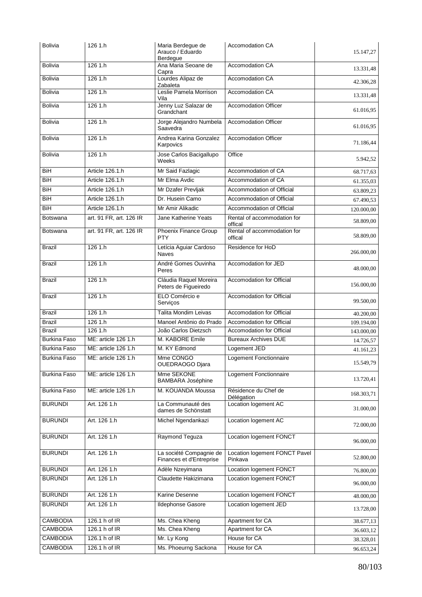| <b>Bolivia</b>      | 126 1.h                 | Maria Berdegue de<br>Arauco / Eduardo<br>Berdegue   | Accomodation CA                          | 15.147,27  |
|---------------------|-------------------------|-----------------------------------------------------|------------------------------------------|------------|
| <b>Bolivia</b>      | 126 1.h                 | Ana Maria Seoane de<br>Capra                        | Accomodation CA                          | 13.331,48  |
| <b>Bolivia</b>      | 126 1.h                 | Lourdes Alipaz de<br>Zabaleta                       | Accomodation CA                          | 42.306,28  |
| <b>Bolivia</b>      | 126 1.h                 | Leslie Pamela Morrison<br>Vila                      | Accomodation CA                          | 13.331,48  |
| <b>Bolivia</b>      | 126 1.h                 | Jenny Luz Salazar de<br>Grandchant                  | <b>Accomodation Officer</b>              | 61.016,95  |
| <b>Bolivia</b>      | 126 1.h                 | Jorge Alejandro Numbela<br>Saavedra                 | <b>Accomodation Officer</b>              | 61.016,95  |
| <b>Bolivia</b>      | 126 1.h                 | Andrea Karina Gonzalez<br>Karpovics                 | <b>Accomodation Officer</b>              | 71.186.44  |
| <b>Bolivia</b>      | 126 1.h                 | Jose Carlos Bacigallupo<br>Weeks                    | Office                                   | 5.942,52   |
| BiH                 | Article 126.1.h         | Mr Said Fazlagic                                    | Accommodation of CA                      | 68.717,63  |
| BiH                 | Article 126.1.h         | Mr Elma Avdic                                       | Accommodation of CA                      | 61.355,03  |
| BiH                 | Article 126.1.h         | Mr Dzafer Prevljak                                  | Accommodation of Official                | 63.809,23  |
| BiH                 | Article 126.1.h         | Dr. Husein Camo                                     | Accommodation of Official                | 67.490,53  |
| BiH                 | Article 126.1.h         | Mr Amir Alikadic                                    | Accommodation of Official                | 120.000,00 |
| Botswana            | art. 91 FR, art. 126 IR | Jane Katherine Yeats                                | Rental of accommodation for<br>offical   | 58.809,00  |
| <b>Botswana</b>     | art. 91 FR, art. 126 IR | Phoenix Finance Group<br><b>PTY</b>                 | Rental of accommodation for<br>offical   | 58.809,00  |
| <b>Brazil</b>       | 126 1.h                 | Letícia Aguiar Cardoso<br><b>Naves</b>              | Residence for HoD                        | 266.000,00 |
| <b>Brazil</b>       | 126 1.h                 | André Gomes Ouvinha<br>Peres                        | Accomodation for JED                     | 48.000,00  |
| <b>Brazil</b>       | 126 1.h                 | Cláudia Raquel Moreira<br>Peters de Figueiredo      | Accomodation for Official                | 156.000,00 |
| <b>Brazil</b>       | 126 1.h                 | ELO Comércio e<br>Serviços                          | <b>Accomodation for Official</b>         | 99.500,00  |
| <b>Brazil</b>       | 126 1.h                 | Talita Mondim Leivas                                | Accomodation for Official                | 40.200,00  |
| <b>Brazil</b>       | 126 1.h                 | Manoel Antônio do Prado                             | Accomodation for Official                | 109.194,00 |
| <b>Brazil</b>       | 126 1.h                 | João Carlos Dietzsch                                | Accomodation for Official                | 143.000,00 |
| <b>Burkina Faso</b> | ME: article 126 1.h     | M. KABORE Emile                                     | <b>Bureaux Archives DUE</b>              | 14.726,57  |
| <b>Burkina Faso</b> | ME: article 126 1.h     | M. KY Edmond                                        | Logement JED                             | 41.161,23  |
| <b>Burkina Faso</b> | ME: article 126 1.h     | Mme CONGO<br>OUEDRAOGO Djara                        | Logement Fonctionnaire                   | 15.549.79  |
| Burkina Faso        | ME: article 126 1.h     | Mme SEKONE<br><b>BAMBARA Joséphine</b>              | Logement Fonctionnaire                   | 13.720,41  |
| <b>Burkina Faso</b> | ME: article 126 1.h     | M. KOUANDA Moussa                                   | Résidence du Chef de<br>Délégation       | 168.303,71 |
| <b>BURUNDI</b>      | Art. 126 1.h            | La Communauté des<br>dames de Schönstatt            | Location logement AC                     | 31.000,00  |
| <b>BURUNDI</b>      | Art. 126 1.h            | Michel Ngendankazi                                  | Location logement AC                     | 72.000,00  |
| <b>BURUNDI</b>      | Art. 126 1.h            | Raymond Teguza                                      | Location logement FONCT                  | 96.000,00  |
| <b>BURUNDI</b>      | Art. 126 1.h            | La société Compagnie de<br>Finances et d'Entreprise | Location logement FONCT Pavel<br>Pinkava | 52.800,00  |
| <b>BURUNDI</b>      | Art. 126 1.h            | Adèle Nzeyimana                                     | Location logement FONCT                  | 76.800,00  |
| <b>BURUNDI</b>      | Art. 126 1.h            | Claudette Hakizimana                                | Location logement FONCT                  | 96.000,00  |
| <b>BURUNDI</b>      | Art. 126 1.h            | Karine Desenne                                      | <b>Location logement FONCT</b>           | 48.000,00  |
| <b>BURUNDI</b>      | Art. 126 1.h            | <b>Ildephonse Gasore</b>                            | Location logement JED                    | 13.728,00  |
| <b>CAMBODIA</b>     | 126.1 h of IR           | Ms. Chea Kheng                                      | Apartment for CA                         | 38.677,13  |
| <b>CAMBODIA</b>     | 126.1 h of IR           | Ms. Chea Kheng                                      | Apartment for CA                         | 36.603,12  |
| <b>CAMBODIA</b>     | 126.1 h of IR           | Mr. Ly Kong                                         | House for CA                             | 38.328,01  |
| <b>CAMBODIA</b>     | 126.1 h of IR           | Ms. Phoeurng Sackona                                | House for CA                             | 96.653,24  |
|                     |                         |                                                     |                                          |            |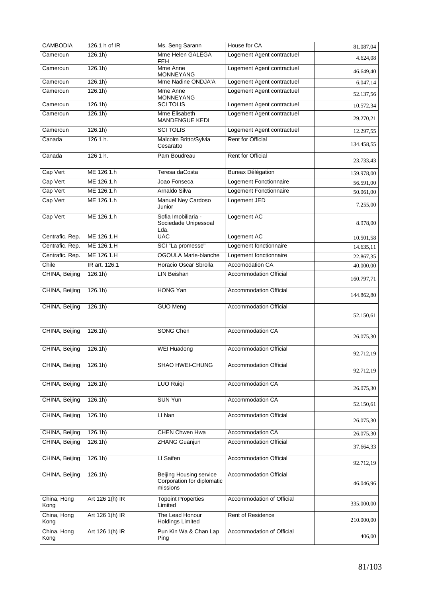| <b>CAMBODIA</b>     | 126.1 h of IR      | Ms. Seng Sarann                                                          | House for CA                  | 81.087,04  |
|---------------------|--------------------|--------------------------------------------------------------------------|-------------------------------|------------|
| Cameroun            | $126.1h$ )         | Mme Helen GALEGA<br>FEH.                                                 | Logement Agent contractuel    | 4.624,08   |
| Cameroun            | 126.1h)            | Mme Anne<br><b>MONNEYANG</b>                                             | Logement Agent contractuel    | 46.649,40  |
| Cameroun            | 126.1h)            | Mme Nadine ONDJA'A                                                       | Logement Agent contractuel    | 6.047,14   |
| Cameroun            | 126.1h)            | Mme Anne<br>MONNEYANG                                                    | Logement Agent contractuel    | 52.137,56  |
| Cameroun            | 126.1h)            | <b>SCI TOLIS</b>                                                         | Logement Agent contractuel    | 10.572,34  |
| Cameroun            | 126.1 <sub>h</sub> | Mme Elisabeth<br>MANDENGUE KEDI                                          | Logement Agent contractuel    | 29.270,21  |
| Cameroun            | 126.1h)            | <b>SCI TOLIS</b>                                                         | Logement Agent contractuel    | 12.297,55  |
| Canada              | 126 1 h.           | Malcolm Britto/Sylvia<br>Cesaratto                                       | Rent for Official             | 134.458,55 |
| Canada              | 126 1 h.           | Pam Boudreau                                                             | <b>Rent for Official</b>      | 23.733,43  |
| Cap Vert            | ME 126.1.h         | Teresa daCosta                                                           | <b>Bureax Délégation</b>      | 159.978,00 |
| Cap Vert            | ME 126.1.h         | Joao Fonseca                                                             | Logement Fonctionnaire        | 56.591,00  |
| Cap Vert            | ME 126.1.h         | Arnaldo Silva                                                            | Logement Fonctionnaire        | 50.061,00  |
| Cap Vert            | ME 126.1.h         | Manuel Ney Cardoso<br>Junior                                             | Logement JED                  | 7.255,00   |
| Cap Vert            | ME 126.1.h         | Sofia Imobiliaria -<br>Sociedade Unipessoal                              | Logement AC                   | 8.978,00   |
|                     |                    | Lda.                                                                     |                               |            |
| Centrafic. Rep.     | ME 126.1.H         | <b>UAC</b>                                                               | Logement AC                   | 10.501,58  |
| Centrafic. Rep.     | ME 126.1.H         | SCI "La promesse"                                                        | Logement fonctionnaire        | 14.635,11  |
| Centrafic. Rep.     | ME 126.1.H         | <b>OGOULA Marie-blanche</b>                                              | Logement fonctionnaire        | 22.867,35  |
| Chile               | IR art. 126.1      | Horacio Oscar Sbrolla                                                    | Accomodation CA               | 40.000,00  |
| CHINA, Beijing      | 126.1h)            | <b>LIN Beishan</b>                                                       | <b>Accommodation Official</b> | 160.797,71 |
| CHINA, Beijing      | 126.1h)            | <b>HONG Yan</b>                                                          | <b>Accommodation Official</b> | 144.862,80 |
| CHINA, Beijing      | 126.1h)            | <b>GUO Meng</b>                                                          | <b>Accommodation Official</b> | 52.150,61  |
| CHINA, Beijing      | 126.1h)            | <b>SONG Chen</b>                                                         | Accommodation CA              | 26.075,30  |
| CHINA, Beijing      | 126.1h)            | <b>WEI Huadong</b>                                                       | <b>Accommodation Official</b> | 92.712,19  |
| CHINA, Beijing      | 126.1h)            | SHAO HWEI-CHUNG                                                          | <b>Accommodation Official</b> | 92.712,19  |
| CHINA, Beijing      | 126.1h)            | <b>LUO Ruiqi</b>                                                         | Accommodation CA              | 26.075,30  |
| CHINA, Beijing      | 126.1h)            | <b>SUN Yun</b>                                                           | Accommodation CA              | 52.150,61  |
| CHINA, Beijing      | 126.1h)            | LI Nan                                                                   | Accommodation Official        | 26.075,30  |
| CHINA, Beijing      | 126.1h)            | <b>CHEN Chwen Hwa</b>                                                    | Accommodation CA              | 26.075,30  |
| CHINA, Beijing      | 126.1h)            | <b>ZHANG Guanjun</b>                                                     | <b>Accommodation Official</b> | 37.664,33  |
| CHINA, Beijing      | 126.1h)            | LI Saifen                                                                | Accommodation Official        | 92.712,19  |
| CHINA, Beijing      | 126.1h)            | <b>Beijing Housing service</b><br>Corporation for diplomatic<br>missions | <b>Accommodation Official</b> | 46.046,96  |
| China, Hong<br>Kong | Art 126 1(h) IR    | <b>Topoint Properties</b><br>Limited                                     | Accommodation of Official     | 335.000,00 |
| China, Hong<br>Kong | Art 126 1(h) IR    | The Lead Honour<br><b>Holdings Limited</b>                               | Rent of Residence             | 210.000,00 |
| China, Hong<br>Kong | Art 126 1(h) IR    | Pun Kin Wa & Chan Lap<br>Ping                                            | Accommodation of Official     | 406,00     |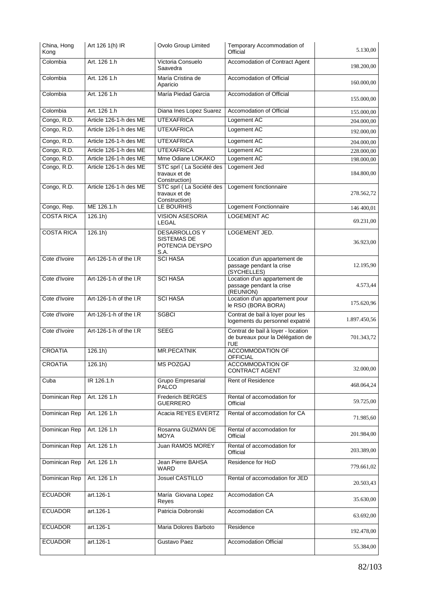| China, Hong<br>Kong | Art 126 1(h) IR        | Ovolo Group Limited                                            | Temporary Accommodation of<br>Official                                                | 5.130,00     |
|---------------------|------------------------|----------------------------------------------------------------|---------------------------------------------------------------------------------------|--------------|
| Colombia            | Art. 126 1.h           | Victoria Consuelo<br>Saavedra                                  | <b>Accomodation of Contract Agent</b>                                                 | 198.200,00   |
| Colombia            | Art. 126 1.h           | María Cristina de<br>Aparicio                                  | Accomodation of Official                                                              | 160.000,00   |
| Colombia            | Art. 126 1.h           | María Piedad Garcia                                            | Accomodation of Official                                                              | 155.000,00   |
| Colombia            | Art. 126 1.h           | Diana Ines Lopez Suarez                                        | Accomodation of Official                                                              | 155.000,00   |
| Congo, R.D.         | Article 126-1-h des ME | <b>UTEXAFRICA</b>                                              | Logement AC                                                                           | 204.000,00   |
| Congo, R.D.         | Article 126-1-h des ME | <b>UTEXAFRICA</b>                                              | Logement AC                                                                           | 192.000,00   |
| Congo, R.D.         | Article 126-1-h des ME | <b>UTEXAFRICA</b>                                              | Logement AC                                                                           | 204.000,00   |
| Congo, R.D.         | Article 126-1-h des ME | <b>UTEXAFRICA</b>                                              | Logement AC                                                                           | 228.000,00   |
| Congo, R.D.         | Article 126-1-h des ME | Mme Odiane LOKAKO                                              | Logement AC                                                                           | 198.000,00   |
| Congo, R.D.         | Article 126-1-h des ME | STC sprl (La Société des<br>travaux et de<br>Construction)     | Logement Jed                                                                          | 184.800,00   |
| Congo, R.D.         | Article 126-1-h des ME | STC sprl (La Société des<br>travaux et de<br>Construction)     | Logement fonctionnaire                                                                | 278.562,72   |
| Congo, Rep.         | ME 126.1.h             | LE BOURHIS                                                     | Logement Fonctionnaire                                                                | 146 400,01   |
| <b>COSTA RICA</b>   | 126.1h)                | <b>VISION ASESORIA</b><br><b>LEGAL</b>                         | <b>LOGEMENT AC</b>                                                                    | 69.231,00    |
| <b>COSTA RICA</b>   | 126.1h)                | <b>DESARROLLOS Y</b><br>SISTEMAS DE<br>POTENCIA DEYSPO<br>S.A. | LOGEMENT JED.                                                                         | 36.923,00    |
| Cote d'Ivoire       | Art-126-1-h of the I.R | <b>SCI HASA</b>                                                | Location d'un appartement de<br>passage pendant la crise<br>(SYCHELLES)               | 12.195,90    |
| Cote d'Ivoire       | Art-126-1-h of the I.R | <b>SCI HASA</b>                                                | Location d'un appartement de<br>passage pendant la crise<br>(REUNION)                 | 4.573,44     |
| Cote d'Ivoire       | Art-126-1-h of the I.R | <b>SCI HASA</b>                                                | Location d'un appartement pour<br>le RSO (BORA BORA)                                  | 175.620,96   |
| Cote d'Ivoire       | Art-126-1-h of the I.R | <b>SGBCI</b>                                                   | Contrat de bail à loyer pour les<br>logements du personnel expatrié                   | 1.897.450,56 |
| Cote d'Ivoire       | Art-126-1-h of the I.R | <b>SEEG</b>                                                    | Contrat de bail à loyer - location<br>de bureaux pour la Délégation de<br><b>I'UE</b> | 701.343,72   |
| <b>CROATIA</b>      | 126.1h)                | <b>MR.PECATNIK</b>                                             | <b>ACCOMMODATION OF</b><br>OFFICIAL                                                   |              |
| <b>CROATIA</b>      | 126.1h)                | MS POZGAJ                                                      | <b>ACCOMMODATION OF</b><br><b>CONTRACT AGENT</b>                                      | 32.000,00    |
| Cuba                | IR 126.1.h             | <b>Grupo Empresarial</b><br>PALCO                              | <b>Rent of Residence</b>                                                              | 468.064,24   |
| Dominican Rep       | Art. 126 1.h           | Frederich BERGES<br><b>GUERRERO</b>                            | Rental of accomodation for<br>Official                                                | 59.725,00    |
| Dominican Rep       | Art. 126 1.h           | Acacia REYES EVERTZ                                            | Rental of accomodation for CA                                                         | 71.985,60    |
| Dominican Rep       | Art. 126 1.h           | Rosanna GUZMAN DE<br><b>MOYA</b>                               | Rental of accomodation for<br>Official                                                | 201.984,00   |
| Dominican Rep       | Art. 126 1.h           | Juan RAMOS MOREY                                               | Rental of accomodation for<br>Official                                                | 203.389,00   |
| Dominican Rep       | Art. 126 1.h           | Jean Pierre BAHSA<br>WARD                                      | Residence for HoD                                                                     | 779.661,02   |
| Dominican Rep       | Art. 126 1.h           | Josuel CASTILLO                                                | Rental of accomodation for JED                                                        | 20.503,43    |
| <b>ECUADOR</b>      | art.126-1              | María Giovana Lopez<br>Reyes                                   | Accomodation CA                                                                       | 35.630,00    |
| <b>ECUADOR</b>      | art.126-1              | Patricia Dobronski                                             | Accomodation CA                                                                       | 63.692,00    |
| <b>ECUADOR</b>      | art.126-1              | Maria Dolores Barboto                                          | Residence                                                                             | 192.478,00   |
| <b>ECUADOR</b>      | $art.126-1$            | Gustavo Paez                                                   | <b>Accomodation Official</b>                                                          | 55.384,00    |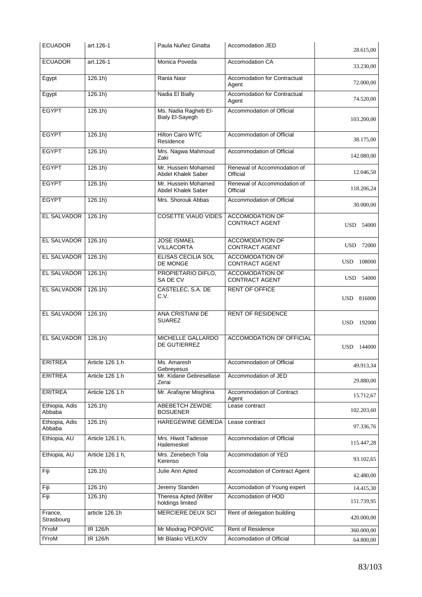| <b>ECUADOR</b>           | art.126-1        | Paula Nuñez Ginatta                       | Accomodation JED                                | 28.615,00            |
|--------------------------|------------------|-------------------------------------------|-------------------------------------------------|----------------------|
| <b>ECUADOR</b>           | art.126-1        | Monica Poveda                             | Accomodation CA                                 | 33.230,00            |
| Egypt                    | 126.1h)          | Rania Nasr                                | Accomodation for Contractual<br>Agent           | 72.000,00            |
| Egypt                    | 126.1h)          | Nadia El Bially                           | <b>Accomodation for Contractual</b><br>Agent    | 74.520,00            |
| <b>EGYPT</b>             | 126.1h)          | Ms. Nadia Ragheb El-<br>Bialy El-Sayegh   | Accommodation of Official                       | 103.200,00           |
| <b>EGYPT</b>             | 126.1h)          | <b>Hilton Cairo WTC</b><br>Residence      | Accommodation of Official                       | 38.175,00            |
| <b>EGYPT</b>             | 126.1h)          | Mrs. Nagwa Mahmoud<br>Zaki                | Accommodation of Official                       | 142.080,00           |
| <b>EGYPT</b>             | 126.1h)          | Mr. Hussein Mohamed<br>Abdel Khalek Saber | Renewal of Accommodation of<br>Official         | 12.046,50            |
| <b>EGYPT</b>             | 126.1h)          | Mr. Hussein Mohamed<br>Abdel Khalek Saber | Renewal of Accommodation of<br>Official         | 118.206,24           |
| <b>EGYPT</b>             | 126.1h)          | Mrs. Shorouk Abbas                        | Accommodation of Official                       | 30.000,00            |
| <b>EL SALVADOR</b>       | 126.1h)          | <b>COSETTE VIAUD VIDES</b>                | <b>ACCOMODATION OF</b><br><b>CONTRACT AGENT</b> | USD 54000            |
| EL SALVADOR              | 126.1h)          | <b>JOSE ISMAEL</b><br><b>VILLACORTA</b>   | <b>ACCOMODATION OF</b><br><b>CONTRACT AGENT</b> | <b>USD</b><br>72000  |
| EL SALVADOR              | 126.1h)          | ELISAS CECILIA SOL<br><b>DE MONGE</b>     | <b>ACCOMODATION OF</b><br><b>CONTRACT AGENT</b> | <b>USD</b><br>108000 |
| <b>EL SALVADOR</b>       | 126.1h)          | PROPIETARIO DIFLO,<br>SA DE CV            | <b>ACCOMODATION OF</b><br><b>CONTRACT AGENT</b> | USD 54000            |
| <b>EL SALVADOR</b>       | 126.1h)          | CASTELEC, S.A. DE<br>C.V.                 | <b>RENT OF OFFICE</b>                           | USD 816000           |
| EL SALVADOR              | 126.1h)          | ANA CRISTIANI DE<br>SUAREZ                | <b>RENT OF RESIDENCE</b>                        | <b>USD</b><br>192000 |
| EL SALVADOR              | 126.1h)          | MICHELLE GALLARDO<br>DE GUTIERREZ         | <b>ACCOMODATION OF OFFICIAL</b>                 | <b>USD</b><br>144000 |
| <b>ERITREA</b>           | Article 126 1.h  | Ms. Amaresh<br>Gebreyesus                 | Accommodation of Official                       | 49.913,34            |
| <b>ERITREA</b>           | Article 126 1.h  | Mr. Kidane Gebresellase<br>Zerai          | Accommodation of JED                            | 29.880,00            |
| <b>ERITREA</b>           | Article 126 1.h  | Mr. Arafayne Misghina                     | Accommodation of Contract<br>Agent              | 15.712,67            |
| Ethiopia, Adis<br>Abbaba | 126.1h)          | ABEBETCH ZEWDIE<br><b>BOSUENER</b>        | Lease contract                                  | 102.203,60           |
| Ethiopia, Adis<br>Abbaba | $126.1h$ )       | HAREGEWINE GEMEDA                         | Lease contract                                  | 97.336,76            |
| Ethiopia, AU             | Article 126.1 h, | Mrs. Hiwot Tadesse<br>Hailemeskel         | Accommodation of Official                       | 115.447,28           |
| Ethiopia, AU             | Article 126.1 h, | Mrs. Zenebech Tola<br>Kerenso             | Accommodation of YED                            | 93.102,65            |
| Fiji                     | 126.1h)          | Julie Ann Apted                           | Accomodation of Contract Agent                  | 42.480,00            |
| Fiji                     | 126.1h)          | Jeremy Standen                            | Accomodation of Young expert                    | 14.415,30            |
| Fiji                     | 126.1h)          | Theresa Apted (Wilter<br>holdings limited | Accomodation of HOD                             | 151.739,95           |
| France,<br>Strasbourg    | article 126.1h   | MERCIERE DEUX SCI                         | Rent of delegation building                     | 420.000,00           |
| fYroM                    | IR 126/h         | Mr Miodrag POPOVIC                        | Rent of Residence                               | 360.000,00           |
| fYroM                    | <b>IR 126/h</b>  | Mr Blasko VELKOV                          | Accomodation of Official                        | 64.800,00            |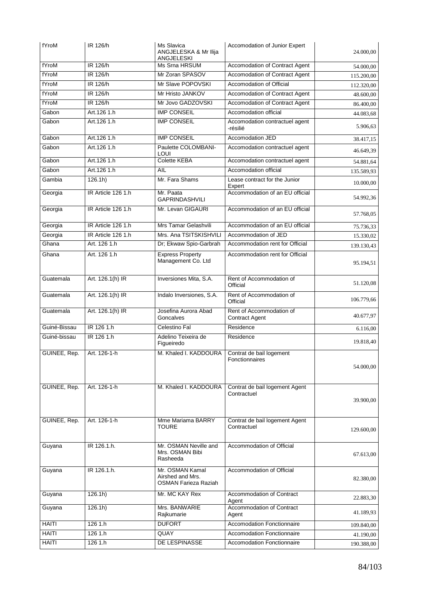| fYroM        | IR 126/h           | Ms Slavica<br>ANGJELESKA & Mr Ilija<br>ANGJELESKI           | Accomodation of Junior Expert                 | 24.000,00  |
|--------------|--------------------|-------------------------------------------------------------|-----------------------------------------------|------------|
| fYroM        | IR 126/h           | Ms Srna HRSUM                                               | Accomodation of Contract Agent                | 54.000,00  |
| fYroM        | IR 126/h           | Mr Zoran SPASOV                                             | Accomodation of Contract Agent                | 115.200,00 |
| fYroM        | IR 126/h           | Mr Slave POPOVSKI                                           | Accomodation of Official                      | 112.320,00 |
| fYroM        | IR 126/h           | Mr Hristo JANKOV                                            | Accomodation of Contract Agent                | 48.600,00  |
| fYroM        | IR 126/h           | Mr Jovo GADZOVSKI                                           | Accomodation of Contract Agent                | 86.400,00  |
| Gabon        | Art.126 1.h        | <b>IMP CONSEIL</b>                                          | Accomodation official                         | 44.083,68  |
| Gabon        | Art.126 1.h        | <b>IMP CONSEIL</b>                                          | Accomodation contractuel agent<br>-résilié    | 5.906,63   |
| Gabon        | Art.126 1.h        | <b>IMP CONSEIL</b>                                          | Accomodation JED                              | 38.417,15  |
| Gabon        | Art.126 1.h        | Paulette COLOMBANI-<br>LOUI                                 | Accomodation contractuel agent                | 46.649,39  |
| Gabon        | Art.126 1.h        | <b>Colette KEBA</b>                                         | Accomodation contractuel agent                | 54.881,64  |
| Gabon        | Art.126 1.h        | <b>AIL</b>                                                  | Accomodation official                         | 135.589,93 |
| Gambia       | 126.1h)            | Mr. Fara Shams                                              | Lease contract for the Junior<br>Expert       | 10.000,00  |
| Georgia      | IR Article 126 1.h | Mr. Paata<br><b>GAPRINDASHVILI</b>                          | Accommodation of an EU official               | 54.992,36  |
| Georgia      | IR Article 126 1.h | Mr. Levan GIGAURI                                           | Accommodation of an EU official               | 57.768.05  |
| Georgia      | IR Article 126 1.h | Mrs Tamar Gelashvili                                        | Accommodation of an EU official               | 75.736,33  |
| Georgia      | IR Article 126 1.h | Mrs. Ana TSITSKISHVILI                                      | Accommodation of JED                          | 15.330,02  |
| Ghana        | Art. 126 1.h       | Dr; Ekwaw Spio-Garbrah                                      | Accommodation rent for Official               | 139.130.43 |
| Ghana        | Art. 126 1.h       | <b>Express Property</b><br>Management Co. Ltd               | Accommodation rent for Official               | 95.194,51  |
| Guatemala    | Art. 126.1(h) IR   | Inversiones Mita, S.A.                                      | Rent of Accommodation of<br>Official          | 51.120,08  |
| Guatemala    | Art. 126.1(h) IR   | Indalo Inversiones, S.A.                                    | Rent of Accommodation of<br>Official          | 106.779,66 |
| Guatemala    | Art. 126.1(h) IR   | Josefina Aurora Abad<br>Goncalves                           | Rent of Accommodation of<br>Contract Agent    | 40.677,97  |
| Guiné-Bissau | IR 126 1.h         | Celestino Fal                                               | Residence                                     | 6.116,00   |
| Guiné-bissau | IR 126 1.h         | Adelino Teixeira de<br>Figueiredo                           | Residence                                     | 19.818,40  |
| GUINEE, Rep. | Art. 126-1-h       | M. Khaled I. KADDOURA                                       | Contrat de bail logement<br>Fonctionnaires    | 54.000,00  |
| GUINEE, Rep. | Art. 126-1-h       | M. Khaled I. KADDOURA                                       | Contrat de bail logement Agent<br>Contractuel | 39.900,00  |
| GUINEE, Rep. | Art. 126-1-h       | Mme Mariama BARRY<br>TOURE                                  | Contrat de bail logement Agent<br>Contractuel | 129.600,00 |
| Guyana       | IR 126.1.h.        | Mr. OSMAN Neville and<br>Mrs. OSMAN Bibi<br>Rasheeda        | Accommodation of Official                     | 67.613,00  |
| Guyana       | IR 126.1.h.        | Mr. OSMAN Kamal<br>Airshed and Mrs.<br>OSMAN Farieza Raziah | Accommodation of Official                     | 82.380,00  |
| Guyana       | 126.1h)            | Mr. MC KAY Rex                                              | Accommodation of Contract<br>Agent            | 22.883,30  |
| Guyana       | 126.1h)            | Mrs. BANWARIE<br>Rajkumarie                                 | Accommodation of Contract<br>Agent            | 41.189,93  |
| <b>HAITI</b> | 126 1.h            | <b>DUFORT</b>                                               | <b>Accomodation Fonctionnaire</b>             | 109.840,00 |
| <b>HAITI</b> | 126 1.h            | QUAY                                                        | <b>Accomodation Fonctionnaire</b>             | 41.190,00  |
| <b>HAITI</b> | 126 1.h            | DE LESPINASSE                                               | <b>Accomodation Fonctionnaire</b>             | 190.388,00 |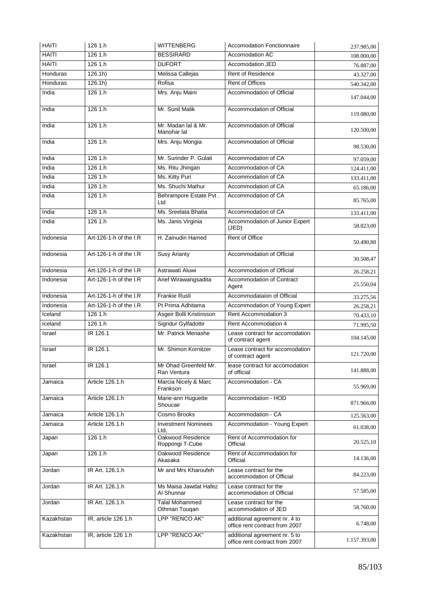| <b>HAITI</b>    | 126 1.h                | <b>WITTENBERG</b>                      | <b>Accomodation Fonctionnaire</b>                               | 237.985,00   |
|-----------------|------------------------|----------------------------------------|-----------------------------------------------------------------|--------------|
| <b>HAITI</b>    | 1261.h                 | <b>BESSIRARD</b>                       | <b>Accomodation AC</b>                                          | 108.000,00   |
| <b>HAITI</b>    | 1261.h                 | <b>DUFORT</b>                          | Accomodation JED                                                | 76.887,00    |
| <b>Honduras</b> | 126.1h)                | Melissa Callejas                       | Rent of Residence                                               | 43.327,00    |
| Honduras        | 126.1h)                | Rofisa                                 | Rent of Offices                                                 | 540.342,00   |
| India           | 1261.h                 | Mrs. Anju Maini                        | Accommodation of Official                                       | 147.044,00   |
| India           | 126 1.h                | Mr. Sunil Malik                        | Accommodation of Official                                       | 119.080,00   |
| India           | 126 1.h                | Mr. Madan lal & Mr.<br>Manohar lal     | Accommodation of Official                                       | 120.500,00   |
| India           | 1261.h                 | Mrs. Anju Mongia                       | Accommodation of Official                                       | 98.530,00    |
| India           | 1261.h                 | Mr. Surinder P. Gulati                 | Accommodation of CA                                             | 97.059,00    |
| India           | 1261.h                 | Ms. Ritu Jhingan                       | Accommodation of CA                                             | 124.411,00   |
| India           | 126 1.h                | Ms. Kitty Puri                         | Accommodation of CA                                             | 133.411,00   |
| India           | 126 1.h                | Ms. Shuchi Mathur                      | Accommodation of CA                                             | 65.186,00    |
| India           | 126 1.h                | Behrampore Estate Pvt.<br>Ltd          | Accommodation of CA                                             | 85.765,00    |
| India           | 126 1.h                | Ms. Sreelata Bhatia                    | Accommodation of CA                                             | 133.411,00   |
| India           | 126 1.h                | Ms. Janis Virginia                     | Accommodation of Junior Expert<br>(JED)                         | 58.823,00    |
| Indonesia       | Art-126-1-h of the I.R | H. Zainudin Hamed                      | <b>Rent of Office</b>                                           | 50.490,88    |
| Indonesia       | Art-126-1-h of the I.R | <b>Susy Arianty</b>                    | Accommodation of Official                                       | 30.508,47    |
| Indonesia       | Art-126-1-h of the I.R | Astrawati Aluwi                        | Accommodation of Official                                       | 26.258,21    |
| Indonesia       | Art-126-1-h of the I.R | Arief Wirawangsadita                   | Accommodation of Contract<br>Agent                              | 25.550,04    |
| Indonesia       | Art-126-1-h of the I.R | <b>Frankie Rusli</b>                   | Accommodataion of Official                                      | 33.275,56    |
| Indonesia       | Art-126-1-h of the I.R | Pt Prima Adhitama                      | Accommodation of Young Expert                                   | 26.258,21    |
| Iceland         | 126 1.h                | Asgeir Bolli Kristinsson               | Rent Accommodation 3                                            | 70.433,10    |
| Iceland         | 1261.h                 | Sigridur Gylfadottir                   | Rent Accommodation 4                                            | 71.995,50    |
| Israel          | IR 126.1               | Mr. Patrick Menashe                    | Lease contract for accomodation<br>of contract agent            | 104.145,00   |
| Israel          | IR 126.1               | Mr. Shimon Kornitzer                   | Lease contract for accomodation<br>of contract agent            | 121.720,00   |
| Israel          | IR 126.1               | Mr Ohad Greenfeld Mr.<br>Ran Ventura   | lease contract for accomodation<br>of official                  | 141.888,00   |
| Jamaica         | Article 126.1.h        | Marcia Nicely & Marc<br>Frankson       | Accommodation - CA                                              | 55.969,00    |
| Jamaica         | Article 126.1.h        | Marie-ann Huguette<br>Shoucair         | Accommodation - HOD                                             | 871.966,00   |
| Jamaica         | Article 126.1.h        | Cosmo Brooks                           | Accommodation - CA                                              | 125.563,00   |
| Jamaica         | Article 126.1.h        | <b>Investment Nominees</b><br>Ltd.     | Accommodation - Young Expert                                    | 61.038,00    |
| Japan           | 126 1.h                | Oakwood Residence<br>Roppongi T-Cube   | Rent of Accommodation for<br>Official                           | 20.525,10    |
| Japan           | 126 1.h                | Oakwood Residence<br>Akasaka           | Rent of Accommodation for<br>Official                           | 14.136,00    |
| Jordan          | IR Art. 126.1.h        | Mr and Mrs Kharoufeh                   | Lease contract for the<br>accommodation of Official             | 84.223,00    |
| Jordan          | IR Art. 126.1.h        | Ms Maisa Jawdat Hafez<br>Al Shunnar    | Lease contract for the<br>accommodation of Official             | 57.585,00    |
| Jordan          | IR Art. 126.1.h        | <b>Talal Mohammed</b><br>Othman Touqan | Lease contract for the<br>accommodation of JED                  | 58.760,00    |
| Kazakhstan      | IR, article 126 1.h    | LPP "RENCO AK"                         | additional agreement nr. 4 to<br>office rent contract from 2007 | 6.748,00     |
| Kazakhstan      | IR, article 126 1.h    | LPP "RENCO AK"                         | additional agreement nr. 5 to<br>office rent contract from 2007 | 1.157.393,00 |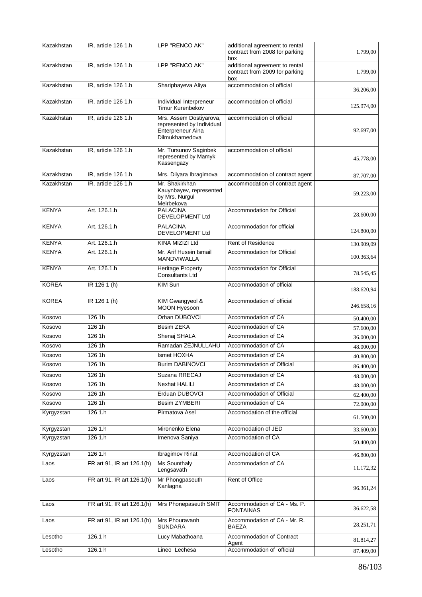| Kazakhstan   | IR, article 126 1.h        | LPP "RENCO AK"                                                                              | additional agreement to rental<br>contract from 2008 for parking<br>box | 1.799,00   |
|--------------|----------------------------|---------------------------------------------------------------------------------------------|-------------------------------------------------------------------------|------------|
| Kazakhstan   | IR, article 126 1.h        | LPP "RENCO AK"                                                                              | additional agreement to rental<br>contract from 2009 for parking<br>box | 1.799,00   |
| Kazakhstan   | IR, article 126 1.h        | Sharipbayeva Aliya                                                                          | accommodation of official                                               | 36.206,00  |
| Kazakhstan   | IR, article 126 1.h        | Individual Interpreneur<br>Timur Kurenbekov                                                 | accommodation of official                                               | 125.974,00 |
| Kazakhstan   | IR, article 126 1.h        | Mrs. Assem Dostiyarova,<br>represented by Individual<br>Enterpreneur Aina<br>Dilmukhamedova | accommodation of official                                               | 92.697,00  |
| Kazakhstan   | IR, article 126 1.h        | Mr. Tursunov Saginbek<br>represented by Mamyk<br>Kassengazy                                 | accommodation of official                                               | 45.778,00  |
| Kazakhstan   | IR, article 126 1.h        | Mrs. Dilyara Ibragimova                                                                     | accommodation of contract agent                                         | 87.707,00  |
| Kazakhstan   | IR, article 126 1.h        | Mr. Shakirkhan<br>Kauynbayev, represented<br>by Mrs. Nurgul<br>Meirbekova                   | accommodation of contract agent                                         | 59.223,00  |
| <b>KENYA</b> | Art. 126.1.h               | <b>PALACINA</b><br><b>DEVELOPMENT Ltd</b>                                                   | Accommodation for Official                                              | 28.600,00  |
| <b>KENYA</b> | Art. 126.1.h               | <b>PALACINA</b><br>DEVELOPMENT Ltd                                                          | Accommodation for official                                              | 124.800,00 |
| <b>KENYA</b> | Art. 126.1.h               | KINA MIZIZI Ltd                                                                             | <b>Rent of Residence</b>                                                | 130.909,09 |
| <b>KENYA</b> | Art. 126.1.h               | Mr. Arif Husein Ismail<br>MANDVIWALLA                                                       | <b>Accommodation for Official</b>                                       | 100.363,64 |
| <b>KENYA</b> | Art. 126.1.h               | <b>Heritage Property</b><br><b>Consultants Ltd</b>                                          | Accommodation for Official                                              | 78.545,45  |
| <b>KOREA</b> | IR 126 1 (h)               | KIM Sun                                                                                     | Accommodation of official                                               | 188.620,94 |
| <b>KOREA</b> | IR 126 1 (h)               | KIM Gwangyeol &<br>MOON Hyesoon                                                             | Accommodation of official                                               | 246.658,16 |
| Kosovo       | 126 1h                     | Orhan DUBOVCI                                                                               | Accommodation of CA                                                     | 50.400.00  |
| Kosovo       | 126 1h                     | Besim ZEKA                                                                                  | Accommodation of CA                                                     | 57.600,00  |
| Kosovo       | 126 1h                     | Shenaj SHALA                                                                                | Accommodation of CA                                                     | 36.000,00  |
| Kosovo       | 1261h                      | Ramadan ZEJNULLAHU                                                                          | Accommodation of CA                                                     | 48.000,00  |
| Kosovo       | 126 1h                     | Ismet HOXHA                                                                                 | Accommodation of CA                                                     | 40.800,00  |
| Kosovo       | 126 1h                     | <b>Burim DABINOVCI</b>                                                                      | Accommodation of Official                                               | 86.400,00  |
| Kosovo       | 126 1h                     | Suzana RRECAJ                                                                               | Accommodation of CA                                                     | 48.000.00  |
| Kosovo       | 126 1h                     | <b>Nexhat HALILI</b>                                                                        | Accommodation of CA                                                     | 48.000,00  |
| Kosovo       | 126 1h                     | Erduan DUBOVCI                                                                              | Accommodation of Official                                               | 62.400,00  |
| Kosovo       | 126 1h                     | <b>Besim ZYMBERI</b>                                                                        | Accommodation of CA                                                     | 72.000,00  |
| Kyrgyzstan   | 126 1.h                    | Pirmatova Asel                                                                              | Accomodation of the official                                            | 61.500,00  |
| Kyrgyzstan   | 126 1.h                    | Mironenko Elena                                                                             | Accomodation of JED                                                     | 33.600,00  |
| Kyrgyzstan   | 126 1.h                    | Imenova Saniya                                                                              | Accomodation of CA                                                      | 50.400,00  |
| Kyrgyzstan   | 126 1.h                    | <b>Ibragimov Rinat</b>                                                                      | Accomodation of CA                                                      | 46.800,00  |
| Laos         | FR art 91, IR art 126.1(h) | <b>Ms Sounthaly</b><br>Lengsavath                                                           | Accommodation of CA                                                     | 11.172,32  |
| Laos         | FR art 91, IR art 126.1(h) | Mr Phongpaseuth<br>Kanlagna                                                                 | Rent of Office                                                          | 96.361,24  |
| Laos         | FR art 91, IR art 126.1(h) | Mrs Phonepaseuth SMIT                                                                       | Accommodation of CA - Ms. P.<br><b>FONTAINAS</b>                        | 36.622,58  |
| Laos         | FR art 91, IR art 126.1(h) | Mrs Phouravanh<br><b>SUNDARA</b>                                                            | Accommodation of CA - Mr. R.<br>BAEZA                                   | 28.251,71  |
| Lesotho      | 126.1 h                    | Lucy Mabathoana                                                                             | Accommodation of Contract<br>Agent                                      | 81.814,27  |
| Lesotho      | 126.1 h                    | Lineo Lechesa                                                                               | Accommodation of official                                               | 87.409,00  |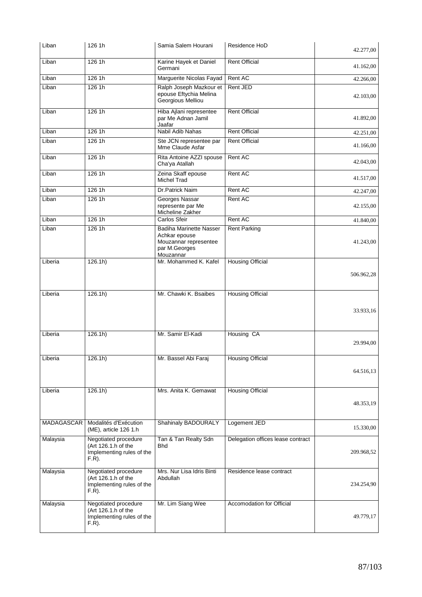| Liban             | 126 1h                                                                               | Samia Salem Hourani                                                                                    | Residence HoD                     | 42.277,00  |
|-------------------|--------------------------------------------------------------------------------------|--------------------------------------------------------------------------------------------------------|-----------------------------------|------------|
| Liban             | 126 1h                                                                               | Karine Hayek et Daniel<br>Germani                                                                      | <b>Rent Official</b>              | 41.162,00  |
| Liban             | 1261h                                                                                | Marguerite Nicolas Fayad                                                                               | Rent AC                           | 42.266,00  |
| Liban             | 126 1h                                                                               | Ralph Joseph Mazkour et<br>epouse Eftychia Melina<br>Georgious Melliou                                 | Rent JED                          | 42.103,00  |
| Liban             | 126 1h                                                                               | Hiba Ajlani representee<br>par Me Adnan Jamil<br>Jaafar                                                | <b>Rent Official</b>              | 41.892,00  |
| Liban             | 126 1h                                                                               | Nabil Adib Nahas                                                                                       | <b>Rent Official</b>              | 42.251,00  |
| Liban             | 1261h                                                                                | Ste JCN representee par<br>Mme Claude Asfar                                                            | <b>Rent Official</b>              | 41.166,00  |
| Liban             | 126 1h                                                                               | Rita Antoine AZZI spouse<br>Cha'ya Atallah                                                             | Rent AC                           | 42.043,00  |
| Liban             | 126 1h                                                                               | Zeina Skaff epouse<br>Michel Trad                                                                      | Rent AC                           | 41.517,00  |
| Liban             | 1261h                                                                                | Dr.Patrick Naim                                                                                        | Rent AC                           | 42.247,00  |
| Liban             | 1261h                                                                                | Georges Nassar<br>represente par Me<br>Micheline Zakher                                                | Rent AC                           | 42.155,00  |
| Liban             | 126 1h                                                                               | Carlos Sfeir                                                                                           | Rent AC                           | 41.840,00  |
| Liban             | 126 1h                                                                               | <b>Badiha Marinette Nasser</b><br>Achkar epouse<br>Mouzannar representee<br>par M.Georges<br>Mouzannar | <b>Rent Parking</b>               | 41.243,00  |
| Liberia           | 126.1h)                                                                              | Mr. Mohammed K. Kafel                                                                                  | <b>Housing Official</b>           | 506.962,28 |
| Liberia           | 126.1h)                                                                              | Mr. Chawki K. Bsaibes                                                                                  | <b>Housing Official</b>           | 33.933,16  |
| Liberia           | 126.1h)                                                                              | Mr. Samir El-Kadi                                                                                      | Housing CA                        | 29.994,00  |
| Liberia           | 126.1h)                                                                              | Mr. Bassel Abi Faraj                                                                                   | <b>Housing Official</b>           | 64.516,13  |
| Liberia           | 126.1h)                                                                              | Mrs. Anita K. Gemawat                                                                                  | <b>Housing Official</b>           | 48.353,19  |
| <b>MADAGASCAR</b> | Modalités d'Exécution<br>(ME), article 126 1.h                                       | Shahinaly BADOURALY                                                                                    | Logement JED                      | 15.330,00  |
| Malaysia          | Negotiated procedure<br>(Art 126.1.h of the<br>Implementing rules of the<br>$F.R$ ). | Tan & Tan Realty Sdn<br>Bhd                                                                            | Delegation offices lease contract | 209.968,52 |
| Malaysia          | Negotiated procedure<br>(Art 126.1.h of the<br>Implementing rules of the<br>$F.R$ ). | Mrs. Nur Lisa Idris Binti<br>Abdullah                                                                  | Residence lease contract          | 234.254,90 |
| Malaysia          | Negotiated procedure<br>(Art 126.1.h of the<br>Implementing rules of the<br>$F.R$ ). | Mr. Lim Siang Wee                                                                                      | Accomodation for Official         | 49.779,17  |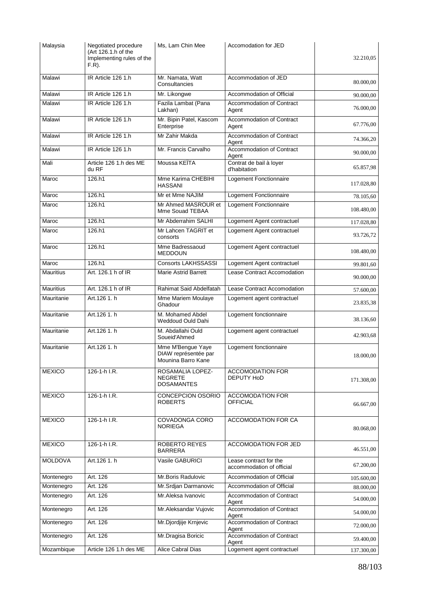| Malaysia         | Negotiated procedure                                         | Ms, Lam Chin Mee                                                | Accomodation for JED                                |            |
|------------------|--------------------------------------------------------------|-----------------------------------------------------------------|-----------------------------------------------------|------------|
|                  | (Art 126.1.h of the<br>Implementing rules of the<br>$F.R$ ). |                                                                 |                                                     | 32.210,05  |
| Malawi           | IR Article 126 1.h                                           | Mr. Namata, Watt<br>Consultancies                               | Accommodation of JED                                | 80.000,00  |
| Malawi           | IR Article 126 1.h                                           | Mr. Likongwe                                                    | Accommodation of Official                           | 90.000,00  |
| Malawi           | IR Article 126 1.h                                           | Fazila Lambat (Pana<br>Lakhan)                                  | Accommodation of Contract<br>Agent                  | 76.000,00  |
| Malawi           | IR Article 126 1.h                                           | Mr. Bipin Patel, Kascom<br>Enterprise                           | Accommodation of Contract<br>Agent                  | 67.776,00  |
| Malawi           | IR Article 126 1.h                                           | Mr Zahir Makda                                                  | Accommodation of Contract<br>Agent                  | 74.366,20  |
| Malawi           | IR Article 126 1.h                                           | Mr. Francis Carvalho                                            | Accommodation of Contract<br>Agent                  | 90.000,00  |
| Mali             | Article 126 1.h des ME<br>du RF                              | Moussa KEITA                                                    | Contrat de bail à loyer<br>d'habitation             | 65.857,98  |
| Maroc            | 126.h1                                                       | Mme Karima CHEBIHI<br><b>HASSANI</b>                            | Logement Fonctionnaire                              | 117.028,80 |
| Maroc            | 126.h1                                                       | Mr et Mme NAJIM                                                 | Logement Fonctionnaire                              | 78.105,60  |
| Maroc            | 126.h1                                                       | Mr Ahmed MASROUR et<br>Mme Souad TEBAA                          | Logement Fonctionnaire                              | 108.480,00 |
| Maroc            | 126.h1                                                       | Mr Abderrahim SALHI                                             | Logement Agent contractuel                          | 117.028,80 |
| Maroc            | 126.h1                                                       | Mr Lahcen TAGRIT et<br>consorts                                 | Logement Agent contractuel                          | 93.726,72  |
| Maroc            | 126.h1                                                       | Mme Badressaoud<br><b>MEDDOUN</b>                               | Logement Agent contractuel                          | 108.480,00 |
| Maroc            | 126.h1                                                       | <b>Consorts LAKHSSASSI</b>                                      | Logement Agent contractuel                          | 99.801,60  |
| <b>Mauritius</b> | Art. 126.1 h of IR                                           | <b>Marie Astrid Barrett</b>                                     | Lease Contract Accomodation                         | 90.000,00  |
| <b>Mauritius</b> | Art. 126.1 h of IR                                           | Rahimat Said Abdelfatah                                         | Lease Contract Accomodation                         | 57.600,00  |
| Mauritanie       | Art.126 1. h                                                 | Mme Mariem Moulaye<br>Ghadour                                   | Logement agent contractuel                          | 23.835,38  |
| Mauritanie       | Art.126 1. h                                                 | M. Mohamed Abdel<br>Weddoud Ould Dahi                           | Logement fonctionnaire                              | 38.136,60  |
| Mauritanie       | Art.126 1. h                                                 | M. Abdallahi Ould<br>Soueid'Ahmed                               | Logement agent contractuel                          | 42.903,68  |
| Mauritanie       | Art.126 1. h                                                 | Mme M'Bengue Yaye<br>DIAW représentée par<br>Mounina Barro Kane | Logement fonctionnaire                              | 18.000,00  |
| <b>MEXICO</b>    | 126-1-h I.R.                                                 | ROSAMALIA LOPEZ-<br><b>NEGRETE</b><br><b>DOSAMANTES</b>         | <b>ACCOMODATION FOR</b><br>DEPUTY HoD               | 171.308,00 |
| <b>MEXICO</b>    | 126-1-h I.R.                                                 | CONCEPCION OSORIO<br><b>ROBERTS</b>                             | <b>ACCOMODATION FOR</b><br><b>OFFICIAL</b>          | 66.667,00  |
| <b>MEXICO</b>    | 126-1-h I.R.                                                 | <b>COVADONGA CORO</b><br>NORIEGA                                | <b>ACCOMODATION FOR CA</b>                          | 80.068,00  |
| <b>MEXICO</b>    | 126-1-h I.R.                                                 | <b>ROBERTO REYES</b><br><b>BARRERA</b>                          | ACCOMODATION FOR JED                                | 46.551,00  |
| <b>MOLDOVA</b>   | Art.126 1. h                                                 | Vasile GABURICI                                                 | Lease contract for the<br>accommodation of official | 67.200,00  |
| Montenegro       | Art. 126                                                     | Mr.Boris Radulovic                                              | Accommodation of Official                           | 105.600,00 |
| Montenegro       | Art. 126                                                     | Mr.Srdjan Darmanovic                                            | Accommodation of Official                           | 88.000,00  |
| Montenegro       | Art. 126                                                     | Mr.Aleksa Ivanovic                                              | Accommodation of Contract<br>Agent                  | 54.000,00  |
| Montenegro       | Art. 126                                                     | Mr.Aleksandar Vujovic                                           | Accommodation of Contract<br>Agent                  | 54.000,00  |
| Montenegro       | Art. 126                                                     | Mr.Djordjije Krnjevic                                           | Accommodation of Contract<br>Agent                  | 72.000,00  |
| Montenegro       | Art. 126                                                     | Mr.Dragisa Boricic                                              | Accommodation of Contract<br>Agent                  | 59.400,00  |
| Mozambique       | Article 126 1.h des ME                                       | <b>Alice Cabral Dias</b>                                        | Logement agent contractuel                          | 137.300,00 |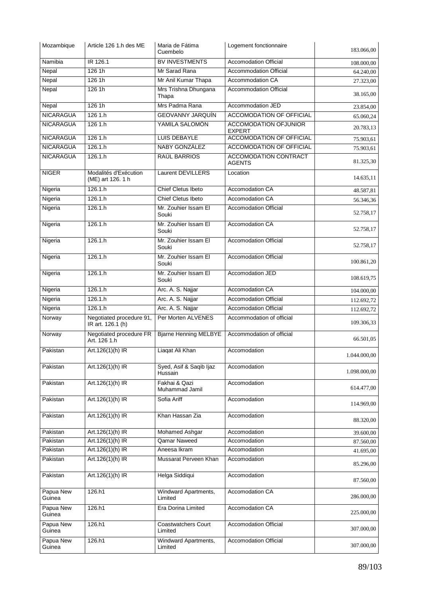| Mozambique          | Article 126 1.h des ME                         | Maria de Fátima<br>Cuembelo           | Logement fonctionnaire                        | 183.066,00   |
|---------------------|------------------------------------------------|---------------------------------------|-----------------------------------------------|--------------|
| Namibia             | IR 126.1                                       | <b>BV INVESTMENTS</b>                 | <b>Accomodation Official</b>                  | 108.000.00   |
| Nepal               | 126 1h                                         | Mr Sarad Rana                         | <b>Accommodation Official</b>                 | 64.240,00    |
| Nepal               | 126 1h                                         | Mr Anil Kumar Thapa                   | <b>Accommodation CA</b>                       | 27.323,00    |
| Nepal               | 1261h                                          | Mrs Trishna Dhungana<br>Thapa         | <b>Accommodation Official</b>                 | 38.165,00    |
| Nepal               | 126 1h                                         | Mrs Padma Rana                        | Accommodation JED                             | 23.854,00    |
| <b>NICARAGUA</b>    | 1261.h                                         | <b>GEOVANNY JARQUÍN</b>               | <b>ACCOMODATION OF OFFICIAL</b>               | 65.060,24    |
| <b>NICARAGUA</b>    | 126 1.h                                        | YAMILA SALOMÓN                        | <b>ACCOMODATION OFJUNIOR</b><br><b>EXPERT</b> | 20.783,13    |
| <b>NICARAGUA</b>    | 1261.h                                         | <b>LUIS DEBAYLE</b>                   | <b>ACCOMODATION OF OFFICIAL</b>               | 75.903,61    |
| <b>NICARAGUA</b>    | 126.1.h                                        | NABY GONZÁLEZ                         | ACCOMODATION OF OFFICIAL                      | 75.903,61    |
| <b>NICARAGUA</b>    | 126.1.h                                        | RAÚL BARRIOS                          | ACCOMODATION CONTRACT<br><b>AGENTS</b>        | 81.325,30    |
| <b>NIGER</b>        | Modalités d'Exécution<br>(ME) art 126. 1 h     | Laurent DEVILLERS                     | Location                                      | 14.635,11    |
| Nigeria             | 126.1.h                                        | Chief Cletus Ibeto                    | Accomodation CA                               | 48.587,81    |
| Nigeria             | 126.1.h                                        | <b>Chief Cletus Ibeto</b>             | Accomodation CA                               | 56.346,36    |
| Nigeria             | 126.1.h                                        | Mr. Zouhier Issam El<br>Souki         | <b>Accomodation Official</b>                  | 52.758,17    |
| Nigeria             | 126.1.h                                        | Mr. Zouhier Issam El<br>Souki         | Accomodation CA                               | 52.758,17    |
| Nigeria             | 126.1.h                                        | Mr. Zouhier Issam El<br>Souki         | <b>Accomodation Official</b>                  | 52.758,17    |
| Nigeria             | 126.1.h                                        | Mr. Zouhier Issam El<br>Souki         | <b>Accomodation Official</b>                  | 100.861,20   |
| Nigeria             | 126.1.h                                        | Mr. Zouhier Issam El<br>Souki         | Accomodation JED                              | 108.619,75   |
| Nigeria             | 126.1.h                                        | Arc. A. S. Najjar                     | Accomodation CA                               | 104.000,00   |
| Nigeria             | 126.1 h                                        | Arc. A. S. Najjar                     | <b>Accomodation Official</b>                  | 112.692,72   |
| Nigeria             | 126.1 h                                        | Arc. A. S. Najjar                     | <b>Accomodation Official</b>                  | 112.692,72   |
| Norway              | Negotiated procedure 91,<br>IR art. 126.1 (h)  | Per Morten ALVENES                    | Accommodation of official                     | 109.306,33   |
| Norway              | <b>Negotiated procedure FR</b><br>Art. 126 1.h | <b>Bjarne Henning MELBYE</b>          | Accommodation of official                     | 66.501,05    |
| Pakistan            | Art.126(1)(h) IR                               | Liaqat Ali Khan                       | Accomodation                                  | 1.044.000,00 |
| Pakistan            | Art.126(1)(h) IR                               | Syed, Asif & Saqib Ijaz<br>Hussain    | Accomodation                                  | 1.098.000,00 |
| Pakistan            | Art.126(1)(h) IR                               | Fakhai & Qazi<br>Muhammad Jamil       | Accomodation                                  | 614.477,00   |
| Pakistan            | Art.126(1)(h) IR                               | Sofia Ariff                           | Accomodation                                  | 114.969,00   |
| Pakistan            | Art.126(1)(h) IR                               | Khan Hassan Zia                       | Accomodation                                  | 88.320,00    |
| Pakistan            | Art.126(1)(h) IR                               | <b>Mohamed Ashgar</b>                 | Accomodation                                  | 39.600,00    |
| Pakistan            | Art.126(1)(h) IR                               | Qamar Naweed                          | Accomodation                                  | 87.560,00    |
| Pakistan            | Art.126(1)(h) IR                               | Aneesa Ikram                          | Accomodation                                  | 41.695,00    |
| Pakistan            | Art.126(1)(h) IR                               | Mussarat Perveen Khan                 | Accomodation                                  | 85.296,00    |
| Pakistan            | Art.126(1)(h) IR                               | Helga Siddiqui                        | Accomodation                                  | 87.560,00    |
| Papua New<br>Guinea | 126.h1                                         | Windward Apartments,<br>Limited       | Accomodation CA                               | 286.000,00   |
| Papua New<br>Guinea | 126.h1                                         | Era Dorina Limited                    | Accomodation CA                               | 225.000,00   |
| Papua New<br>Guinea | 126.h1                                         | <b>Coastwatchers Court</b><br>Limited | <b>Accomodation Official</b>                  | 307.000,00   |
| Papua New<br>Guinea | 126.h1                                         | Windward Apartments,<br>Limited       | Accomodation Official                         | 307.000,00   |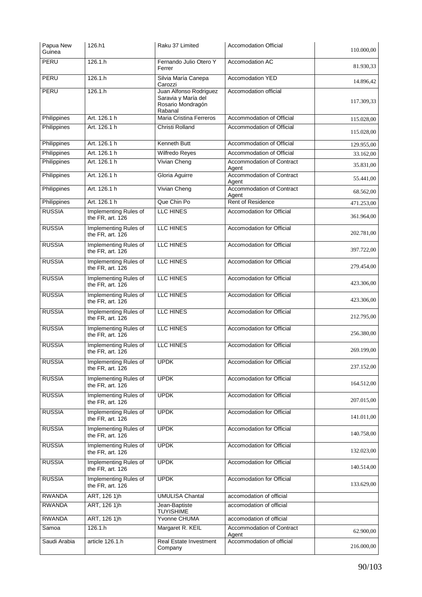| Papua New<br>Guinea | 126.h1                                    | Raku 37 Limited                                                               | <b>Accomodation Official</b>       | 110.000,00 |
|---------------------|-------------------------------------------|-------------------------------------------------------------------------------|------------------------------------|------------|
| PERU                | 126.1.h                                   | Fernando Julio Otero Y<br>Ferrer                                              | Accomodation AC                    | 81.930.33  |
| PERU                | 126.1 h                                   | Silvia María Canepa<br>Carozzi                                                | Accomodation YED                   | 14.896,42  |
| PERU                | 126.1 h                                   | Juan Alfonso Rodriguez<br>Saravia y María del<br>Rosario Mondragón<br>Rabanal | Accomodation official              | 117.309,33 |
| Philippines         | Art. 126.1 h                              | Maria Cristina Ferreros                                                       | Accommodation of Official          | 115.028,00 |
| Philippines         | Art. 126.1 h                              | <b>Christi Rolland</b>                                                        | Accommodation of Official          | 115.028,00 |
| Philippines         | Art. 126.1 h                              | <b>Kenneth Butt</b>                                                           | Accommodation of Official          | 129.955,00 |
| Philippines         | Art. 126.1 h                              | Wilfredo Reyes                                                                | Accommodation of Official          | 33.162,00  |
| Philippines         | Art. 126.1 h                              | Vivian Cheng                                                                  | Accommodation of Contract<br>Agent | 35.831,00  |
| Philippines         | Art. 126.1 h                              | Gloria Aguirre                                                                | Accommodation of Contract<br>Agent | 55.441,00  |
| Philippines         | Art. 126.1 h                              | <b>Vivian Cheng</b>                                                           | Accommodation of Contract<br>Agent | 68.562,00  |
| Philippines         | Art. 126.1 h                              | Que Chin Po                                                                   | Rent of Residence                  | 471.253,00 |
| <b>RUSSIA</b>       | Implementing Rules of<br>the FR, art. 126 | <b>LLC HINES</b>                                                              | <b>Accomodation for Official</b>   | 361.964,00 |
| <b>RUSSIA</b>       | Implementing Rules of<br>the FR, art. 126 | LLC HINES                                                                     | Accomodation for Official          | 202.781,00 |
| <b>RUSSIA</b>       | Implementing Rules of<br>the FR, art. 126 | LLC HINES                                                                     | Accomodation for Official          | 397.722,00 |
| <b>RUSSIA</b>       | Implementing Rules of<br>the FR, art. 126 | LLC HINES                                                                     | Accomodation for Official          | 279.454,00 |
| <b>RUSSIA</b>       | Implementing Rules of<br>the FR, art. 126 | <b>LLC HINES</b>                                                              | Accomodation for Official          | 423.306,00 |
| <b>RUSSIA</b>       | Implementing Rules of<br>the FR, art. 126 | <b>LLC HINES</b>                                                              | Accomodation for Official          | 423.306,00 |
| <b>RUSSIA</b>       | Implementing Rules of<br>the FR, art. 126 | LLC HINES                                                                     | Accomodation for Official          | 212.795,00 |
| <b>RUSSIA</b>       | Implementing Rules of<br>the FR, art. 126 | LLC HINES                                                                     | Accomodation for Official          | 256.380,00 |
| <b>RUSSIA</b>       | Implementing Rules of<br>the FR, art. 126 | LLC HINES                                                                     | Accomodation for Official          | 269.199,00 |
| <b>RUSSIA</b>       | Implementing Rules of<br>the FR, art. 126 | <b>UPDK</b>                                                                   | <b>Accomodation for Official</b>   | 237.152,00 |
| <b>RUSSIA</b>       | Implementing Rules of<br>the FR, art. 126 | <b>UPDK</b>                                                                   | Accomodation for Official          | 164.512,00 |
| <b>RUSSIA</b>       | Implementing Rules of<br>the FR, art. 126 | <b>UPDK</b>                                                                   | Accomodation for Official          | 207.015,00 |
| <b>RUSSIA</b>       | Implementing Rules of<br>the FR, art. 126 | <b>UPDK</b>                                                                   | Accomodation for Official          | 141.011,00 |
| <b>RUSSIA</b>       | Implementing Rules of<br>the FR, art. 126 | <b>UPDK</b>                                                                   | Accomodation for Official          | 140.758,00 |
| <b>RUSSIA</b>       | Implementing Rules of<br>the FR, art. 126 | <b>UPDK</b>                                                                   | Accomodation for Official          | 132.023,00 |
| <b>RUSSIA</b>       | Implementing Rules of<br>the FR, art. 126 | <b>UPDK</b>                                                                   | Accomodation for Official          | 140.514,00 |
| <b>RUSSIA</b>       | Implementing Rules of<br>the FR, art. 126 | <b>UPDK</b>                                                                   | Accomodation for Official          | 133.629,00 |
| <b>RWANDA</b>       | ART, 126 1)h                              | <b>UMULISA Chantal</b>                                                        | accomodation of official           |            |
| <b>RWANDA</b>       | ART, 126 1)h                              | Jean-Baptiste<br><b>TUYISHIME</b>                                             | accomodation of official           |            |
| <b>RWANDA</b>       | ART, 126 1)h                              | Yvonne CHUMA                                                                  | accomodation of official           |            |
| Samoa               | 126.1.h                                   | Margaret R. KEIL                                                              | Accommodation of Contract<br>Agent | 62.900,00  |
| Saudi Arabia        | article 126.1.h                           | Real Estate Investment<br>Company                                             | Accommodation of official          | 216.000,00 |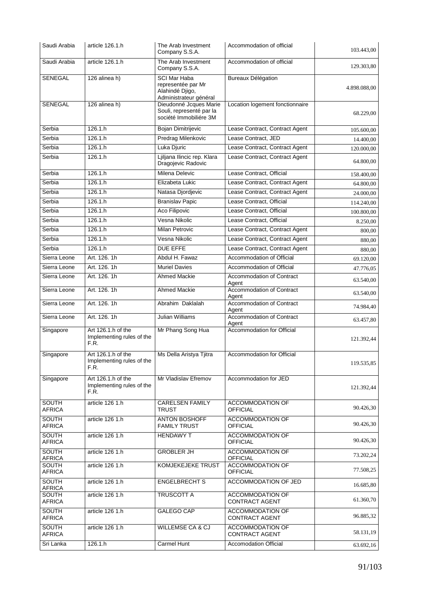| Saudi Arabia                  | article 126.1.h                                         | The Arab Investment<br>Company S.S.A.                                                  | Accommodation of official                              | 103.443,00   |
|-------------------------------|---------------------------------------------------------|----------------------------------------------------------------------------------------|--------------------------------------------------------|--------------|
| Saudi Arabia                  | article 126.1.h                                         | The Arab Investment<br>Company S.S.A.                                                  | Accommodation of official                              | 129.303,80   |
| <b>SENEGAL</b>                | 126 alinea h)                                           | <b>SCI Mar Haba</b><br>representée par Mr<br>Alahindé Djigo,<br>Administrateur général | Bureaux Délégation                                     | 4.898.088,00 |
| <b>SENEGAL</b>                | 126 alinea h)                                           | Dieudonné Jcques Marie<br>Souli, representé par la<br>société Immobiliére 3M           | Location logement fonctionnaire                        | 68.229,00    |
| Serbia                        | 126.1.h                                                 | Bojan Dimitrijevic                                                                     | Lease Contract, Contract Agent                         | 105.600,00   |
| Serbia                        | 126.1.h                                                 | Predrag Milenkovic                                                                     | Lease Contract, JED                                    | 14.400.00    |
| Serbia                        | 126.1.h                                                 | Luka Djuric                                                                            | Lease Contract, Contract Agent                         | 120.000,00   |
| Serbia                        | 126.1.h                                                 | Ljiljana Ilincic rep. Klara<br>Dragojevic Radovic                                      | Lease Contract, Contract Agent                         | 64.800,00    |
| Serbia                        | 126.1.h                                                 | Milena Delevic                                                                         | Lease Contract, Official                               | 158.400,00   |
| Serbia                        | 126.1.h                                                 | Elizabeta Lukic                                                                        | Lease Contract, Contract Agent                         | 64.800,00    |
| Serbia                        | 126.1 h                                                 | Natasa Djordjevic                                                                      | Lease Contract, Contract Agent                         | 24.000,00    |
| Serbia                        | 126.1 h                                                 | <b>Branislav Papic</b>                                                                 | Lease Contract, Official                               | 114.240,00   |
| Serbia                        | 126.1.h                                                 | <b>Aco Filipovic</b>                                                                   | Lease Contract, Official                               | 100.800,00   |
| Serbia                        | 126.1.h                                                 | Vesna Nikolic                                                                          | Lease Contract, Official                               | 8.250,00     |
| Serbia                        | 126.1.h                                                 | <b>Milan Petrovic</b>                                                                  | Lease Contract, Contract Agent                         | 800,00       |
| Serbia                        | 126.1.h                                                 | Vesna Nikolic                                                                          | Lease Contract, Contract Agent                         | 880,00       |
| Serbia                        | 126.1 h<br>Art. 126, 1h                                 | <b>DUE EFFE</b><br>Abdul H. Fawaz                                                      | Lease Contract, Contract Agent                         | 880,00       |
| Sierra Leone                  | Art. 126, 1h                                            |                                                                                        | Accommodation of Official                              | 69.120,00    |
| Sierra Leone                  | Art. 126. 1h                                            | <b>Muriel Davies</b><br><b>Ahmed Mackie</b>                                            | Accommodation of Official<br>Accommodation of Contract | 47.776,05    |
| Sierra Leone                  |                                                         |                                                                                        | Agent                                                  | 63.540,00    |
| Sierra Leone                  | Art. 126. 1h                                            | <b>Ahmed Mackie</b>                                                                    | Accommodation of Contract<br>Agent                     | 63.540,00    |
| Sierra Leone                  | Art. 126, 1h                                            | Abrahim Daklalah                                                                       | Accommodation of Contract<br>Agent                     | 74.984,40    |
| Sierra Leone                  | Art. 126. 1h                                            | <b>Julian Williams</b>                                                                 | Accommodation of Contract<br>Agent                     | 63.457,80    |
| Singapore                     | Art 126.1.h of the<br>Implementing rules of the<br>F.R. | Mr Phang Song Hua                                                                      | Accommodation for Official                             | 121.392,44   |
| Singapore                     | Art 126.1.h of the<br>Implementing rules of the<br>F.R. | Ms Della Aristya Tjitra                                                                | Accommodation for Official                             | 119.535,85   |
| Singapore                     | Art 126.1.h of the<br>Implementing rules of the<br>F.R. | Mr Vladislav Efremov                                                                   | Accommodation for JED                                  | 121.392,44   |
| SOUTH<br><b>AFRICA</b>        | article 126 1.h                                         | <b>CARELSEN FAMILY</b><br><b>TRUST</b>                                                 | <b>ACCOMMODATION OF</b><br><b>OFFICIAL</b>             | 90.426,30    |
| <b>SOUTH</b><br><b>AFRICA</b> | article 126 1.h                                         | <b>ANTON BOSHOFF</b><br><b>FAMILY TRUST</b>                                            | <b>ACCOMMODATION OF</b><br><b>OFFICIAL</b>             | 90.426,30    |
| <b>SOUTH</b><br><b>AFRICA</b> | article 126 1.h                                         | <b>HENDAWY T</b>                                                                       | ACCOMMODATION OF<br><b>OFFICIAL</b>                    | 90.426,30    |
| <b>SOUTH</b><br><b>AFRICA</b> | article 126 1.h                                         | <b>GROBLER JH</b>                                                                      | <b>ACCOMMODATION OF</b><br><b>OFFICIAL</b>             | 73.202,24    |
| <b>SOUTH</b><br><b>AFRICA</b> | article 126 1.h                                         | <b>KOMJEKEJEKE TRUST</b>                                                               | <b>ACCOMMODATION OF</b><br><b>OFFICIAL</b>             | 77.508,25    |
| SOUTH<br><b>AFRICA</b>        | article 126 1.h                                         | <b>ENGELBRECHT S</b>                                                                   | ACCOMMODATION OF JED                                   | 16.685,80    |
| SOUTH<br><b>AFRICA</b>        | article 126 1.h                                         | <b>TRUSCOTT A</b>                                                                      | <b>ACCOMMODATION OF</b><br><b>CONTRACT AGENT</b>       | 61.360,70    |
| SOUTH<br><b>AFRICA</b>        | article 126 1.h                                         | GALEGO CAP                                                                             | <b>ACCOMMODATION OF</b><br><b>CONTRACT AGENT</b>       | 96.885,32    |
| SOUTH<br><b>AFRICA</b>        | article 126 1.h                                         | <b>WILLEMSE CA &amp; CJ</b>                                                            | ACCOMMODATION OF<br><b>CONTRACT AGENT</b>              | 58.131,19    |
| Sri Lanka                     | 126.1.h                                                 | Carmel Hunt                                                                            | <b>Accomodation Official</b>                           | 63.692,16    |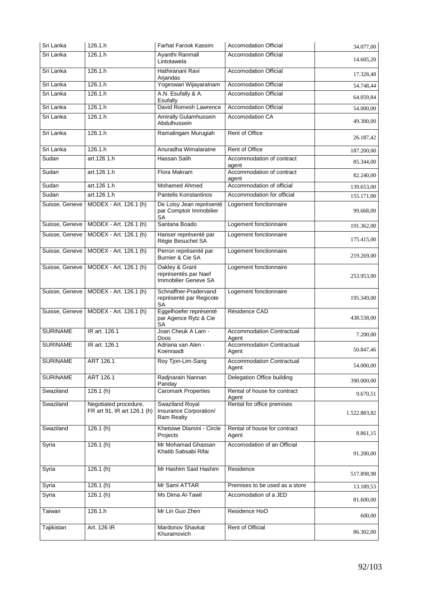| Sri Lanka       | 126.1.h                                              | Farhat Farook Kassim                                             | <b>Accomodation Official</b>              | 34.077,00    |
|-----------------|------------------------------------------------------|------------------------------------------------------------------|-------------------------------------------|--------------|
| Sri Lanka       | 126.1.h                                              | Ayanthi Ranmall<br>Lintotawela                                   | <b>Accomodation Official</b>              | 14.605,20    |
| Sri Lanka       | 126.1.h                                              | Hathiranani Ravi<br>Arjandas                                     | <b>Accomodation Official</b>              | 17.328,48    |
| Sri Lanka       | 126.1.h                                              | Yogeswari Wijayaralnam                                           | <b>Accomodation Official</b>              | 54.748,44    |
| Sri Lanka       | 126.1 h                                              | A.N. Esufally & A.<br>Esufally                                   | <b>Accomodation Official</b>              | 64.059,84    |
| Sri Lanka       | 126.1.h                                              | David Romesh Lawrence                                            | <b>Accomodation Official</b>              | 54.000,00    |
| Sri Lanka       | 126.1.h                                              | Amirally Gulamhussein<br>Abdulhussein                            | <b>Accomodation CA</b>                    | 49.300,00    |
| Sri Lanka       | 126.1 <sub>h</sub>                                   | Ramalingam Murugiah                                              | Rent of Office                            | 26.187,42    |
| Sri Lanka       | 126.1.h                                              | Anuradha Wimalaratne                                             | <b>Rent of Office</b>                     | 187.200,00   |
| Sudan           | art.126 1.h                                          | Hassan Salih                                                     | Accommodation of contract<br>agent        | 85.344,00    |
| Sudan           | art.126 1.h                                          | Flora Makram                                                     | Accommodation of contract<br>agent        | 82.240,00    |
| Sudan           | art.126 1.h                                          | <b>Mohamed Ahmed</b>                                             | Accommodation of official                 | 139.653,00   |
| Sudan           | art.126 1.h                                          | <b>Pantelis Konstantinos</b>                                     | Accommodation for official                | 155.171,00   |
| Suisse, Geneve  | MODEX - Art. 126.1 (h)                               | De Loisy Jean représenté<br>par Comptoir Immobilier<br><b>SA</b> | Logement fonctionnaire                    | 99.668,00    |
| Suisse, Geneve  | MODEX - Art. 126.1 (h)                               | Santana Boado                                                    | Logement fonctionnaire                    | 191.362,00   |
| Suisse, Geneve  | MODEX - Art. 126.1 (h)                               | Hanser représenté par<br>Régie Besuchet SA                       | Logement fonctionnaire                    | 175.415,00   |
| Suisse, Geneve  | MODEX - Art. 126.1 (h)                               | Perron représenté par<br>Burnier & Cie SA                        | Logement fonctionnaire                    | 219.269,00   |
| Suisse, Geneve  | MODEX - Art. 126.1 (h)                               | Oakley & Grant<br>représentés par Naef<br>Immobilier Geneve SA   | Logement fonctionnaire                    | 253.953,00   |
| Suisse, Geneve  | MODEX - Art. 126.1 (h)                               | Schnaffner-Pradervand<br>représenté par Regicote<br><b>SA</b>    | Logement fonctionnaire                    | 195.349,00   |
| Suisse, Geneve  | MODEX - Art. 126.1 (h)                               | Eggelhoefer représenté<br>par Agence Rytz & Cie<br><b>SA</b>     | Résidence CAD                             | 438.538,00   |
| <b>SURINAME</b> | IR art. 126.1                                        | Joan Cheuk A Lam -<br>Doos                                       | <b>Accommodation Contractual</b><br>Agent | 7.200,00     |
| <b>SURINAME</b> | IR art. 126.1                                        | Adriana van Alen -<br>Koenraadt                                  | <b>Accommodation Contractual</b><br>Agent | 50.847,46    |
| <b>SURINAME</b> | ART 126.1                                            | Roy Tjon-Lim-Sang                                                | Accommodation Contractual<br>Agent        | 54.000,00    |
| <b>SURINAME</b> | ART 126.1                                            | Radjnarain Nannan<br>Panday                                      | Delegation Office building                | 390.000,00   |
| Swaziland       | 126.1(h)                                             | <b>Caromark Properties</b>                                       | Rental of house for contract<br>Agent     | 9.670,51     |
| Swaziland       | Negotiated procedure,<br>FR art 91, IR art 126.1 (h) | <b>Swaziland Royal</b><br>Insurance Corporation/<br>Ram Realty   | Rental for office premises                | 1.522.883,82 |
| Swaziland       | 126.1(h)                                             | Khetsiwe Dlamini - Circle<br>Projects                            | Rental of house for contract<br>Agent     | 8.861,15     |
| Syria           | 126.1(h)                                             | Mr Mohamad Ghassan<br>Khatib Sabsabi Rifai                       | Accomodation of an Official               | 91.200,00    |
| Syria           | 126.1(h)                                             | Mr Hashim Said Hashim                                            | Residence                                 | 517.898,98   |
| Syria           | 126.1(h)                                             | Mr Sami ATTAR                                                    | Premises to be used as a store            | 13.189,53    |
| Syria           | 126.1(h)                                             | Ms Dima Al-Tawil                                                 | Accomodation of a JED                     | 81.600,00    |
| Taiwan          | 126.1.h                                              | Mr Lin Guo Zhen                                                  | Residence HoO                             | 600,00       |
| Tajikistan      | Art. 126 IR                                          | Mardonov Shavkat<br>Khuramovich                                  | Rent of Official                          | 86.302,00    |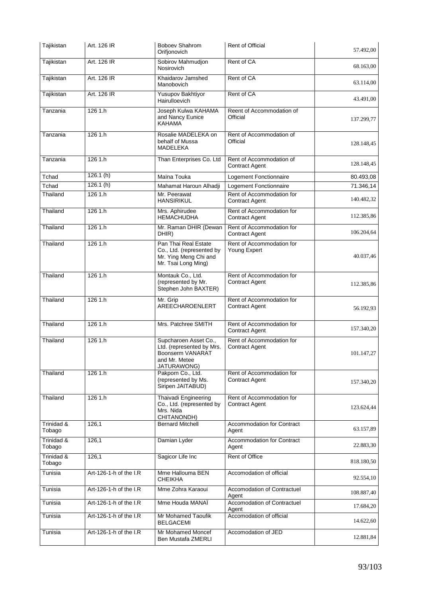| Tajikistan           | Art. 126 IR            | <b>Boboev Shahrom</b><br>Orifjonovich                                                                  | Rent of Official                                   | 57.492,00  |
|----------------------|------------------------|--------------------------------------------------------------------------------------------------------|----------------------------------------------------|------------|
| Tajikistan           | Art. 126 IR            | Sobirov Mahmudjon<br><b>Nosirovich</b>                                                                 | Rent of CA                                         | 68.163,00  |
| Tajikistan           | Art. 126 IR            | Khaidarov Jamshed<br>Manobovich                                                                        | Rent of CA                                         | 63.114,00  |
| Tajikistan           | Art. 126 IR            | Yusupov Bakhtiyor<br>Hairulloevich                                                                     | Rent of CA                                         | 43.491,00  |
| Tanzania             | 1261.h                 | Joseph Kulwa KAHAMA<br>and Nancy Eunice<br>KAHAMA                                                      | Reent of Accommodation of<br>Official              | 137.299,77 |
| Tanzania             | 126 1.h                | Rosalie MADELEKA on<br>behalf of Mussa<br><b>MADELEKA</b>                                              | Rent of Accommodation of<br>Official               | 128.148,45 |
| Tanzania             | 126 1.h                | Than Enterprises Co. Ltd                                                                               | Rent of Accommodation of<br><b>Contract Agent</b>  | 128.148,45 |
| Tchad                | 126.1(h)               | Maïna Touka                                                                                            | Logement Fonctionnaire                             | 80.493,08  |
| Tchad                | 126.1(h)               | Mahamat Haroun Alhadji                                                                                 | Logement Fonctionnaire                             | 71.346,14  |
| Thailand             | 126 1.h                | Mr. Peerawat<br><b>HANSIRIKUL</b>                                                                      | Rent of Accommodation for<br><b>Contract Agent</b> | 140.482,32 |
| Thailand             | 126 1.h                | Mrs. Aphirudee<br><b>HEMACHUDHA</b>                                                                    | Rent of Accommodation for<br><b>Contract Agent</b> | 112.385,86 |
| Thailand             | 1261.h                 | Mr. Raman DHIR (Dewan<br>DHIR)                                                                         | Rent of Accommodation for<br><b>Contract Agent</b> | 106.204,64 |
| Thailand             | 126 1.h                | Pan Thai Real Estate<br>Co., Ltd. (represented by<br>Mr. Ying Meng Chi and<br>Mr. Tsai Long Ming)      | Rent of Accommodation for<br>Young Expert          | 40.037,46  |
| Thailand             | 126 1.h                | Montauk Co., Ltd.<br>(represented by Mr.<br>Stephen John BAXTER)                                       | Rent of Accommodation for<br><b>Contract Agent</b> | 112.385,86 |
| Thailand             | 1261.h                 | Mr. Grip<br>AREECHAROENLERT                                                                            | Rent of Accommodation for<br><b>Contract Agent</b> | 56.192,93  |
| Thailand             | 126 1.h                | Mrs. Patchree SMITH                                                                                    | Rent of Accommodation for<br><b>Contract Agent</b> | 157.340,20 |
| Thailand             | 126 1.h                | Supcharoen Asset Co.,<br>Ltd. (represented by Mrs.<br>Boonserm VANARAT<br>and Mr. Metee<br>JATURAWONG) | Rent of Accommodation for<br><b>Contract Agent</b> | 101.147,27 |
| Thailand             | 126 1.h                | Pakporn Co., Ltd.<br>(represented by Ms.<br>Siripen JAITABUD)                                          | Rent of Accommodation for<br><b>Contract Agent</b> | 157.340,20 |
| Thailand             | 126 1.h                | <b>Thaivadi Engineering</b><br>Co., Ltd. (represented by<br>Mrs. Nida<br>CHITANONDH)                   | Rent of Accommodation for<br><b>Contract Agent</b> | 123.624,44 |
| Trinidad &<br>Tobago | 126,1                  | <b>Bernard Mitchell</b>                                                                                | Accommodation for Contract<br>Agent                | 63.157,89  |
| Trinidad &<br>Tobago | 126.1                  | Damian Lyder                                                                                           | Accommodation for Contract<br>Agent                | 22.883,30  |
| Trinidad &<br>Tobago | 126,1                  | Sagicor Life Inc                                                                                       | <b>Rent of Office</b>                              | 818.180,50 |
| Tunisia              | Art-126-1-h of the I.R | Mme Hallouma BEN<br>CHEIKHA                                                                            | Accomodation of official                           | 92.554,10  |
| Tunisia              | Art-126-1-h of the I.R | Mme Zohra Karaoui                                                                                      | Accomodation of Contractuel<br>Agent               | 108.887,40 |
| Tunisia              | Art-126-1-h of the I.R | Mme Houda MANAÏ                                                                                        | Accomodation of Contractuel<br>Agent               | 17.684,20  |
| Tunisia              | Art-126-1-h of the I.R | Mr Mohamed Taoufik<br>BELGACEMI                                                                        | Accomodation of official                           | 14.622,60  |
| Tunisia              | Art-126-1-h of the I.R | Mr Mohamed Moncef<br>Ben Mustafa ZMERLI                                                                | Accomodation of JED                                | 12.881,84  |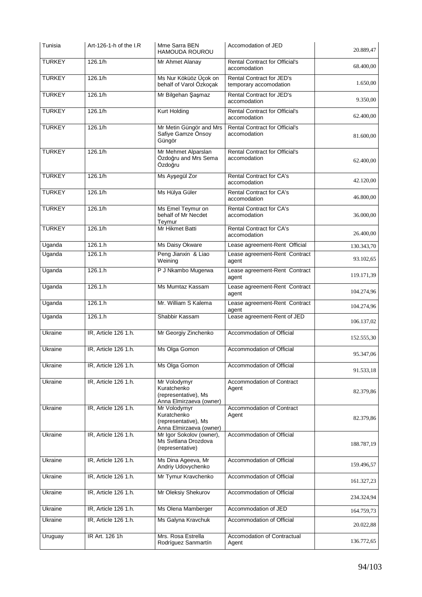| Tunisia       | Art-126-1-h of the I.R | Mme Sarra BEN<br><b>HAMOUDA ROUROU</b>                                         | Accomodation of JED                                        | 20.889,47  |
|---------------|------------------------|--------------------------------------------------------------------------------|------------------------------------------------------------|------------|
| <b>TURKEY</b> | 126.1/h                | Mr Ahmet Alanay                                                                | <b>Rental Contract for Official's</b><br>accomodation      | 68.400,00  |
| <b>TURKEY</b> | 126.1/h                | Ms Nur Köküöz Üçok on<br>behalf of Varol Özkoçak                               | <b>Rental Contract for JED's</b><br>temporary accomodation | 1.650,00   |
| <b>TURKEY</b> | 126.1/h                | Mr Bilgehan Şaşmaz                                                             | Rental Contract for JED's<br>accomodation                  | 9.350,00   |
| <b>TURKEY</b> | 126.1/h                | <b>Kurt Holding</b>                                                            | <b>Rental Contract for Official's</b><br>accomodation      | 62.400.00  |
| <b>TURKEY</b> | 126.1/h                | Mr Metin Güngör and Mrs<br>Safiye Gamze Önsoy<br>Güngör                        | <b>Rental Contract for Official's</b><br>accomodation      | 81.600,00  |
| <b>TURKEY</b> | 126.1/h                | Mr Mehmet Alparslan<br>Özdoğru and Mrs Sema<br>Özdoğru                         | <b>Rental Contract for Official's</b><br>accomodation      | 62.400,00  |
| <b>TURKEY</b> | 126.1/h                | Ms Ayşegül Zor                                                                 | Rental Contract for CA's<br>accomodation                   | 42.120,00  |
| <b>TURKEY</b> | 126.1/h                | Ms Hülya Güler                                                                 | Rental Contract for CA's<br>accomodation                   | 46.800,00  |
| <b>TURKEY</b> | 126.1/h                | Ms Emel Teymur on<br>behalf of Mr Necdet<br>Teymur                             | Rental Contract for CA's<br>accomodation                   | 36.000,00  |
| <b>TURKEY</b> | 126.1/h                | Mr Hikmet Batti                                                                | <b>Rental Contract for CA's</b><br>accomodation            | 26.400,00  |
| Uganda        | 126.1.h                | Ms Daisy Okware                                                                | Lease agreement-Rent Official                              | 130.343,70 |
| Uganda        | 126.1 h                | Peng Jianxin & Liao<br>Weining                                                 | Lease agreement-Rent Contract<br>agent                     | 93.102,65  |
| Uganda        | 126.1.h                | P J Nkambo Mugerwa                                                             | Lease agreement-Rent Contract<br>agent                     | 119.171,39 |
| Uganda        | 126.1.h                | Ms Mumtaz Kassam                                                               | Lease agreement-Rent Contract<br>agent                     | 104.274,96 |
| Uganda        | 126.1 h                | Mr. William S Kalema                                                           | Lease agreement-Rent Contract<br>agent                     | 104.274,96 |
| Uganda        | 126.1.h                | Shabbir Kassam                                                                 | Lease agreement-Rent of JED                                | 106.137,02 |
| Ukraine       | IR, Article 126 1.h.   | Mr Georgiy Zinchenko                                                           | Accommodation of Official                                  | 152.555,30 |
| Ukraine       | IR, Article 126 1.h.   | Ms Olga Gomon                                                                  | Accommodation of Official                                  | 95.347,06  |
| Ukraine       | IR, Article 126 1.h.   | Ms Olga Gomon                                                                  | Accommodation of Official                                  | 91.533,18  |
| Ukraine       | IR, Article 126 1.h.   | Mr Volodymyr<br>Kuratchenko<br>(representative), Ms<br>Anna Elmirzaeva (owner) | Accommodation of Contract<br>Agent                         | 82.379,86  |
| Ukraine       | IR, Article 126 1.h.   | Mr Volodymyr<br>Kuratchenko<br>(representative), Ms<br>Anna Elmirzaeva (owner) | Accommodation of Contract<br>Agent                         | 82.379,86  |
| Ukraine       | IR, Article 126 1.h.   | Mr Igor Sokolov (owner),<br>Ms Svitlana Drozdova<br>(representative)           | Accommodation of Official                                  | 188.787,19 |
| Ukraine       | IR, Article 126 1.h.   | Ms Dina Ageeva, Mr<br>Andriy Udovychenko                                       | Accommodation of Official                                  | 159.496,57 |
| Ukraine       | IR, Article 126 1.h.   | Mr Tymur Kravchenko                                                            | Accommodation of Official                                  | 161.327,23 |
| Ukraine       | IR, Article 126 1.h.   | Mr Oleksiy Shekurov                                                            | Accommodation of Official                                  | 234.324,94 |
| Ukraine       | IR, Article 126 1.h.   | Ms Olena Mamberger                                                             | Accommodation of JED                                       | 164.759,73 |
| Ukraine       | IR, Article 126 1.h.   | Ms Galyna Kravchuk                                                             | Accommodation of Official                                  | 20.022,88  |
| Uruguay       | IR Art. 126 1h         | Mrs. Rosa Estrella<br>Rodríguez Sanmartín                                      | Accomodation of Contractual<br>Agent                       | 136.772,65 |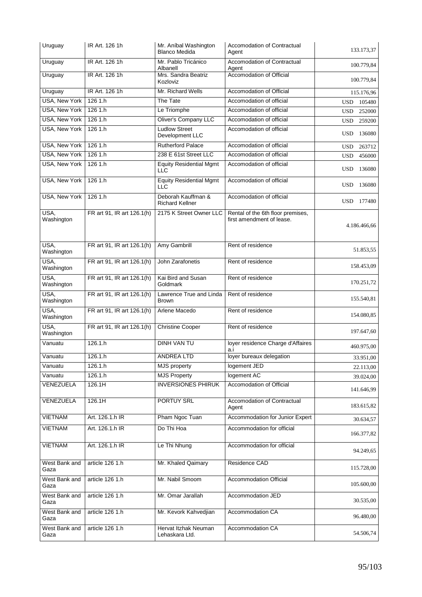| Uruguay               | IR Art. 126 1h             | Mr. Aníbal Washington<br><b>Blanco Medida</b> | Accomodation of Contractual<br>Agent                           | 133.173,37           |
|-----------------------|----------------------------|-----------------------------------------------|----------------------------------------------------------------|----------------------|
| Uruguay               | IR Art. 126 1h             | Mr. Pablo Tricánico<br>Albanell               | Accomodation of Contractual<br>Agent                           | 100.779,84           |
| Uruguay               | IR Art. 126 1h             | Mrs. Sandra Beatriz<br>Kozloviz               | Accomodation of Official                                       | 100.779,84           |
| Uruguay               | IR Art. 126 1h             | Mr. Richard Wells                             | Accomodation of Official                                       | 115.176,96           |
| <b>USA, New York</b>  | 126 1.h                    | The Tate                                      | Accomodation of official                                       | <b>USD</b><br>105480 |
| <b>USA, New York</b>  | 1261.h                     | Le Triomphe                                   | Accomodation of official                                       | 252000<br><b>USD</b> |
| <b>USA, New York</b>  | 126 1.h                    | <b>Oliver's Company LLC</b>                   | Accomodation of official                                       | <b>USD</b><br>259200 |
| <b>USA, New York</b>  | 1261.h                     | <b>Ludlow Street</b><br>Development LLC       | Accomodation of official                                       | <b>USD</b><br>136080 |
| <b>USA, New York</b>  | 1261.h                     | <b>Rutherford Palace</b>                      | Accomodation of official                                       | <b>USD</b><br>263712 |
| USA, New York         | 126 1.h                    | 238 E 61st Street LLC                         | Accomodation of official                                       | <b>USD</b><br>456000 |
| <b>USA, New York</b>  | 126 1.h                    | <b>Equity Residential Mgmt</b><br>LLC         | Accomodation of official                                       | 136080<br><b>USD</b> |
| <b>USA, New York</b>  | 1261.h                     | <b>Equity Residential Mgmt</b><br><b>LLC</b>  | Accomodation of official                                       | <b>USD</b><br>136080 |
| <b>USA, New York</b>  | 126 1.h                    | Deborah Kauffman &<br><b>Richard Kellner</b>  | Accomodation of official                                       | USD 177480           |
| USA,<br>Washington    | FR art 91, IR art 126.1(h) | 2175 K Street Owner LLC                       | Rental of the 6th floor premises,<br>first amendment of lease. | 4.186.466,66         |
| USA,<br>Washington    | FR art 91, IR art 126.1(h) | Amy Gambrill                                  | Rent of residence                                              | 51.853,55            |
| USA,<br>Washington    | FR art 91, IR art 126.1(h) | John Zarafonetis                              | Rent of residence                                              | 158.453,09           |
| USA,<br>Washington    | FR art 91, IR art 126.1(h) | Kai Bird and Susan<br>Goldmark                | Rent of residence                                              | 170.251,72           |
| USA,<br>Washington    | FR art 91, IR art 126.1(h) | Lawrence True and Linda<br><b>Brown</b>       | Rent of residence                                              | 155.540,81           |
| USA,<br>Washington    | FR art 91, IR art 126.1(h) | Arlene Macedo                                 | Rent of residence                                              | 154.080,85           |
| USA,<br>Washington    | FR art 91, IR art 126.1(h) | <b>Christine Cooper</b>                       | Rent of residence                                              | 197.647,60           |
| Vanuatu               | 126.1.h                    | <b>DINH VAN TU</b>                            | loyer residence Charge d'Affaires<br>a.i                       | 460.975,00           |
| Vanuatu               | 126.1.h                    | <b>ANDREA LTD</b>                             | loyer bureaux delegation                                       | 33.951,00            |
| Vanuatu               | 126.1.h                    | <b>MJS</b> property                           | logement JED                                                   | 22.113,00            |
| Vanuatu               | 126.1.h                    | <b>MJS Property</b>                           | logement AC                                                    | 39.024,00            |
| VENEZUELA             | 126.1H                     | <b>INVERSIONES PHIRUK</b>                     | Accomodation of Official                                       | 141.646,99           |
| VENEZUELA             | 126.1H                     | <b>PORTUY SRL</b>                             | Accomodation of Contractual<br>Agent                           | 183.615,82           |
| <b>VIETNAM</b>        | Art. 126.1.h IR            | Pham Ngoc Tuan                                | Accommodation for Junior Expert                                | 30.634,57            |
| <b>VIETNAM</b>        | Art. 126.1.h IR            | Do Thi Hoa                                    | Accommodation for official                                     | 166.377,82           |
| <b>VIETNAM</b>        | Art. 126.1.h IR            | Le Thi Nhung                                  | Accommodation for official                                     | 94.249,65            |
| West Bank and<br>Gaza | article 126 1.h            | Mr. Khaled Qaimary                            | Residence CAD                                                  | 115.728,00           |
| West Bank and<br>Gaza | article 126 1.h            | Mr. Nabil Smoom                               | Accommodation Official                                         | 105.600,00           |
| West Bank and<br>Gaza | article 126 1.h            | Mr. Omar Jarallah                             | Accommodation JED                                              | 30.535,00            |
| West Bank and<br>Gaza | article 126 1.h            | Mr. Kevork Kahvedjian                         | Accommodation CA                                               | 96.480,00            |
| West Bank and<br>Gaza | article 126 1.h            | Hervat Itzhak Neuman<br>Lehaskara Ltd.        | Accommodation CA                                               | 54.506,74            |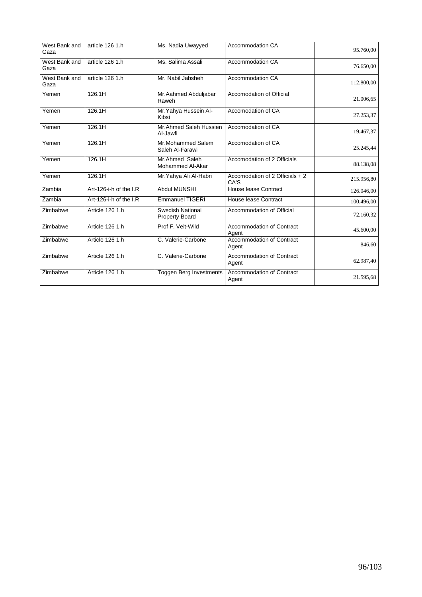| West Bank and<br>Gaza | article 126 1.h        | Ms. Nadia Uwayyed                                | <b>Accommodation CA</b>                   | 95.760,00  |
|-----------------------|------------------------|--------------------------------------------------|-------------------------------------------|------------|
| West Bank and<br>Gaza | article 126 1.h        | Ms. Salima Assali                                | <b>Accommodation CA</b>                   | 76.650,00  |
| West Bank and<br>Gaza | article 126 1.h        | Mr. Nabil Jabsheh                                | <b>Accommodation CA</b>                   | 112.800,00 |
| Yemen                 | 126.1H                 | Mr.Aahmed Abduljabar<br>Raweh                    | Accomodation of Official                  | 21.006,65  |
| Yemen                 | 126.1H                 | Mr. Yahya Hussein Al-<br>Kibsi                   | Accomodation of CA                        | 27.253,37  |
| Yemen                 | 126.1H                 | Mr.Ahmed Saleh Hussien<br>Al-Jawfi               | Accomodation of CA                        | 19.467,37  |
| Yemen                 | 126.1H                 | Mr.Mohammed Salem<br>Saleh Al-Farawi             | Accomodation of CA                        | 25.245,44  |
| Yemen                 | 126.1H                 | Mr.Ahmed Saleh<br>Mohammed Al-Akar               | Accomodation of 2 Officials               | 88.138,08  |
| Yemen                 | 126.1H                 | Mr.Yahya Ali Al-Habri                            | Accomodation of 2 Officials + 2<br>CA'S   | 215.956,80 |
| Zambia                | Art-126-i-h of the I.R | <b>Abdul MUNSHI</b>                              | House lease Contract                      | 126.046,00 |
| Zambia                | Art-126-i-h of the I.R | <b>Emmanuel TIGERI</b>                           | House lease Contract                      | 100.496,00 |
| Zimbabwe              | Article 126 1.h        | <b>Swedish National</b><br><b>Property Board</b> | Accommodation of Official                 | 72.160,32  |
| Zimbabwe              | Article 126 1.h        | Prof F. Veit-Wild                                | <b>Accommodation of Contract</b><br>Agent | 45.600,00  |
| Zimbabwe              | Article 126 1.h        | C. Valerie-Carbone                               | <b>Accommodation of Contract</b><br>Agent | 846.60     |
| Zimbabwe              | Article 126 1.h        | C. Valerie-Carbone                               | Accommodation of Contract<br>Agent        | 62.987,40  |
| Zimbabwe              | Article 126 1.h        | <b>Toggen Berg Investments</b>                   | <b>Accommodation of Contract</b><br>Agent | 21.595,68  |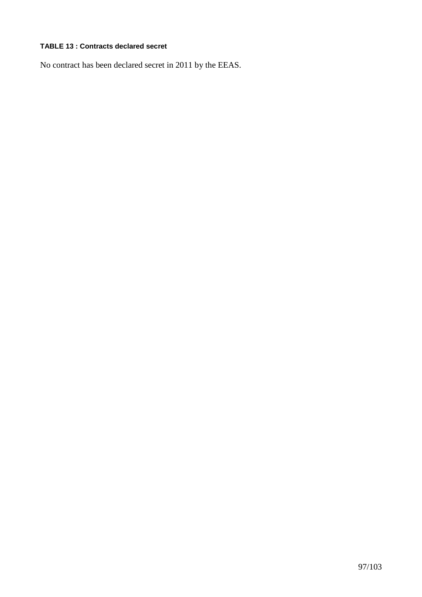# **TABLE 13 : Contracts declared secret**

No contract has been declared secret in 2011 by the EEAS.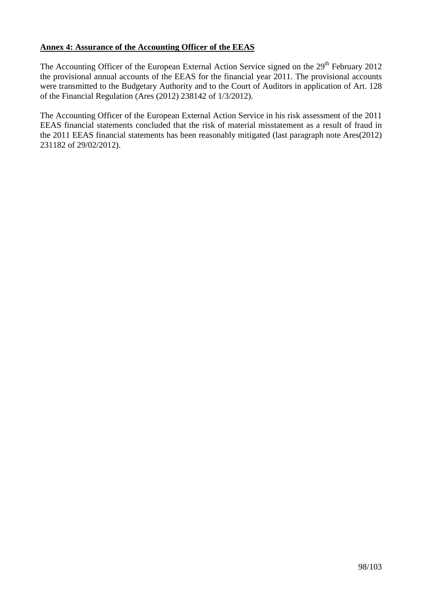## **Annex 4: Assurance of the Accounting Officer of the EEAS**

The Accounting Officer of the European External Action Service signed on the 29<sup>th</sup> February 2012 the provisional annual accounts of the EEAS for the financial year 2011. The provisional accounts were transmitted to the Budgetary Authority and to the Court of Auditors in application of Art. 128 of the Financial Regulation (Ares (2012) 238142 of 1/3/2012).

The Accounting Officer of the European External Action Service in his risk assessment of the 2011 EEAS financial statements concluded that the risk of material misstatement as a result of fraud in the 2011 EEAS financial statements has been reasonably mitigated (last paragraph note Ares(2012) 231182 of 29/02/2012).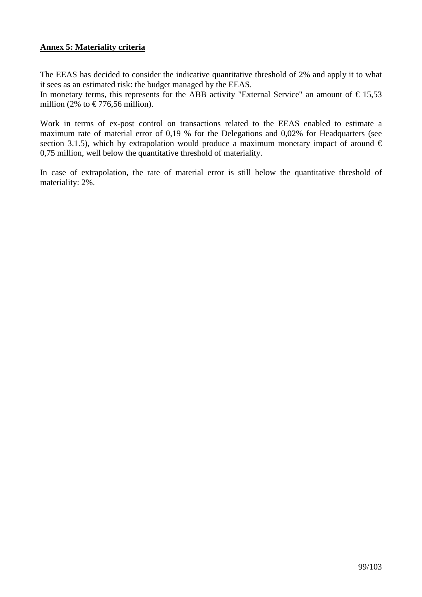## **Annex 5: Materiality criteria**

The EEAS has decided to consider the indicative quantitative threshold of 2% and apply it to what it sees as an estimated risk: the budget managed by the EEAS.

In monetary terms, this represents for the ABB activity "External Service" an amount of  $\epsilon$  15,53 million (2% to  $\in$  776,56 million).

Work in terms of ex-post control on transactions related to the EEAS enabled to estimate a maximum rate of material error of 0,19 % for the Delegations and 0,02% for Headquarters (see section 3.1.5), which by extrapolation would produce a maximum monetary impact of around  $\epsilon$ 0,75 million, well below the quantitative threshold of materiality.

In case of extrapolation, the rate of material error is still below the quantitative threshold of materiality: 2%.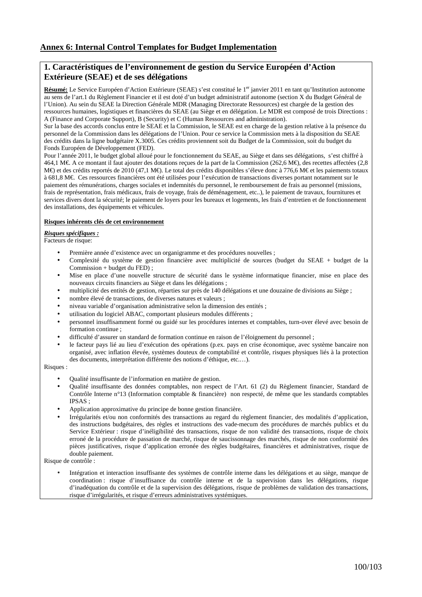## **1. Caractéristiques de l'environnement de gestion du Service Européen d'Action Extérieure (SEAE) et de ses délégations**

Résumé: Le Service Européen d'Action Extérieure (SEAE) s'est constitué le 1<sup>er</sup> janvier 2011 en tant qu'Institution autonome au sens de l'art.1 du Règlement Financier et il est doté d'un budget administratif autonome (section X du Budget Général de l'Union). Au sein du SEAE la Direction Générale MDR (Managing Directorate Ressources) est chargée de la gestion des ressources humaines, logistiques et financières du SEAE (au Siège et en délégation. Le MDR est composé de trois Directions : A (Finance and Corporate Support), B (Security) et C (Human Ressources and administration).

Sur la base des accords conclus entre le SEAE et la Commission, le SEAE est en charge de la gestion relative à la présence du personnel de la Commission dans les délégations de l'Union. Pour ce service la Commission mets à la disposition du SEAE des crédits dans la ligne budgétaire X.3005. Ces crédits proviennent soit du Budget de la Commission, soit du budget du Fonds Européen de Développement (FED).

Pour l'année 2011, le budget global alloué pour le fonctionnement du SEAE, au Siège et dans ses délégations, s'est chiffré à 464,1 M€. A ce montant il faut ajouter des dotations reçues de la part de la Commission (262,6 M€), des recettes affectées (2,8 M€) et des crédits reportés de 2010 (47,1 M€). Le otal des crédits disponibles s'éleve donc à 776,6 M€ et les paiements totaux à 681,8 M€. Ces ressources financières ont été utilisées pour l'exécution de transactions diverses portant notamment sur le paiement des rémunérations, charges sociales et indemnités du personnel, le remboursement de frais au personnel (missions, frais de représentation, frais médicaux, frais de voyage, frais de déménagement, etc..), le paiement de travaux, fournitures et services divers dont la sécurité; le paiement de loyers pour les bureaux et logements, les frais d'entretien et de fonctionnement des installations, des équipements et véhicules.

#### **Risques inhérents clés de cet environnement**

#### *Risques spécifiques :*

Facteurs de risque:

- Première année d'existence avec un organigramme et des procédures nouvelles ;
- Complexité du système de gestion financière avec multiplicité de sources (budget du SEAE + budget de la Commission + budget du FED) ;
- Mise en place d'une nouvelle structure de sécurité dans le système informatique financier, mise en place des nouveaux circuits financiers au Siège et dans les délégations ;
- multiplicité des entités de gestion, réparties sur près de 140 délégations et une douzaine de divisions au Siège ;
- nombre élevé de transactions, de diverses natures et valeurs ;
- niveau variable d'organisation administrative selon la dimension des entités ;
- utilisation du logiciel ABAC, comportant plusieurs modules différents ;
- personnel insuffisamment formé ou guidé sur les procédures internes et comptables, turn-over élevé avec besoin de formation continue ;
- difficulté d'assurer un standard de formation continue en raison de l'éloignement du personnel ;
- le facteur pays lié au lieu d'exécution des opérations (p.ex. pays en crise économique, avec système bancaire non organisé, avec inflation élevée, systèmes douteux de comptabilité et contrôle, risques physiques liés à la protection des documents, interprétation différente des notions d'éthique, etc.…).

Risques :

- Qualité insuffisante de l'information en matière de gestion.
- Qualité insuffisante des données comptables, non respect de l'Art. 61 (2) du Règlement financier, Standard de Contrôle Interne n°13 (Information comptable & financière) non respecté, de même que les standards comptables  $IPSAS$ .
- Application approximative du principe de bonne gestion financière.
- Irrégularités et/ou non conformités des transactions au regard du règlement financier, des modalités d'application, des instructions budgétaires, des règles et instructions des vade-mecum des procédures de marchés publics et du Service Extérieur : risque d'inéligibilité des transactions, risque de non validité des transactions, risque de choix erroné de la procédure de passation de marché, risque de saucissonnage des marchés, risque de non conformité des pièces justificatives, risque d'application erronée des règles budgétaires, financières et administratives, risque de double paiement.

Risque de contrôle :

• Intégration et interaction insuffisante des systèmes de contrôle interne dans les délégations et au siège, manque de coordination : risque d'insuffisance du contrôle interne et de la supervision dans les délégations, risque d'inadéquation du contrôle et de la supervision des délégations, risque de problèmes de validation des transactions, risque d'irrégularités, et risque d'erreurs administratives systémiques.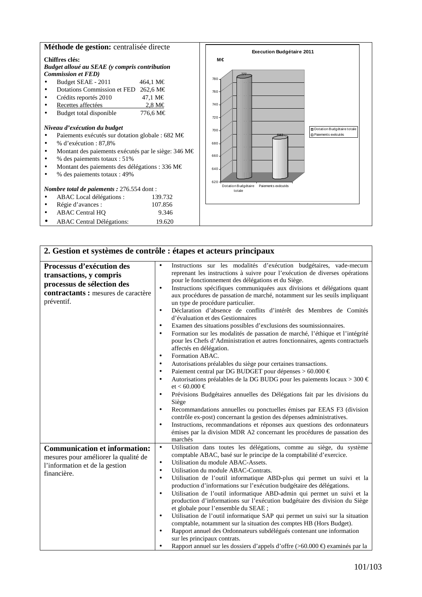### **Méthode de gestion:** centralisée directe

• ABAC Central Délégations: 19.620

#### **Chiffres clés:**  *Budget alloué au SEAE (y compris contribution Commission et FED)*  • Budget SEAE - 2011  $464,1 \text{ M} \in$ • Dotations Commission et FED 262,6 M€ • Crédits reportés 2010 47,1 M€ • Recettes affectées 2,8 M€ • Budget total disponible 776,6 M€ *Niveau d'exécution du budget*  • Paiements exécutés sur dotation globale : 682 M€ • % d'exécution : 87,8% • Montant des paiements exécutés par le siège: 346 M€ • % des paiements totaux : 51% • Montant des paiements des délégations : 336 M€ • % des paiements totaux : 49% *Nombre total de paiements :* 276.554 dont : • ABAC Local délégations : 139.732 • Régie d'avances : 107.856 • ABAC Central HQ 9.346 777 682 620 640 660 680 700 720 740 760 780 Dotation Budgétaire Paiements exécutés totale **Execution Budgétaire 2011** Dotation Budgétaire totale **D** Paiements exécutés **M€**

| 2. Gestion et systèmes de contrôle : étapes et acteurs principaux                                                                       |                                                                                                                                                                                                                                                                                                                                                                                                                                                                                                                                                                                                                                                                                                                                                                                                                                                                                                                                                                                                                                                                                                                                                                                                                                                                                                                                                                                                                                                                                                                                                                                       |  |  |  |
|-----------------------------------------------------------------------------------------------------------------------------------------|---------------------------------------------------------------------------------------------------------------------------------------------------------------------------------------------------------------------------------------------------------------------------------------------------------------------------------------------------------------------------------------------------------------------------------------------------------------------------------------------------------------------------------------------------------------------------------------------------------------------------------------------------------------------------------------------------------------------------------------------------------------------------------------------------------------------------------------------------------------------------------------------------------------------------------------------------------------------------------------------------------------------------------------------------------------------------------------------------------------------------------------------------------------------------------------------------------------------------------------------------------------------------------------------------------------------------------------------------------------------------------------------------------------------------------------------------------------------------------------------------------------------------------------------------------------------------------------|--|--|--|
| Processus d'exécution des<br>transactions, y compris<br>processus de sélection des<br>contractants : mesures de caractère<br>préventif. | Instructions sur les modalités d'exécution budgétaires, vade-mecum<br>reprenant les instructions à suivre pour l'exécution de diverses opérations<br>pour le fonctionnement des délégations et du Siège.<br>Instructions spécifiques communiquées aux divisions et délégations quant<br>$\bullet$<br>aux procédures de passation de marché, notamment sur les seuils impliquant<br>un type de procédure particulier.<br>Déclaration d'absence de conflits d'intérêt des Membres de Comités<br>$\bullet$<br>d'évaluation et des Gestionnaires<br>Examen des situations possibles d'exclusions des soumissionnaires.<br>$\bullet$<br>Formation sur les modalités de passation de marché, l'éthique et l'intégrité<br>$\bullet$<br>pour les Chefs d'Administration et autres fonctionnaires, agents contractuels<br>affectés en délégation.<br>Formation ABAC.<br>$\bullet$<br>Autorisations préalables du siège pour certaines transactions.<br>$\bullet$<br>Paiement central par DG BUDGET pour dépenses > 60.000 $\in$<br>$\bullet$<br>Autorisations préalables de la DG BUDG pour les paiements locaux > 300 $\in$<br>٠<br>$et < 60.000 \in$<br>Prévisions Budgétaires annuelles des Délégations fait par les divisions du<br>$\bullet$<br>Siège<br>Recommandations annuelles ou ponctuelles émises par EEAS F3 (division<br>$\bullet$<br>contrôle ex-post) concernant la gestion des dépenses administratives.<br>Instructions, recommandations et réponses aux questions des ordonnateurs<br>$\bullet$<br>émises par la division MDR A2 concernant les procédures de passation des |  |  |  |
| <b>Communication et information:</b><br>mesures pour améliorer la qualité de<br>l'information et de la gestion<br>financière.           | marchés<br>Utilisation dans toutes les délégations, comme au siège, du système<br>$\bullet$<br>comptable ABAC, basé sur le principe de la comptabilité d'exercice.<br>Utilisation du module ABAC-Assets.<br>$\bullet$<br>Utilisation du module ABAC-Contrats.<br>$\bullet$<br>Utilisation de l'outil informatique ABD-plus qui permet un suivi et la<br>$\bullet$<br>production d'informations sur l'exécution budgétaire des délégations.<br>Utilisation de l'outil informatique ABD-admin qui permet un suivi et la<br>$\bullet$<br>production d'informations sur l'exécution budgétaire des division du Siège<br>et globale pour l'ensemble du SEAE ;<br>Utilisation de l'outil informatique SAP qui permet un suivi sur la situation<br>$\bullet$<br>comptable, notamment sur la situation des comptes HB (Hors Budget).<br>Rapport annuel des Ordonnateurs subdélégués contenant une information<br>$\bullet$<br>sur les principaux contrats.<br>Rapport annuel sur les dossiers d'appels d'offre (>60.000 €) examinés par la                                                                                                                                                                                                                                                                                                                                                                                                                                                                                                                                                    |  |  |  |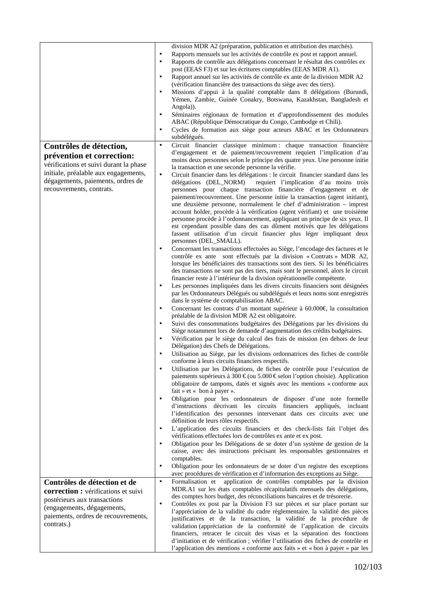|                                                                                                                                                                              | division MDR A2 (préparation, publication et attribution des marchés).<br>Rapports mensuels sur les activités de contrôle ex post et rapport annuel.<br>٠<br>Rapports de contrôle aux délégations concernant le résultat des contrôles ex<br>$\bullet$<br>post (EEAS F3) et sur les écritures comptables (EEAS MDR A1).<br>Rapport annuel sur les activités de contrôle ex ante de la division MDR A2<br>$\bullet$<br>(vérification financière des transactions du siège avec des tiers).<br>Missions d'appui à la qualité comptable dans 8 délégations (Burundi,<br>$\bullet$<br>Yémen, Zambie, Guinée Conakry, Botswana, Kazakhstan, Bangladesh et<br>Angola)).<br>Séminaires régionaux de formation et d'approfondissement des modules<br>٠<br>ABAC (République Démocratique du Congo, Cambodge et Chili).<br>Cycles de formation aux siège pour acteurs ABAC et les Ordonnateurs<br>٠<br>subdélégués. |
|------------------------------------------------------------------------------------------------------------------------------------------------------------------------------|-----------------------------------------------------------------------------------------------------------------------------------------------------------------------------------------------------------------------------------------------------------------------------------------------------------------------------------------------------------------------------------------------------------------------------------------------------------------------------------------------------------------------------------------------------------------------------------------------------------------------------------------------------------------------------------------------------------------------------------------------------------------------------------------------------------------------------------------------------------------------------------------------------------|
| Contrôles de détection,                                                                                                                                                      | Circuit financier classique minimum: chaque transaction financière<br>$\bullet$<br>d'engagement et de paiement/recouvrement requiert l'implication d'au                                                                                                                                                                                                                                                                                                                                                                                                                                                                                                                                                                                                                                                                                                                                                   |
| prévention et correction:<br>vérifications et suivi durant la phase<br>initiale, préalable aux engagements,<br>dégagements, paiements, ordres de<br>recouvrements, contrats. | moins deux personnes selon le principe des quatre yeux. Une personne initie<br>la transaction et une seconde personne la vérifie.<br>Circuit financier dans les délégations : le circuit financier standard dans les<br>$\bullet$<br>délégations (DEL_NORM)<br>requiert l'implication d'au moins trois<br>personnes pour chaque transaction financière d'engagement et de<br>paiement/recouvrement. Une personne initie la transaction (agent initiant),<br>une deuxième personne, normalement le chef d'administration - imprest<br>account holder, procède à la vérification (agent vérifiant) et une troisième<br>personne procède à l'ordonnancement, appliquant un principe de six yeux. Il<br>est cependant possible dans des cas dûment motivés que les délégations<br>fassent utilisation d'un circuit financier plus léger impliquant deux                                                       |
|                                                                                                                                                                              | personnes (DEL_SMALL).<br>Concernant les transactions effectuées au Siège, l'encodage des factures et le<br>٠<br>contrôle ex ante sont effectués par la division « Contrats » MDR A2,<br>lorsque les bénéficiaires des transactions sont des tiers. Si les bénéficiaires<br>des transactions ne sont pas des tiers, mais sont le personnel, alors le circuit<br>financier reste à l'intérieur de la division opérationnelle compétente.<br>Les personnes impliquées dans les divers circuits financiers sont désignées<br>$\bullet$<br>par les Ordonnateurs Délégués ou subdélégués et leurs noms sont enregistrés                                                                                                                                                                                                                                                                                        |
|                                                                                                                                                                              | dans le système de comptabilisation ABAC.<br>Concernant les contrats d'un montant supérieur à 60.000€, la consultation<br>٠<br>préalable de la division MDR A2 est obligatoire.<br>Suivi des consommations budgétaires des Délégations par les divisions du<br>$\bullet$<br>Siège notamment lors de demande d'augmentation des crédits budgétaires.<br>Vérification par le siège du calcul des frais de mission (en dehors de leur<br>$\bullet$<br>Délégation) des Chefs de Délégations.                                                                                                                                                                                                                                                                                                                                                                                                                  |
|                                                                                                                                                                              | Utilisation au Siège, par les divisions ordonnatrices des fiches de contrôle<br>$\bullet$<br>conforme à leurs circuits financiers respectifs.<br>Utilisation par les Délégations, de fiches de contrôle pour l'exécution de<br>$\bullet$<br>paiements supérieurs à 300 € (ou 5.000€ selon l'option choisie). Application<br>obligatoire de tampons, datés et signés avec les mentions « conforme aux<br>fait $\ast$ et $\ast$ bon à payer $\ast$ .                                                                                                                                                                                                                                                                                                                                                                                                                                                        |
|                                                                                                                                                                              | Obligation pour les ordonnateurs de disposer d'une note formelle<br>$\bullet$<br>d'instructions décrivant les circuits financiers appliqués, incluant<br>l'identification des personnes intervenant dans ces circuits avec une<br>définition de leurs rôles respectifs.<br>L'application des circuits financiers et des check-lists fait l'objet des<br>٠<br>vérifications effectuées lors de contrôles ex ante et ex post.<br>Obligation pour les Délégations de se doter d'un système de gestion de la<br>$\bullet$<br>caisse, avec des instructions précisant les responsables gestionnaires et<br>comptables.<br>Obligation pour les ordonnateurs de se doter d'un registre des exceptions<br>٠<br>avec procédures de vérification et d'information des exceptions au Siège.                                                                                                                          |
| Contrôles de détection et de                                                                                                                                                 | Formalisation et application de contrôles comptables par la division<br>$\bullet$                                                                                                                                                                                                                                                                                                                                                                                                                                                                                                                                                                                                                                                                                                                                                                                                                         |
| correction : vérifications et suivi<br>postérieurs aux transactions<br>(engagements, dégagements,<br>paiements, ordres de recouvrements,<br>contrats.)                       | MDR.A1 sur les états comptables récapitulatifs mensuels des délégations,<br>des comptes hors budget, des réconciliations bancaires et de trésorerie.<br>Contrôles ex post par la Division F3 sur pièces et sur place portant sur<br>$\bullet$<br>l'appréciation de la validité du cadre règlementaire, la validité des pièces<br>justificatives et de la transaction, la validité de la procédure de<br>validation (appréciation de la conformité de l'application de circuits<br>financiers, retracer le circuit des visas et la séparation des fonctions<br>d'initiation et de vérification ; vérifier l'utilisation des fiches de contrôle et<br>l'application des mentions « conforme aux faits » et « bon à payer » par les                                                                                                                                                                          |